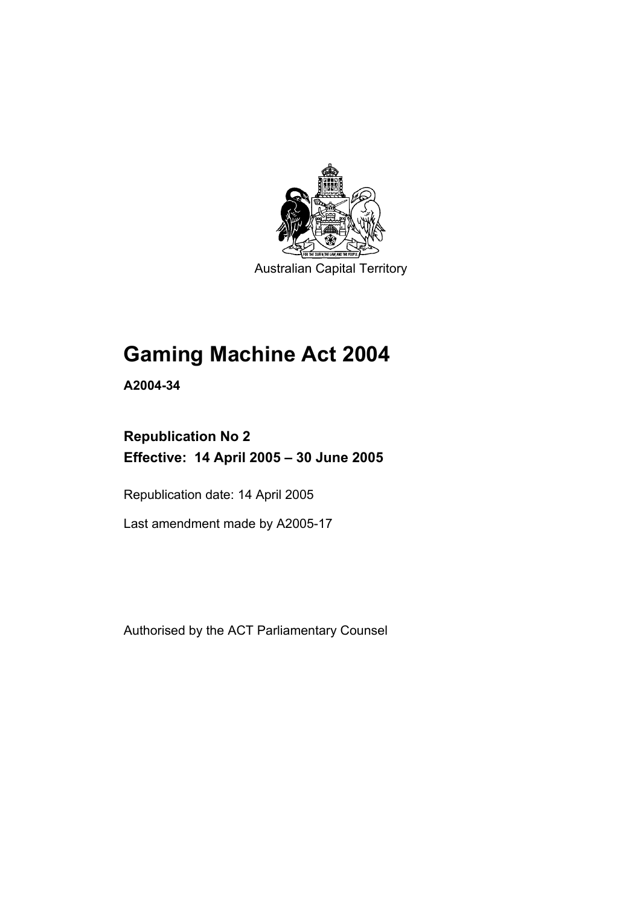

Australian Capital Territory

# **Gaming Machine Act 2004**

**A2004-34** 

# **Republication No 2 Effective: 14 April 2005 – 30 June 2005**

Republication date: 14 April 2005

Last amendment made by A2005-17

Authorised by the ACT Parliamentary Counsel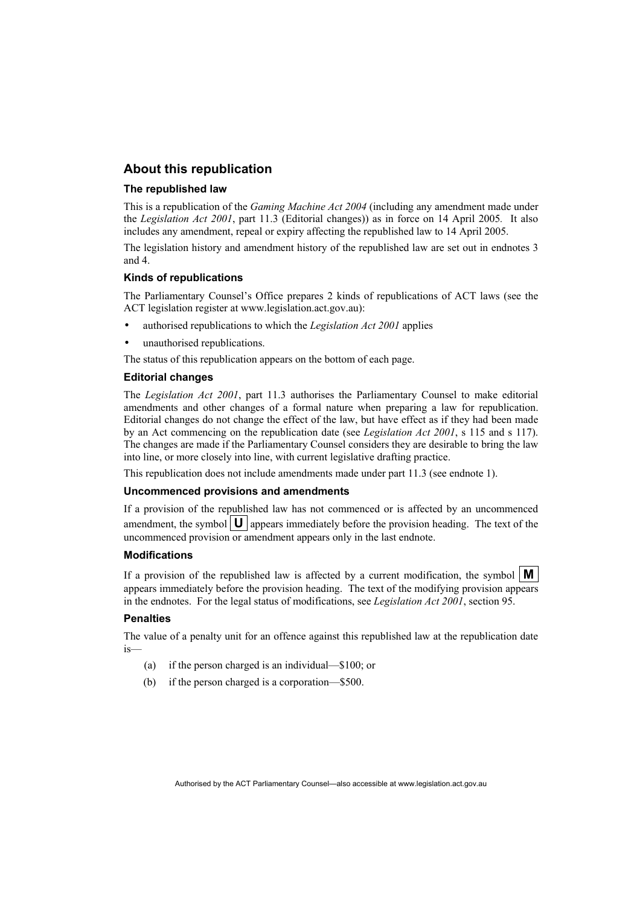#### **About this republication**

#### **The republished law**

This is a republication of the *Gaming Machine Act 2004* (including any amendment made under the *Legislation Act 2001*, part 11.3 (Editorial changes)) as in force on 14 April 2005*.* It also includes any amendment, repeal or expiry affecting the republished law to 14 April 2005.

The legislation history and amendment history of the republished law are set out in endnotes 3 and 4.

#### **Kinds of republications**

The Parliamentary Counsel's Office prepares 2 kinds of republications of ACT laws (see the ACT legislation register at www.legislation.act.gov.au):

- authorised republications to which the *Legislation Act 2001* applies
- unauthorised republications.

The status of this republication appears on the bottom of each page.

#### **Editorial changes**

The *Legislation Act 2001*, part 11.3 authorises the Parliamentary Counsel to make editorial amendments and other changes of a formal nature when preparing a law for republication. Editorial changes do not change the effect of the law, but have effect as if they had been made by an Act commencing on the republication date (see *Legislation Act 2001*, s 115 and s 117). The changes are made if the Parliamentary Counsel considers they are desirable to bring the law into line, or more closely into line, with current legislative drafting practice.

This republication does not include amendments made under part 11.3 (see endnote 1).

#### **Uncommenced provisions and amendments**

If a provision of the republished law has not commenced or is affected by an uncommenced amendment, the symbol  $\mathbf{U}$  appears immediately before the provision heading. The text of the uncommenced provision or amendment appears only in the last endnote.

#### **Modifications**

If a provision of the republished law is affected by a current modification, the symbol  $\mathbf{M}$ appears immediately before the provision heading. The text of the modifying provision appears in the endnotes. For the legal status of modifications, see *Legislation Act 2001*, section 95.

#### **Penalties**

The value of a penalty unit for an offence against this republished law at the republication date is—

- (a) if the person charged is an individual—\$100; or
- (b) if the person charged is a corporation—\$500.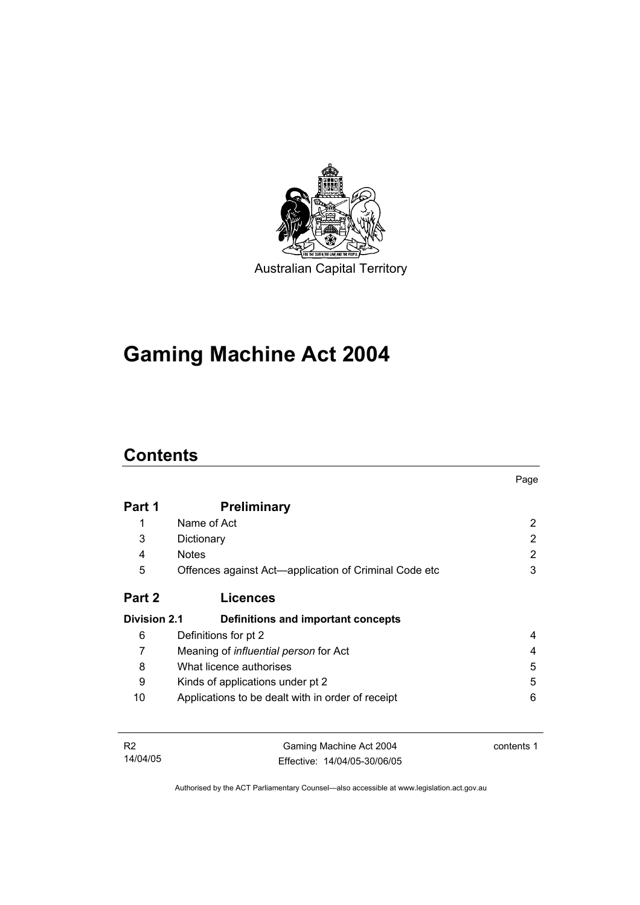

# **Gaming Machine Act 2004**

# **Contents**

|                     |                                                       | Page |
|---------------------|-------------------------------------------------------|------|
| Part 1              | <b>Preliminary</b>                                    |      |
| 1                   | Name of Act                                           | 2    |
| 3                   | Dictionary                                            | 2    |
| 4                   | <b>Notes</b>                                          | 2    |
| 5                   | Offences against Act-application of Criminal Code etc | 3    |
| Part 2              | <b>Licences</b>                                       |      |
| <b>Division 2.1</b> | Definitions and important concepts                    |      |
| 6                   | Definitions for pt 2                                  | 4    |
| 7                   | Meaning of <i>influential person</i> for Act          | 4    |
| 8                   | What licence authorises                               | 5    |
| 9                   | Kinds of applications under pt 2                      | 5    |
| 10                  | Applications to be dealt with in order of receipt     | 6    |
|                     |                                                       |      |
|                     |                                                       |      |

R2 14/04/05 Gaming Machine Act 2004 Effective: 14/04/05-30/06/05 contents 1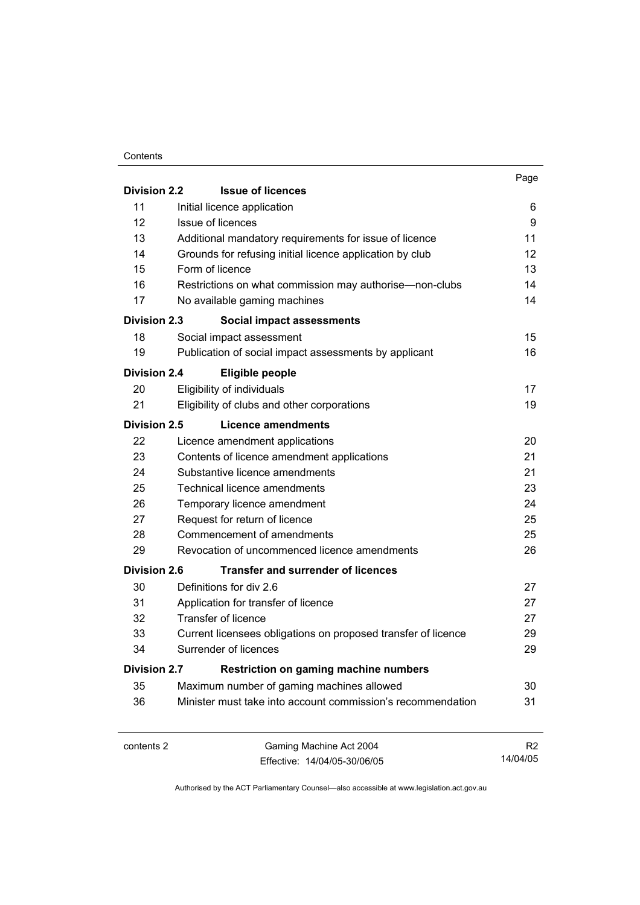#### **Contents**

|                     |                                                                     | Page |  |
|---------------------|---------------------------------------------------------------------|------|--|
| <b>Division 2.2</b> | <b>Issue of licences</b>                                            |      |  |
| 11                  | Initial licence application                                         | 6    |  |
| 12                  | Issue of licences                                                   | 9    |  |
| 13                  | Additional mandatory requirements for issue of licence              | 11   |  |
| 14                  | Grounds for refusing initial licence application by club            | 12   |  |
| 15                  | Form of licence                                                     | 13   |  |
| 16                  | Restrictions on what commission may authorise—non-clubs             | 14   |  |
| 17                  | No available gaming machines                                        | 14   |  |
| <b>Division 2.3</b> | Social impact assessments                                           |      |  |
| 18                  | Social impact assessment                                            | 15   |  |
| 19                  | Publication of social impact assessments by applicant               | 16   |  |
| <b>Division 2.4</b> | Eligible people                                                     |      |  |
| 20                  | Eligibility of individuals                                          | 17   |  |
| 21                  | Eligibility of clubs and other corporations                         | 19   |  |
| <b>Division 2.5</b> | Licence amendments                                                  |      |  |
| 22                  | Licence amendment applications                                      | 20   |  |
| 23                  | Contents of licence amendment applications                          | 21   |  |
| 24                  | Substantive licence amendments                                      | 21   |  |
| 25                  | Technical licence amendments                                        | 23   |  |
| 26                  | Temporary licence amendment                                         | 24   |  |
| 27                  | Request for return of licence                                       | 25   |  |
| 28                  | Commencement of amendments                                          | 25   |  |
| 29                  | Revocation of uncommenced licence amendments                        | 26   |  |
| <b>Division 2.6</b> | <b>Transfer and surrender of licences</b>                           |      |  |
| 30                  | Definitions for div 2.6                                             | 27   |  |
| 31                  | Application for transfer of licence                                 | 27   |  |
| 32                  | <b>Transfer of licence</b>                                          | 27   |  |
| 33                  | Current licensees obligations on proposed transfer of licence       | 29   |  |
| 34                  | Surrender of licences                                               | 29   |  |
|                     | <b>Division 2.7</b><br><b>Restriction on gaming machine numbers</b> |      |  |
| 35                  | Maximum number of gaming machines allowed                           | 30   |  |
| 36                  | Minister must take into account commission's recommendation         | 31   |  |
|                     |                                                                     |      |  |
|                     |                                                                     |      |  |

contents 2 Gaming Machine Act 2004 Effective: 14/04/05-30/06/05

R2 14/04/05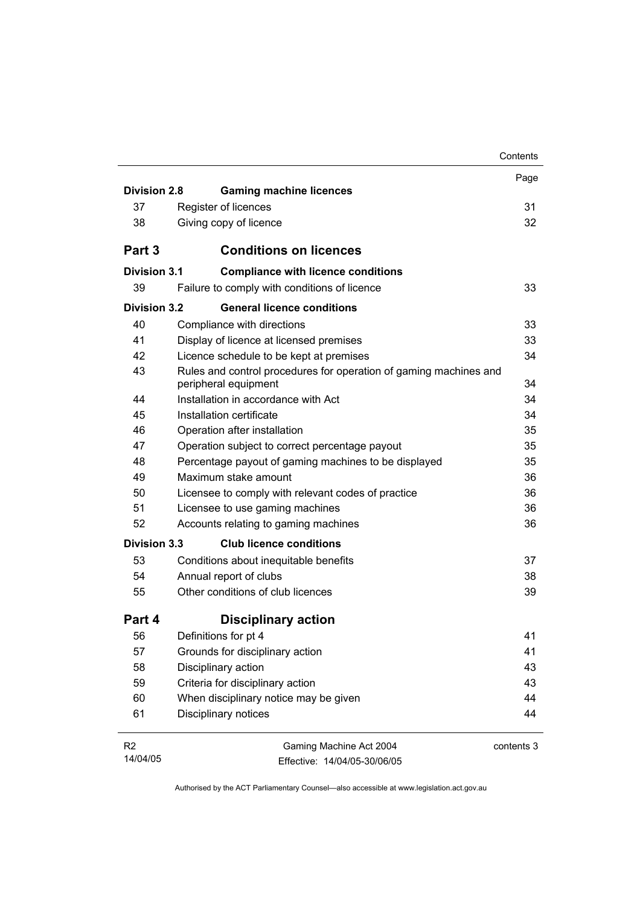|                     |                                                                                           | Contents   |
|---------------------|-------------------------------------------------------------------------------------------|------------|
|                     |                                                                                           | Page       |
| <b>Division 2.8</b> | <b>Gaming machine licences</b>                                                            |            |
| 37                  | Register of licences                                                                      | 31         |
| 38                  | Giving copy of licence                                                                    | 32         |
| Part 3              | <b>Conditions on licences</b>                                                             |            |
| Division 3.1        | <b>Compliance with licence conditions</b>                                                 |            |
| 39                  | Failure to comply with conditions of licence                                              | 33         |
| Division 3.2        | <b>General licence conditions</b>                                                         |            |
| 40                  | Compliance with directions                                                                | 33         |
| 41                  | Display of licence at licensed premises                                                   | 33         |
| 42                  | Licence schedule to be kept at premises                                                   | 34         |
| 43                  | Rules and control procedures for operation of gaming machines and<br>peripheral equipment | 34         |
| 44                  | Installation in accordance with Act                                                       | 34         |
| 45                  | Installation certificate                                                                  | 34         |
| 46                  | Operation after installation                                                              | 35         |
| 47                  | Operation subject to correct percentage payout                                            | 35         |
| 48                  | Percentage payout of gaming machines to be displayed                                      | 35         |
| 49                  | Maximum stake amount                                                                      | 36         |
| 50                  | Licensee to comply with relevant codes of practice                                        | 36         |
| 51                  | Licensee to use gaming machines                                                           | 36         |
| 52                  | Accounts relating to gaming machines                                                      | 36         |
| <b>Division 3.3</b> | <b>Club licence conditions</b>                                                            |            |
| 53                  | Conditions about inequitable benefits                                                     | 37         |
| 54                  | Annual report of clubs                                                                    | 38         |
| 55                  | Other conditions of club licences                                                         | 39         |
| Part 4              | <b>Disciplinary action</b>                                                                |            |
| 56                  | Definitions for pt 4                                                                      | 41         |
| 57                  | Grounds for disciplinary action                                                           | 41         |
| 58                  | Disciplinary action                                                                       | 43         |
| 59                  | Criteria for disciplinary action                                                          | 43         |
| 60                  | When disciplinary notice may be given                                                     | 44         |
| 61                  | Disciplinary notices                                                                      | 44         |
| R <sub>2</sub>      | Gaming Machine Act 2004                                                                   | contents 3 |
| 14/04/05            | Effective: 14/04/05-30/06/05                                                              |            |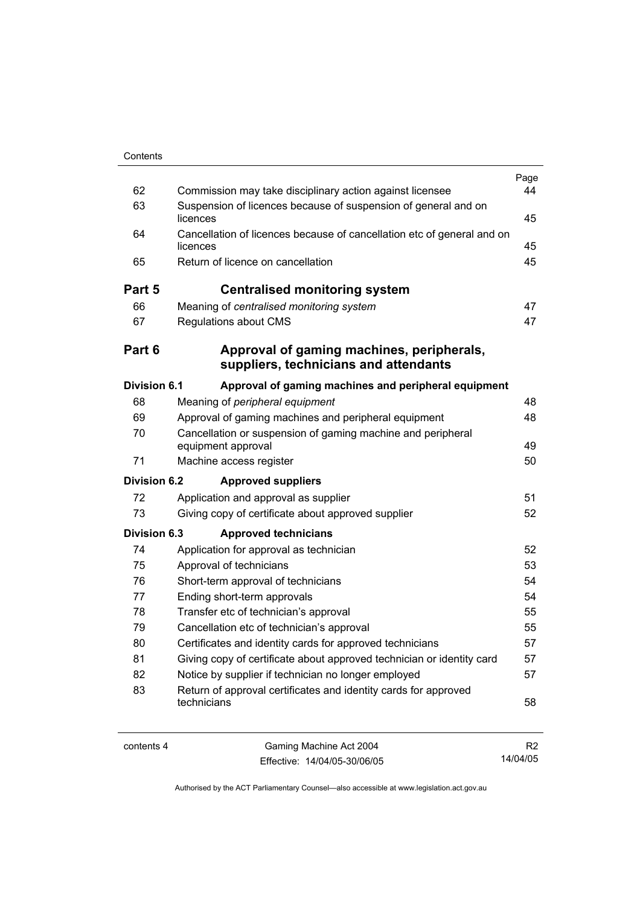| Contents |  |
|----------|--|
|          |  |

| 62                  | Commission may take disciplinary action against licensee                           | Page<br>44 |
|---------------------|------------------------------------------------------------------------------------|------------|
| 63                  | Suspension of licences because of suspension of general and on<br>licences         |            |
| 64                  | Cancellation of licences because of cancellation etc of general and on<br>licences |            |
| 65                  | Return of licence on cancellation                                                  | 45<br>45   |
| Part 5              | <b>Centralised monitoring system</b>                                               |            |
| 66                  | Meaning of centralised monitoring system                                           | 47         |
| 67                  | Regulations about CMS                                                              | 47         |
| Part 6              | Approval of gaming machines, peripherals,<br>suppliers, technicians and attendants |            |
| <b>Division 6.1</b> | Approval of gaming machines and peripheral equipment                               |            |
| 68                  | Meaning of peripheral equipment                                                    | 48         |
| 69                  | Approval of gaming machines and peripheral equipment                               | 48         |
| 70                  | Cancellation or suspension of gaming machine and peripheral<br>equipment approval  | 49         |
| 71                  | Machine access register                                                            | 50         |
| <b>Division 6.2</b> | <b>Approved suppliers</b>                                                          |            |
| 72                  | Application and approval as supplier                                               | 51         |
| 73                  | Giving copy of certificate about approved supplier                                 | 52         |
| <b>Division 6.3</b> | <b>Approved technicians</b>                                                        |            |
| 74                  | Application for approval as technician                                             | 52         |
| 75                  | Approval of technicians                                                            | 53         |
| 76                  | Short-term approval of technicians                                                 | 54         |
| 77                  | Ending short-term approvals                                                        | 54         |
| 78                  | Transfer etc of technician's approval                                              | 55         |
| 79                  | Cancellation etc of technician's approval                                          | 55         |
| 80                  | Certificates and identity cards for approved technicians                           | 57         |
| 81                  | Giving copy of certificate about approved technician or identity card              | 57         |
| 82                  | Notice by supplier if technician no longer employed                                | 57         |
| 83                  | Return of approval certificates and identity cards for approved<br>technicians     | 58         |
|                     |                                                                                    |            |

L.

contents 4 Gaming Machine Act 2004 Effective: 14/04/05-30/06/05

R2 14/04/05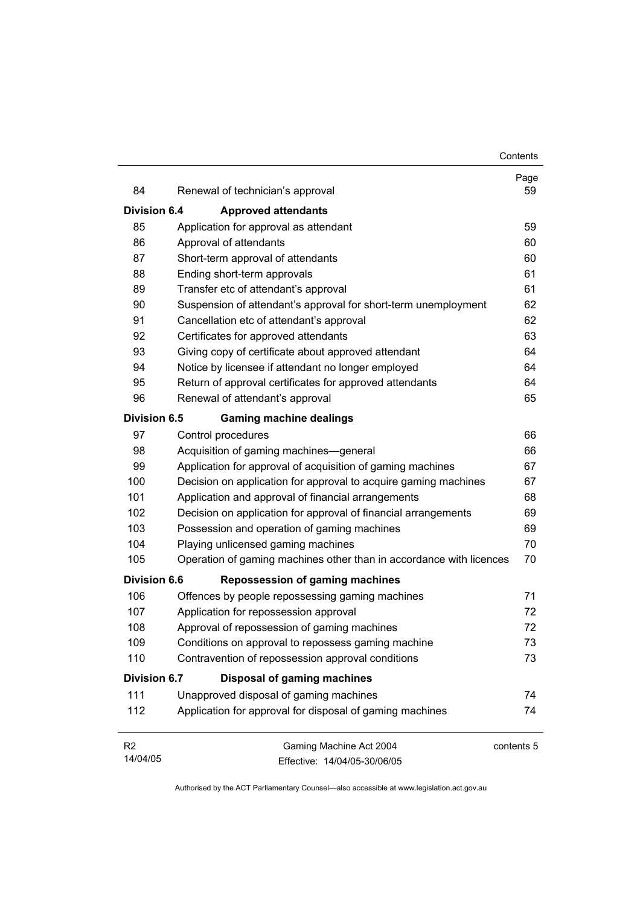| 84                         | Renewal of technician's approval                                    | Page<br>59 |
|----------------------------|---------------------------------------------------------------------|------------|
| <b>Division 6.4</b>        | <b>Approved attendants</b>                                          |            |
| 85                         | Application for approval as attendant                               | 59         |
| 86                         | Approval of attendants                                              | 60         |
| 87                         | Short-term approval of attendants                                   | 60         |
| 88                         | Ending short-term approvals                                         | 61         |
| 89                         | Transfer etc of attendant's approval                                | 61         |
| 90                         | Suspension of attendant's approval for short-term unemployment      | 62         |
| 91                         | Cancellation etc of attendant's approval                            | 62         |
| 92                         | Certificates for approved attendants                                | 63         |
| 93                         | Giving copy of certificate about approved attendant                 | 64         |
| 94                         | Notice by licensee if attendant no longer employed                  | 64         |
| 95                         | Return of approval certificates for approved attendants             | 64         |
| 96                         | Renewal of attendant's approval                                     | 65         |
| <b>Division 6.5</b>        | <b>Gaming machine dealings</b>                                      |            |
| 97                         | Control procedures                                                  | 66         |
| 98                         | Acquisition of gaming machines—general                              | 66         |
| 99                         | Application for approval of acquisition of gaming machines          | 67         |
| 100                        | Decision on application for approval to acquire gaming machines     | 67         |
| 101                        | Application and approval of financial arrangements                  | 68         |
| 102                        | Decision on application for approval of financial arrangements      | 69         |
| 103                        | Possession and operation of gaming machines                         | 69         |
| 104                        | Playing unlicensed gaming machines                                  | 70         |
| 105                        | Operation of gaming machines other than in accordance with licences | 70         |
| <b>Division 6.6</b>        | <b>Repossession of gaming machines</b>                              |            |
| 106                        | Offences by people repossessing gaming machines                     | 71         |
| 107                        | Application for repossession approval                               | 72         |
| 108                        | Approval of repossession of gaming machines                         | 72         |
| 109                        | Conditions on approval to repossess gaming machine                  | 73         |
| 110                        | Contravention of repossession approval conditions                   | 73         |
| <b>Division 6.7</b>        | <b>Disposal of gaming machines</b>                                  |            |
| 111                        | Unapproved disposal of gaming machines                              | 74         |
| 112                        | Application for approval for disposal of gaming machines            | 74         |
| R <sub>2</sub><br>14/04/05 | Gaming Machine Act 2004                                             | contents 5 |
|                            | Effective: 14/04/05-30/06/05                                        |            |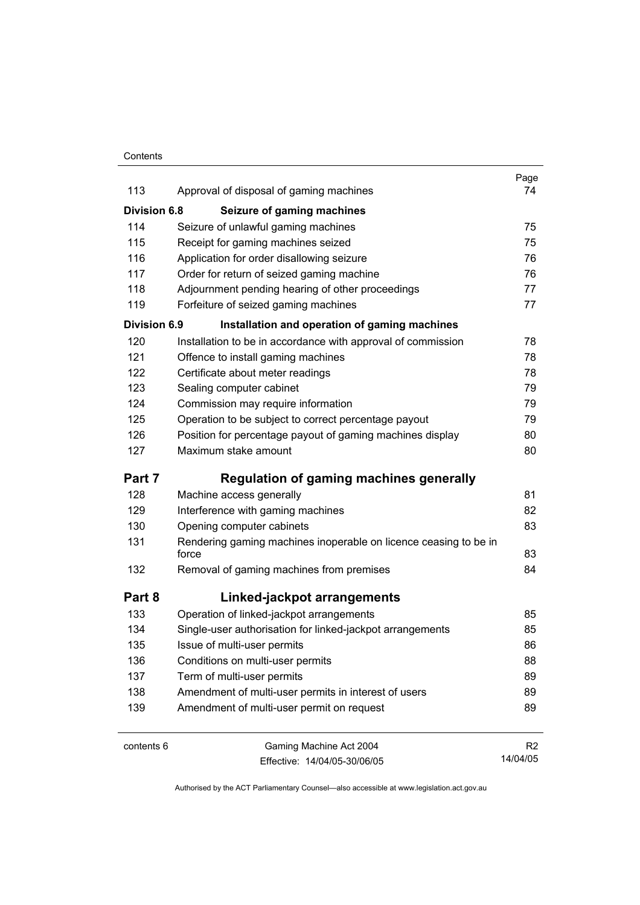#### **Contents**

|                     |                                                                           | Page           |  |
|---------------------|---------------------------------------------------------------------------|----------------|--|
| 113                 | Approval of disposal of gaming machines                                   | 74             |  |
| Division 6.8        | Seizure of gaming machines                                                |                |  |
| 114                 | Seizure of unlawful gaming machines                                       | 75             |  |
| 115                 | Receipt for gaming machines seized                                        | 75             |  |
| 116                 | Application for order disallowing seizure                                 | 76             |  |
| 117                 | Order for return of seized gaming machine                                 | 76             |  |
| 118                 | Adjournment pending hearing of other proceedings                          | 77             |  |
| 119                 | Forfeiture of seized gaming machines                                      | 77             |  |
| <b>Division 6.9</b> | Installation and operation of gaming machines                             |                |  |
| 120                 | Installation to be in accordance with approval of commission              | 78             |  |
| 121                 | Offence to install gaming machines                                        | 78             |  |
| 122                 | Certificate about meter readings                                          | 78             |  |
| 123                 | Sealing computer cabinet                                                  | 79             |  |
| 124                 | Commission may require information                                        | 79             |  |
| 125                 | Operation to be subject to correct percentage payout                      | 79             |  |
| 126                 | Position for percentage payout of gaming machines display                 | 80             |  |
| 127                 | Maximum stake amount                                                      | 80             |  |
| Part 7              | <b>Regulation of gaming machines generally</b>                            |                |  |
| 128                 | Machine access generally                                                  | 81             |  |
| 129                 | Interference with gaming machines                                         | 82             |  |
| 130                 | Opening computer cabinets                                                 | 83             |  |
| 131                 | Rendering gaming machines inoperable on licence ceasing to be in<br>force |                |  |
| 132                 | Removal of gaming machines from premises                                  | 84             |  |
| Part 8              | Linked-jackpot arrangements                                               |                |  |
| 133                 | Operation of linked-jackpot arrangements                                  | 85             |  |
| 134                 | Single-user authorisation for linked-jackpot arrangements                 | 85             |  |
| 135                 | Issue of multi-user permits                                               | 86             |  |
| 136                 | Conditions on multi-user permits                                          | 88             |  |
| 137                 | Term of multi-user permits                                                | 89             |  |
| 138                 | Amendment of multi-user permits in interest of users                      | 89             |  |
| 139                 | Amendment of multi-user permit on request                                 | 89             |  |
| contents 6          | Gaming Machine Act 2004                                                   | R <sub>2</sub> |  |
|                     | Effective: 14/04/05-30/06/05                                              | 14/04/05       |  |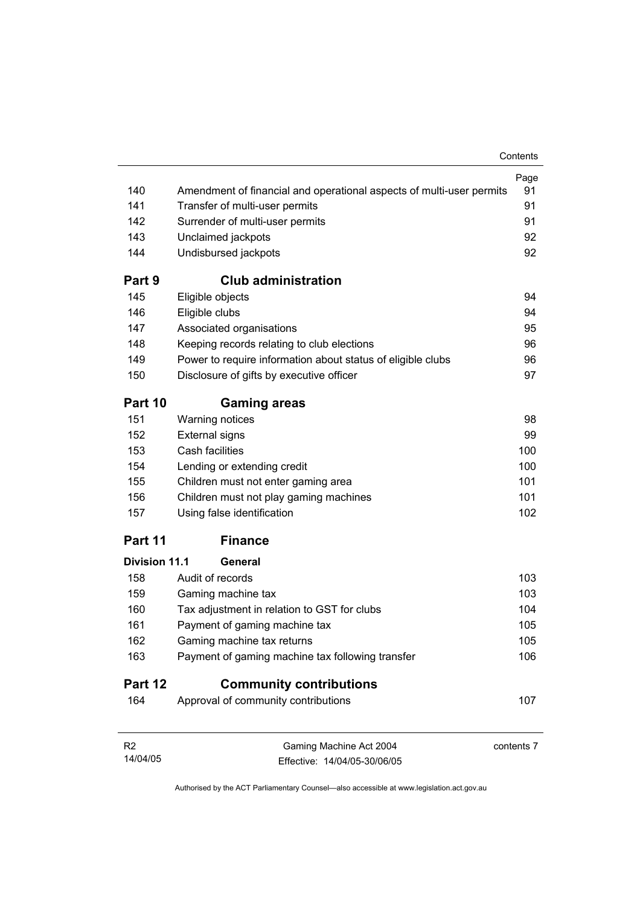| Page<br>140<br>Amendment of financial and operational aspects of multi-user permits<br>141<br>Transfer of multi-user permits<br>142<br>Surrender of multi-user permits<br>143<br>Unclaimed jackpots<br>144<br>Undisbursed jackpots<br><b>Club administration</b><br>Part 9<br>145<br>Eligible objects<br>Eligible clubs<br>146<br>147<br>Associated organisations<br>148<br>Keeping records relating to club elections<br>149<br>Power to require information about status of eligible clubs<br>150<br>Disclosure of gifts by executive officer<br>Part 10<br><b>Gaming areas</b><br>151<br><b>Warning notices</b><br>152<br><b>External signs</b><br>153<br>Cash facilities<br>100<br>154<br>100<br>Lending or extending credit<br>101<br>155<br>Children must not enter gaming area<br>101<br>156<br>Children must not play gaming machines<br>157<br>Using false identification<br>102<br><b>Finance</b><br>Part 11<br><b>Division 11.1</b><br>General<br>103<br>158<br>Audit of records |
|---------------------------------------------------------------------------------------------------------------------------------------------------------------------------------------------------------------------------------------------------------------------------------------------------------------------------------------------------------------------------------------------------------------------------------------------------------------------------------------------------------------------------------------------------------------------------------------------------------------------------------------------------------------------------------------------------------------------------------------------------------------------------------------------------------------------------------------------------------------------------------------------------------------------------------------------------------------------------------------------|
|                                                                                                                                                                                                                                                                                                                                                                                                                                                                                                                                                                                                                                                                                                                                                                                                                                                                                                                                                                                             |
|                                                                                                                                                                                                                                                                                                                                                                                                                                                                                                                                                                                                                                                                                                                                                                                                                                                                                                                                                                                             |
|                                                                                                                                                                                                                                                                                                                                                                                                                                                                                                                                                                                                                                                                                                                                                                                                                                                                                                                                                                                             |
|                                                                                                                                                                                                                                                                                                                                                                                                                                                                                                                                                                                                                                                                                                                                                                                                                                                                                                                                                                                             |
|                                                                                                                                                                                                                                                                                                                                                                                                                                                                                                                                                                                                                                                                                                                                                                                                                                                                                                                                                                                             |
|                                                                                                                                                                                                                                                                                                                                                                                                                                                                                                                                                                                                                                                                                                                                                                                                                                                                                                                                                                                             |
|                                                                                                                                                                                                                                                                                                                                                                                                                                                                                                                                                                                                                                                                                                                                                                                                                                                                                                                                                                                             |
|                                                                                                                                                                                                                                                                                                                                                                                                                                                                                                                                                                                                                                                                                                                                                                                                                                                                                                                                                                                             |
|                                                                                                                                                                                                                                                                                                                                                                                                                                                                                                                                                                                                                                                                                                                                                                                                                                                                                                                                                                                             |
|                                                                                                                                                                                                                                                                                                                                                                                                                                                                                                                                                                                                                                                                                                                                                                                                                                                                                                                                                                                             |
|                                                                                                                                                                                                                                                                                                                                                                                                                                                                                                                                                                                                                                                                                                                                                                                                                                                                                                                                                                                             |
|                                                                                                                                                                                                                                                                                                                                                                                                                                                                                                                                                                                                                                                                                                                                                                                                                                                                                                                                                                                             |
|                                                                                                                                                                                                                                                                                                                                                                                                                                                                                                                                                                                                                                                                                                                                                                                                                                                                                                                                                                                             |
|                                                                                                                                                                                                                                                                                                                                                                                                                                                                                                                                                                                                                                                                                                                                                                                                                                                                                                                                                                                             |
|                                                                                                                                                                                                                                                                                                                                                                                                                                                                                                                                                                                                                                                                                                                                                                                                                                                                                                                                                                                             |
|                                                                                                                                                                                                                                                                                                                                                                                                                                                                                                                                                                                                                                                                                                                                                                                                                                                                                                                                                                                             |
|                                                                                                                                                                                                                                                                                                                                                                                                                                                                                                                                                                                                                                                                                                                                                                                                                                                                                                                                                                                             |
|                                                                                                                                                                                                                                                                                                                                                                                                                                                                                                                                                                                                                                                                                                                                                                                                                                                                                                                                                                                             |
|                                                                                                                                                                                                                                                                                                                                                                                                                                                                                                                                                                                                                                                                                                                                                                                                                                                                                                                                                                                             |
|                                                                                                                                                                                                                                                                                                                                                                                                                                                                                                                                                                                                                                                                                                                                                                                                                                                                                                                                                                                             |
|                                                                                                                                                                                                                                                                                                                                                                                                                                                                                                                                                                                                                                                                                                                                                                                                                                                                                                                                                                                             |
|                                                                                                                                                                                                                                                                                                                                                                                                                                                                                                                                                                                                                                                                                                                                                                                                                                                                                                                                                                                             |
|                                                                                                                                                                                                                                                                                                                                                                                                                                                                                                                                                                                                                                                                                                                                                                                                                                                                                                                                                                                             |
|                                                                                                                                                                                                                                                                                                                                                                                                                                                                                                                                                                                                                                                                                                                                                                                                                                                                                                                                                                                             |
| 159<br>103<br>Gaming machine tax                                                                                                                                                                                                                                                                                                                                                                                                                                                                                                                                                                                                                                                                                                                                                                                                                                                                                                                                                            |
| 160<br>Tax adjustment in relation to GST for clubs<br>104                                                                                                                                                                                                                                                                                                                                                                                                                                                                                                                                                                                                                                                                                                                                                                                                                                                                                                                                   |
| 161<br>Payment of gaming machine tax<br>105                                                                                                                                                                                                                                                                                                                                                                                                                                                                                                                                                                                                                                                                                                                                                                                                                                                                                                                                                 |
| 162<br>Gaming machine tax returns<br>105                                                                                                                                                                                                                                                                                                                                                                                                                                                                                                                                                                                                                                                                                                                                                                                                                                                                                                                                                    |
| 163<br>Payment of gaming machine tax following transfer<br>106                                                                                                                                                                                                                                                                                                                                                                                                                                                                                                                                                                                                                                                                                                                                                                                                                                                                                                                              |
| Part 12<br><b>Community contributions</b>                                                                                                                                                                                                                                                                                                                                                                                                                                                                                                                                                                                                                                                                                                                                                                                                                                                                                                                                                   |
| 164<br>Approval of community contributions<br>107                                                                                                                                                                                                                                                                                                                                                                                                                                                                                                                                                                                                                                                                                                                                                                                                                                                                                                                                           |
| R <sub>2</sub><br>Gaming Machine Act 2004<br>contents 7<br>14/04/05<br>Effective: 14/04/05-30/06/05                                                                                                                                                                                                                                                                                                                                                                                                                                                                                                                                                                                                                                                                                                                                                                                                                                                                                         |
| Authorised by the ACT Parliamentary Counsel-also accessible at www.legislation.act.gov.au                                                                                                                                                                                                                                                                                                                                                                                                                                                                                                                                                                                                                                                                                                                                                                                                                                                                                                   |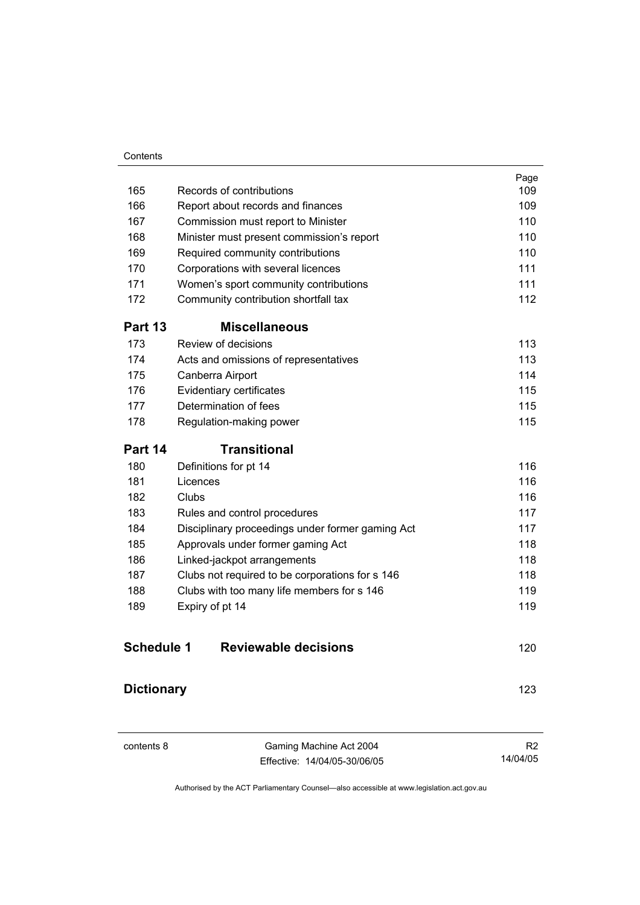#### **Contents**

|                   |                                                  | Page |
|-------------------|--------------------------------------------------|------|
| 165               | Records of contributions                         | 109  |
| 166               | Report about records and finances                | 109  |
| 167               | Commission must report to Minister               | 110  |
| 168               | Minister must present commission's report        | 110  |
| 169               | Required community contributions                 | 110  |
| 170               | Corporations with several licences               | 111  |
| 171               | Women's sport community contributions            | 111  |
| 172               | Community contribution shortfall tax             | 112  |
| Part 13           | <b>Miscellaneous</b>                             |      |
| 173               | Review of decisions                              | 113  |
| 174               | Acts and omissions of representatives            | 113  |
| 175               | Canberra Airport                                 | 114  |
| 176               | Evidentiary certificates                         | 115  |
| 177               | Determination of fees                            | 115  |
| 178               | Regulation-making power                          | 115  |
| Part 14           | <b>Transitional</b>                              |      |
| 180               | Definitions for pt 14                            | 116  |
| 181               | Licences                                         | 116  |
| 182               | Clubs                                            | 116  |
| 183               | Rules and control procedures                     | 117  |
| 184               | Disciplinary proceedings under former gaming Act | 117  |
| 185               | Approvals under former gaming Act                | 118  |
| 186               | Linked-jackpot arrangements                      | 118  |
| 187               | Clubs not required to be corporations for s 146  | 118  |
| 188               | Clubs with too many life members for s 146       | 119  |
| 189               | Expiry of pt 14                                  | 119  |
| <b>Schedule 1</b> | <b>Reviewable decisions</b>                      | 120  |
| <b>Dictionary</b> |                                                  | 123  |

| contents 8 |  |
|------------|--|
|------------|--|

Gaming Machine Act 2004 Effective: 14/04/05-30/06/05

R2 14/04/05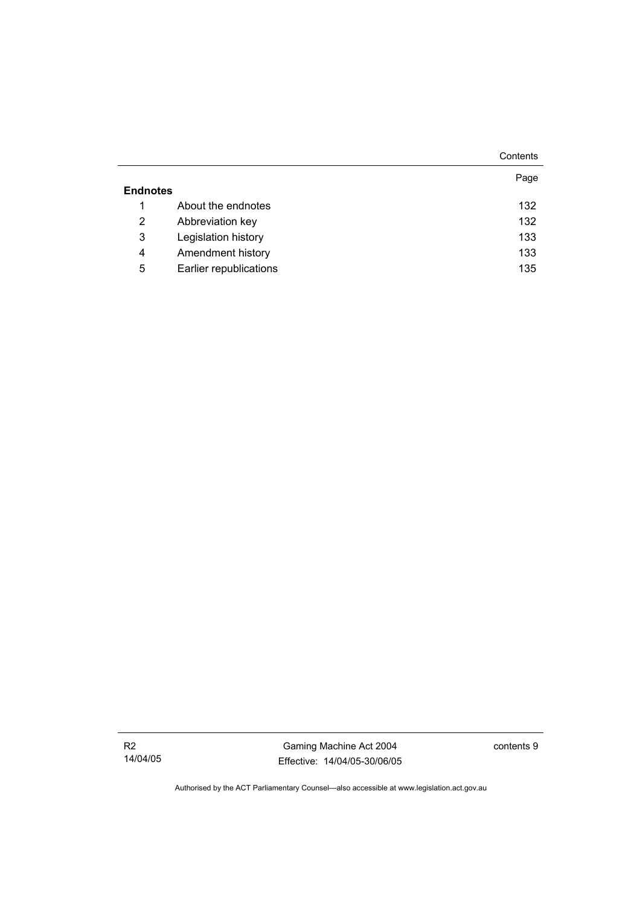|                 |                        | Contents |
|-----------------|------------------------|----------|
|                 |                        | Page     |
| <b>Endnotes</b> |                        |          |
|                 | About the endnotes     | 132      |
| 2               | Abbreviation key       | 132      |
| 3               | Legislation history    | 133      |
| 4               | Amendment history      | 133      |
| 5               | Earlier republications | 135      |

R2 14/04/05

Gaming Machine Act 2004 Effective: 14/04/05-30/06/05 contents 9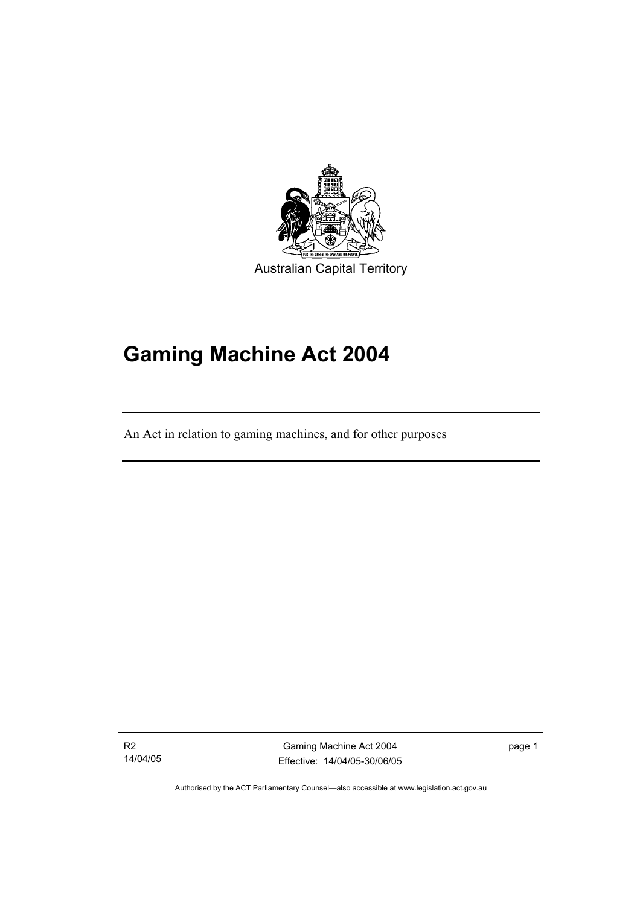

# **Gaming Machine Act 2004**

An Act in relation to gaming machines, and for other purposes

R2 14/04/05

I

Gaming Machine Act 2004 Effective: 14/04/05-30/06/05 page 1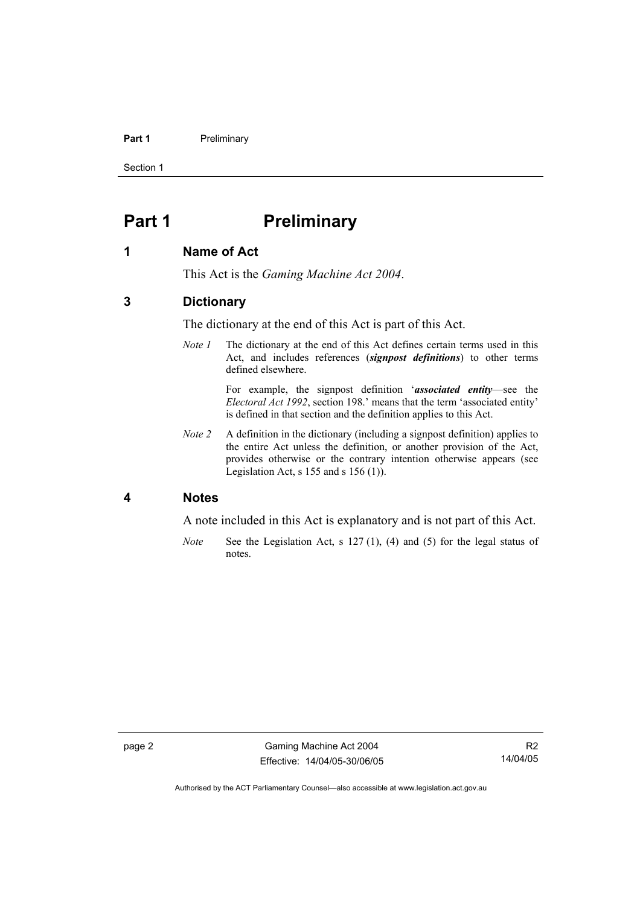#### **Part 1** Preliminary

Section 1

# **Part 1** Preliminary

#### **1 Name of Act**

This Act is the *Gaming Machine Act 2004*.

#### **3 Dictionary**

The dictionary at the end of this Act is part of this Act.

*Note 1* The dictionary at the end of this Act defines certain terms used in this Act, and includes references (*signpost definitions*) to other terms defined elsewhere.

> For example, the signpost definition '*associated entity*—see the *Electoral Act 1992*, section 198.' means that the term 'associated entity' is defined in that section and the definition applies to this Act.

*Note 2* A definition in the dictionary (including a signpost definition) applies to the entire Act unless the definition, or another provision of the Act, provides otherwise or the contrary intention otherwise appears (see Legislation Act, s  $155$  and s  $156$  (1)).

#### **4 Notes**

A note included in this Act is explanatory and is not part of this Act.

*Note* See the Legislation Act, s 127 (1), (4) and (5) for the legal status of notes.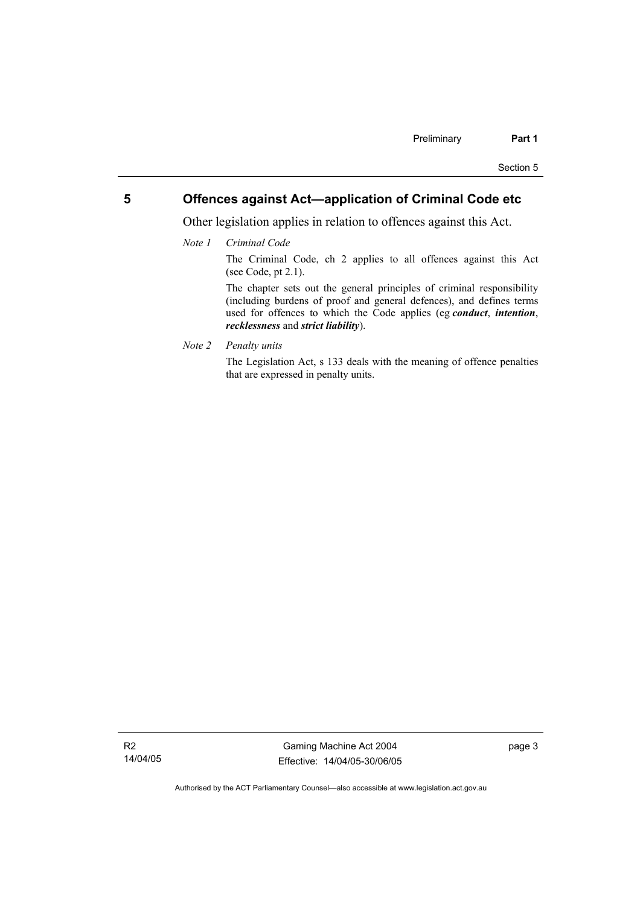#### **5 Offences against Act—application of Criminal Code etc**

Other legislation applies in relation to offences against this Act.

*Note 1 Criminal Code*

The Criminal Code, ch 2 applies to all offences against this Act (see Code, pt 2.1).

The chapter sets out the general principles of criminal responsibility (including burdens of proof and general defences), and defines terms used for offences to which the Code applies (eg *conduct*, *intention*, *recklessness* and *strict liability*).

*Note 2 Penalty units* 

The Legislation Act, s 133 deals with the meaning of offence penalties that are expressed in penalty units.

R2 14/04/05

Gaming Machine Act 2004 Effective: 14/04/05-30/06/05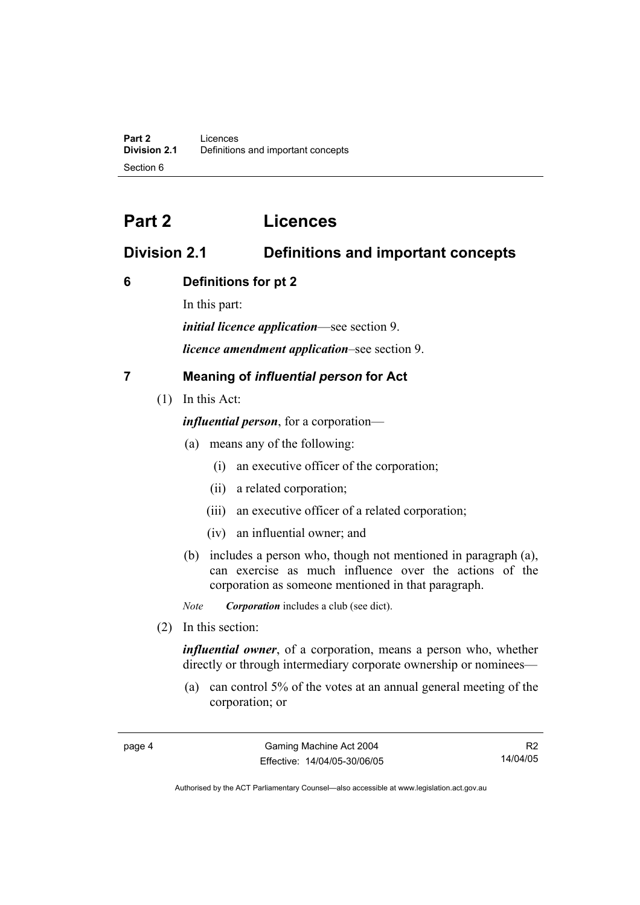# **Part 2 Licences**

# **Division 2.1 Definitions and important concepts**

# **6 Definitions for pt 2**

In this part:

*initial licence application*—see section 9.

*licence amendment application*–see section 9.

# **7 Meaning of** *influential person* **for Act**

(1) In this Act:

*influential person*, for a corporation—

- (a) means any of the following:
	- (i) an executive officer of the corporation;
	- (ii) a related corporation;
	- (iii) an executive officer of a related corporation;
	- (iv) an influential owner; and
- (b) includes a person who, though not mentioned in paragraph (a), can exercise as much influence over the actions of the corporation as someone mentioned in that paragraph.

*Note Corporation* includes a club (see dict).

(2) In this section:

*influential owner*, of a corporation, means a person who, whether directly or through intermediary corporate ownership or nominees—

 (a) can control 5% of the votes at an annual general meeting of the corporation; or

R2 14/04/05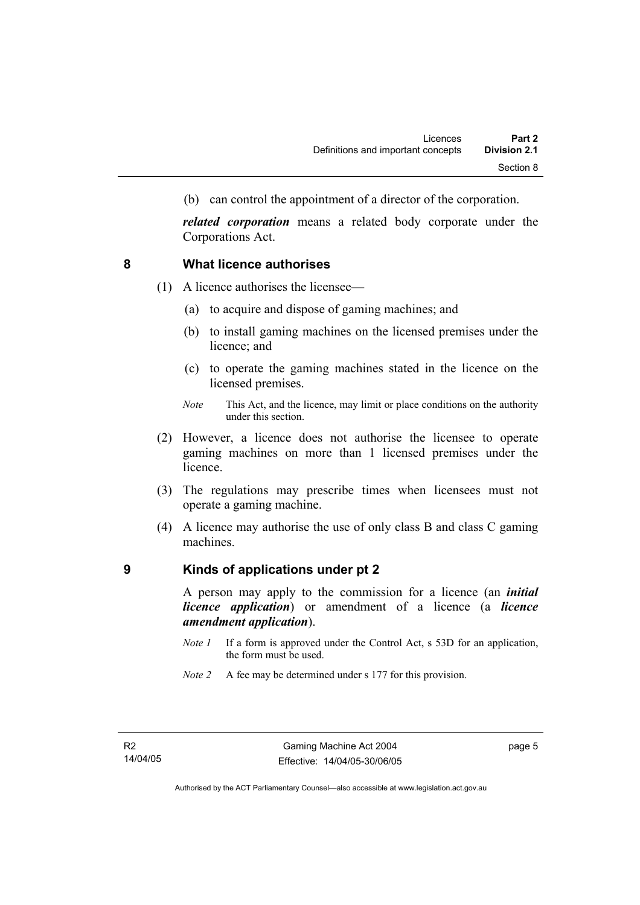(b) can control the appointment of a director of the corporation.

*related corporation* means a related body corporate under the Corporations Act.

#### **8 What licence authorises**

- (1) A licence authorises the licensee—
	- (a) to acquire and dispose of gaming machines; and
	- (b) to install gaming machines on the licensed premises under the licence; and
	- (c) to operate the gaming machines stated in the licence on the licensed premises.
	- *Note* This Act, and the licence, may limit or place conditions on the authority under this section.
- (2) However, a licence does not authorise the licensee to operate gaming machines on more than 1 licensed premises under the licence.
- (3) The regulations may prescribe times when licensees must not operate a gaming machine.
- (4) A licence may authorise the use of only class B and class C gaming machines.

#### **9 Kinds of applications under pt 2**

A person may apply to the commission for a licence (an *initial licence application*) or amendment of a licence (a *licence amendment application*).

- *Note 1* If a form is approved under the Control Act, s 53D for an application, the form must be used.
- *Note 2* A fee may be determined under s 177 for this provision.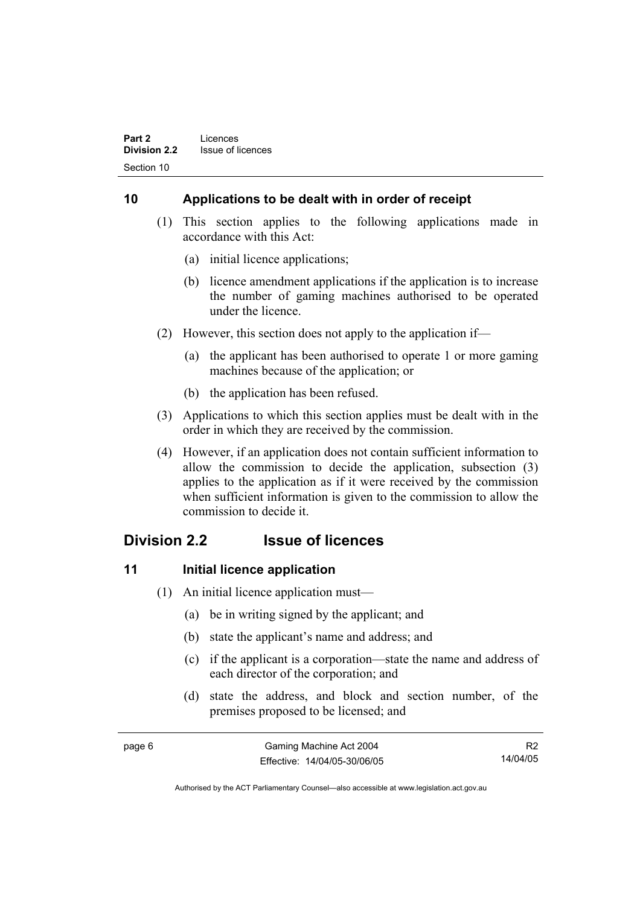# **10 Applications to be dealt with in order of receipt**

- (1) This section applies to the following applications made in accordance with this Act:
	- (a) initial licence applications;
	- (b) licence amendment applications if the application is to increase the number of gaming machines authorised to be operated under the licence.
- (2) However, this section does not apply to the application if—
	- (a) the applicant has been authorised to operate 1 or more gaming machines because of the application; or
	- (b) the application has been refused.
- (3) Applications to which this section applies must be dealt with in the order in which they are received by the commission.
- (4) However, if an application does not contain sufficient information to allow the commission to decide the application, subsection (3) applies to the application as if it were received by the commission when sufficient information is given to the commission to allow the commission to decide it.

# **Division 2.2 Issue of licences**

# **11** Initial licence application

- (1) An initial licence application must—
	- (a) be in writing signed by the applicant; and
	- (b) state the applicant's name and address; and
	- (c) if the applicant is a corporation—state the name and address of each director of the corporation; and
	- (d) state the address, and block and section number, of the premises proposed to be licensed; and

| page 6 | Gaming Machine Act 2004      |          |
|--------|------------------------------|----------|
|        | Effective: 14/04/05-30/06/05 | 14/04/05 |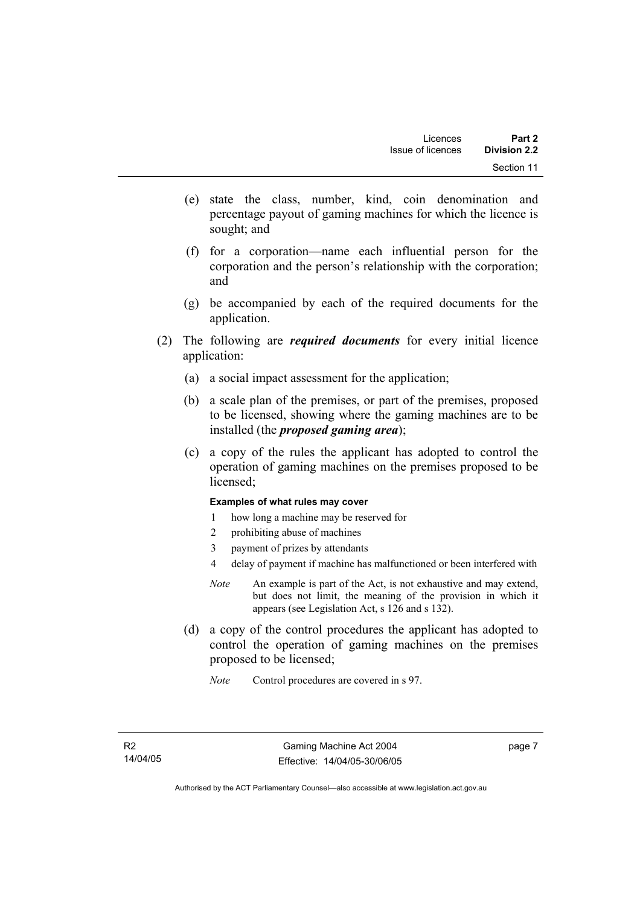- (e) state the class, number, kind, coin denomination and percentage payout of gaming machines for which the licence is sought; and
- (f) for a corporation—name each influential person for the corporation and the person's relationship with the corporation; and
- (g) be accompanied by each of the required documents for the application.
- (2) The following are *required documents* for every initial licence application:
	- (a) a social impact assessment for the application;
	- (b) a scale plan of the premises, or part of the premises, proposed to be licensed, showing where the gaming machines are to be installed (the *proposed gaming area*);
	- (c) a copy of the rules the applicant has adopted to control the operation of gaming machines on the premises proposed to be licensed;

#### **Examples of what rules may cover**

- 1 how long a machine may be reserved for
- 2 prohibiting abuse of machines
- 3 payment of prizes by attendants
- 4 delay of payment if machine has malfunctioned or been interfered with
- *Note* An example is part of the Act, is not exhaustive and may extend, but does not limit, the meaning of the provision in which it appears (see Legislation Act, s 126 and s 132).
- (d) a copy of the control procedures the applicant has adopted to control the operation of gaming machines on the premises proposed to be licensed;
	- *Note* Control procedures are covered in s 97.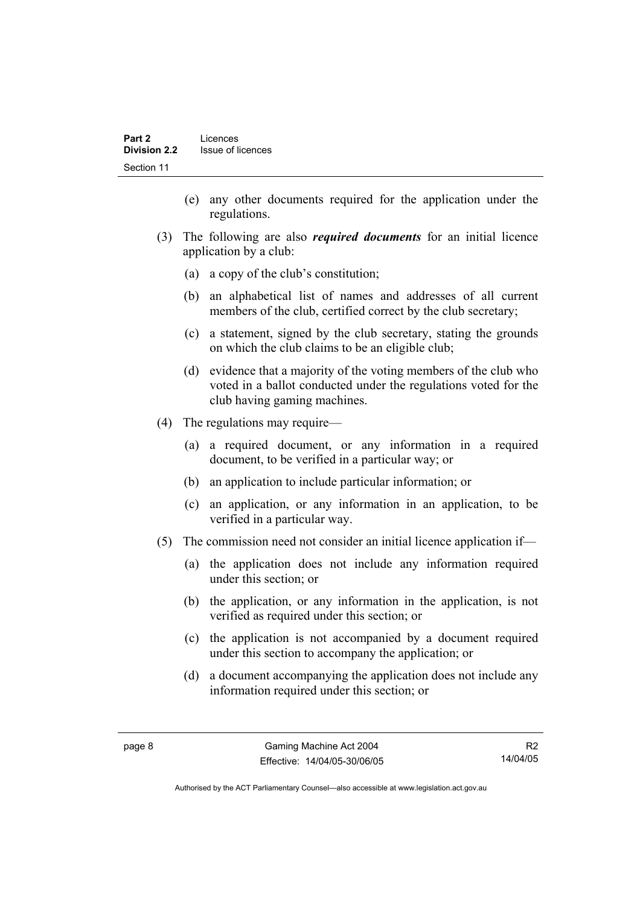- (e) any other documents required for the application under the regulations.
- (3) The following are also *required documents* for an initial licence application by a club:
	- (a) a copy of the club's constitution;
	- (b) an alphabetical list of names and addresses of all current members of the club, certified correct by the club secretary;
	- (c) a statement, signed by the club secretary, stating the grounds on which the club claims to be an eligible club;
	- (d) evidence that a majority of the voting members of the club who voted in a ballot conducted under the regulations voted for the club having gaming machines.
- (4) The regulations may require—
	- (a) a required document, or any information in a required document, to be verified in a particular way; or
	- (b) an application to include particular information; or
	- (c) an application, or any information in an application, to be verified in a particular way.
- (5) The commission need not consider an initial licence application if—
	- (a) the application does not include any information required under this section; or
	- (b) the application, or any information in the application, is not verified as required under this section; or
	- (c) the application is not accompanied by a document required under this section to accompany the application; or
	- (d) a document accompanying the application does not include any information required under this section; or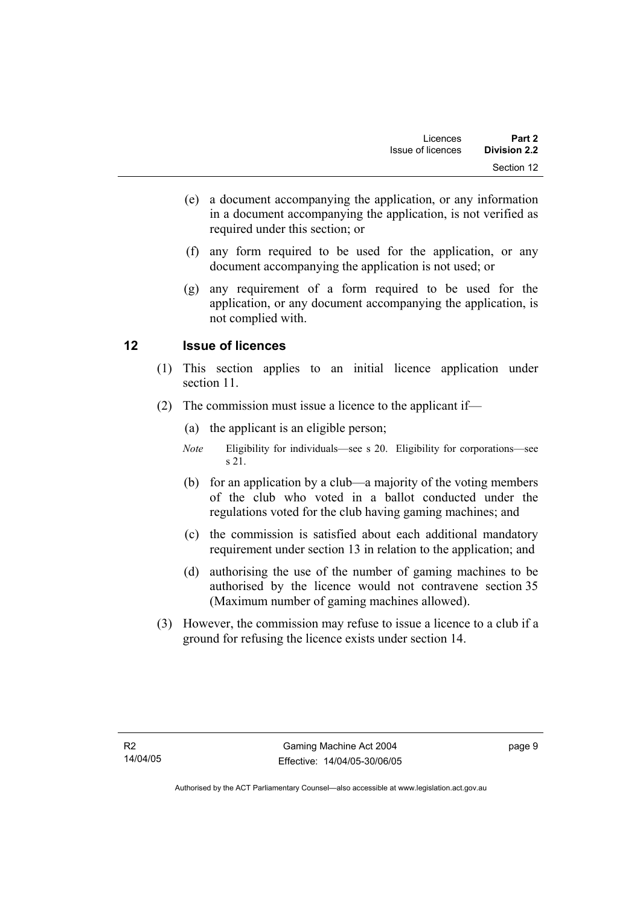- (e) a document accompanying the application, or any information in a document accompanying the application, is not verified as required under this section; or
- (f) any form required to be used for the application, or any document accompanying the application is not used; or
- (g) any requirement of a form required to be used for the application, or any document accompanying the application, is not complied with.

# **12 Issue of licences**

- (1) This section applies to an initial licence application under section 11.
- (2) The commission must issue a licence to the applicant if—
	- (a) the applicant is an eligible person;
	- *Note* Eligibility for individuals—see s 20. Eligibility for corporations—see s 21.
	- (b) for an application by a club—a majority of the voting members of the club who voted in a ballot conducted under the regulations voted for the club having gaming machines; and
	- (c) the commission is satisfied about each additional mandatory requirement under section 13 in relation to the application; and
	- (d) authorising the use of the number of gaming machines to be authorised by the licence would not contravene section 35 (Maximum number of gaming machines allowed).
- (3) However, the commission may refuse to issue a licence to a club if a ground for refusing the licence exists under section 14.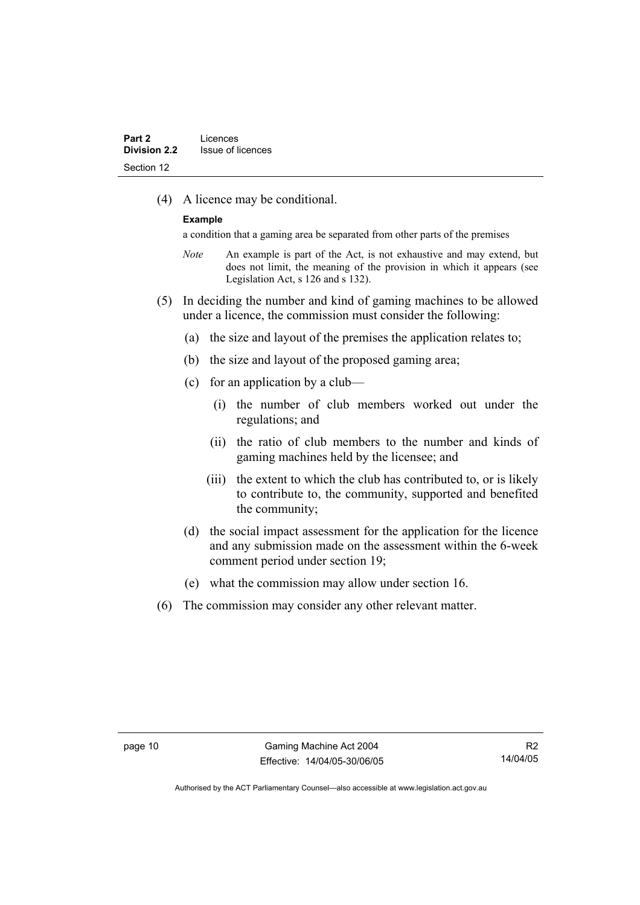(4) A licence may be conditional.

#### **Example**

a condition that a gaming area be separated from other parts of the premises

- *Note* An example is part of the Act, is not exhaustive and may extend, but does not limit, the meaning of the provision in which it appears (see Legislation Act, s 126 and s 132).
- (5) In deciding the number and kind of gaming machines to be allowed under a licence, the commission must consider the following:
	- (a) the size and layout of the premises the application relates to;
	- (b) the size and layout of the proposed gaming area;
	- (c) for an application by a club—
		- (i) the number of club members worked out under the regulations; and
		- (ii) the ratio of club members to the number and kinds of gaming machines held by the licensee; and
		- (iii) the extent to which the club has contributed to, or is likely to contribute to, the community, supported and benefited the community;
	- (d) the social impact assessment for the application for the licence and any submission made on the assessment within the 6-week comment period under section 19;
	- (e) what the commission may allow under section 16.
- (6) The commission may consider any other relevant matter.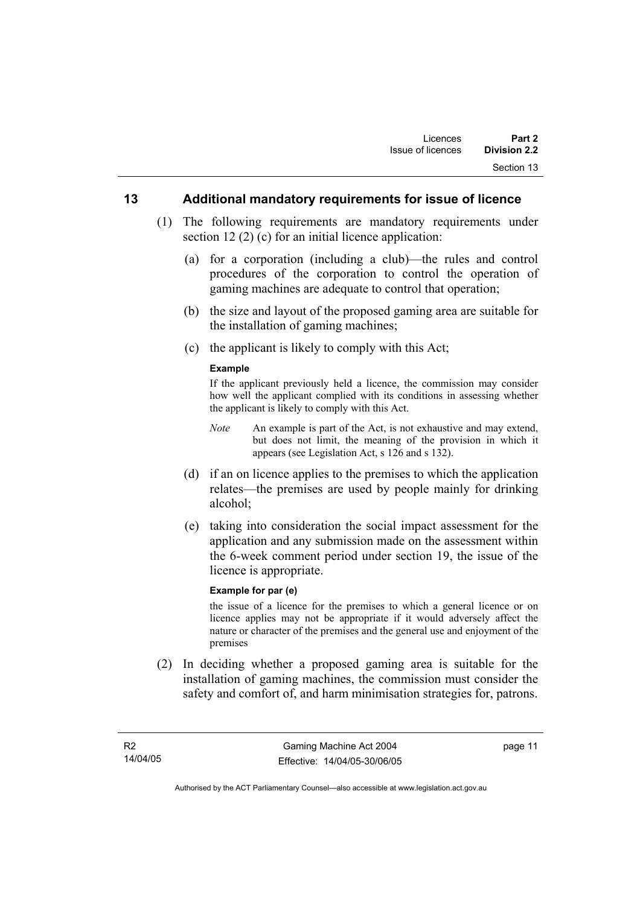#### **13 Additional mandatory requirements for issue of licence**

- (1) The following requirements are mandatory requirements under section 12 (2) (c) for an initial licence application:
	- (a) for a corporation (including a club)—the rules and control procedures of the corporation to control the operation of gaming machines are adequate to control that operation;
	- (b) the size and layout of the proposed gaming area are suitable for the installation of gaming machines;
	- (c) the applicant is likely to comply with this Act;

#### **Example**

If the applicant previously held a licence, the commission may consider how well the applicant complied with its conditions in assessing whether the applicant is likely to comply with this Act.

- *Note* An example is part of the Act, is not exhaustive and may extend, but does not limit, the meaning of the provision in which it appears (see Legislation Act, s 126 and s 132).
- (d) if an on licence applies to the premises to which the application relates—the premises are used by people mainly for drinking alcohol;
- (e) taking into consideration the social impact assessment for the application and any submission made on the assessment within the 6-week comment period under section 19, the issue of the licence is appropriate.

#### **Example for par (e)**

the issue of a licence for the premises to which a general licence or on licence applies may not be appropriate if it would adversely affect the nature or character of the premises and the general use and enjoyment of the premises

 (2) In deciding whether a proposed gaming area is suitable for the installation of gaming machines, the commission must consider the safety and comfort of, and harm minimisation strategies for, patrons.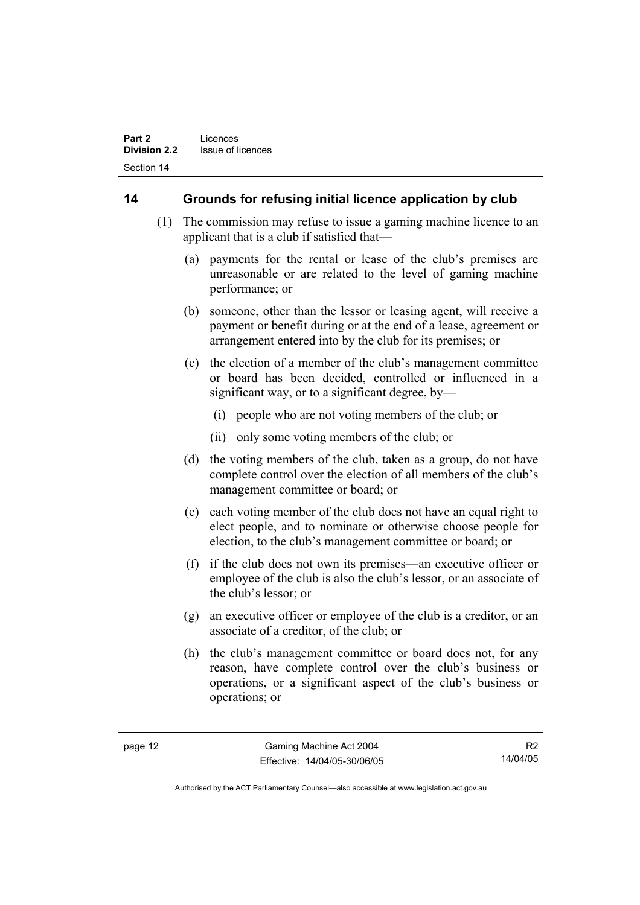# **14 Grounds for refusing initial licence application by club**

- (1) The commission may refuse to issue a gaming machine licence to an applicant that is a club if satisfied that—
	- (a) payments for the rental or lease of the club's premises are unreasonable or are related to the level of gaming machine performance; or
	- (b) someone, other than the lessor or leasing agent, will receive a payment or benefit during or at the end of a lease, agreement or arrangement entered into by the club for its premises; or
	- (c) the election of a member of the club's management committee or board has been decided, controlled or influenced in a significant way, or to a significant degree, by—
		- (i) people who are not voting members of the club; or
		- (ii) only some voting members of the club; or
	- (d) the voting members of the club, taken as a group, do not have complete control over the election of all members of the club's management committee or board; or
	- (e) each voting member of the club does not have an equal right to elect people, and to nominate or otherwise choose people for election, to the club's management committee or board; or
	- (f) if the club does not own its premises—an executive officer or employee of the club is also the club's lessor, or an associate of the club's lessor; or
	- (g) an executive officer or employee of the club is a creditor, or an associate of a creditor, of the club; or
	- (h) the club's management committee or board does not, for any reason, have complete control over the club's business or operations, or a significant aspect of the club's business or operations; or

R2 14/04/05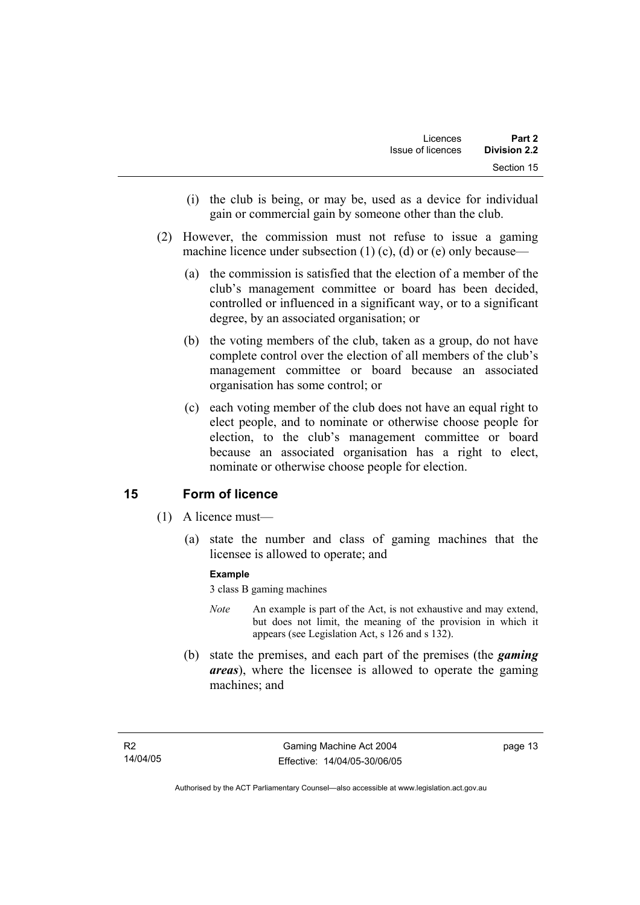- (i) the club is being, or may be, used as a device for individual gain or commercial gain by someone other than the club.
- (2) However, the commission must not refuse to issue a gaming machine licence under subsection  $(1)$   $(c)$ ,  $(d)$  or  $(e)$  only because—
	- (a) the commission is satisfied that the election of a member of the club's management committee or board has been decided, controlled or influenced in a significant way, or to a significant degree, by an associated organisation; or
	- (b) the voting members of the club, taken as a group, do not have complete control over the election of all members of the club's management committee or board because an associated organisation has some control; or
	- (c) each voting member of the club does not have an equal right to elect people, and to nominate or otherwise choose people for election, to the club's management committee or board because an associated organisation has a right to elect, nominate or otherwise choose people for election.

# **15 Form of licence**

- (1) A licence must—
	- (a) state the number and class of gaming machines that the licensee is allowed to operate; and

#### **Example**

3 class B gaming machines

- *Note* An example is part of the Act, is not exhaustive and may extend, but does not limit, the meaning of the provision in which it appears (see Legislation Act, s 126 and s 132).
- (b) state the premises, and each part of the premises (the *gaming areas*), where the licensee is allowed to operate the gaming machines; and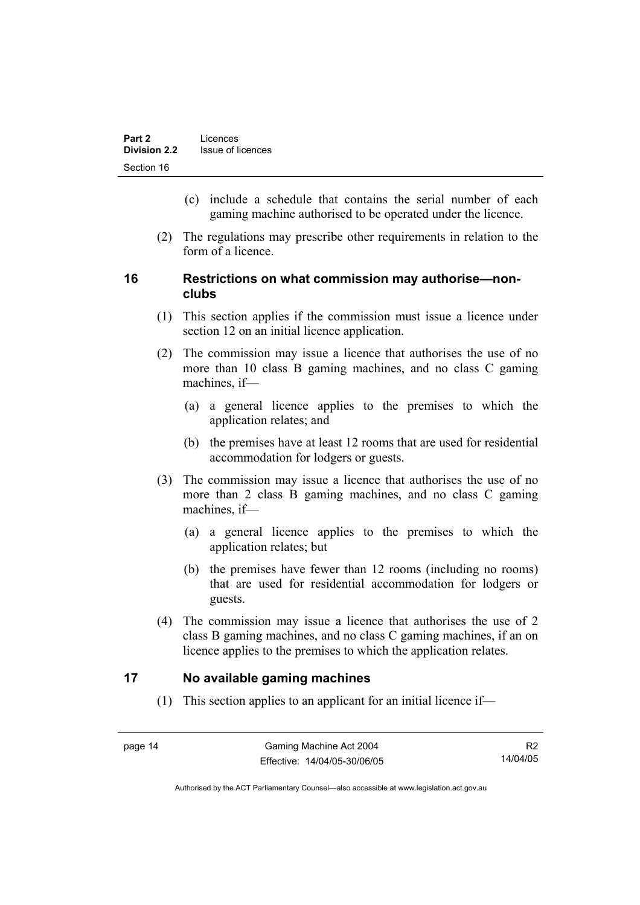- (c) include a schedule that contains the serial number of each gaming machine authorised to be operated under the licence.
- (2) The regulations may prescribe other requirements in relation to the form of a licence.

### **16 Restrictions on what commission may authorise—nonclubs**

- (1) This section applies if the commission must issue a licence under section 12 on an initial licence application.
- (2) The commission may issue a licence that authorises the use of no more than 10 class B gaming machines, and no class C gaming machines, if—
	- (a) a general licence applies to the premises to which the application relates; and
	- (b) the premises have at least 12 rooms that are used for residential accommodation for lodgers or guests.
- (3) The commission may issue a licence that authorises the use of no more than 2 class B gaming machines, and no class C gaming machines, if—
	- (a) a general licence applies to the premises to which the application relates; but
	- (b) the premises have fewer than 12 rooms (including no rooms) that are used for residential accommodation for lodgers or guests.
- (4) The commission may issue a licence that authorises the use of 2 class B gaming machines, and no class C gaming machines, if an on licence applies to the premises to which the application relates.

# **17 No available gaming machines**

(1) This section applies to an applicant for an initial licence if—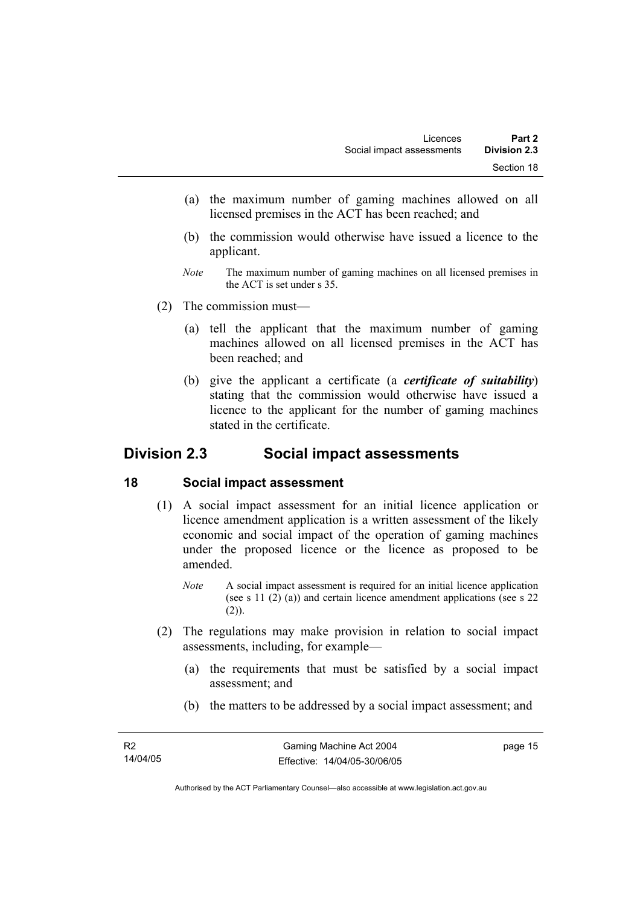- (a) the maximum number of gaming machines allowed on all licensed premises in the ACT has been reached; and
- (b) the commission would otherwise have issued a licence to the applicant.
- *Note* The maximum number of gaming machines on all licensed premises in the ACT is set under s 35.
- (2) The commission must—
	- (a) tell the applicant that the maximum number of gaming machines allowed on all licensed premises in the ACT has been reached; and
	- (b) give the applicant a certificate (a *certificate of suitability*) stating that the commission would otherwise have issued a licence to the applicant for the number of gaming machines stated in the certificate.

# **Division 2.3 Social impact assessments**

#### **18 Social impact assessment**

- (1) A social impact assessment for an initial licence application or licence amendment application is a written assessment of the likely economic and social impact of the operation of gaming machines under the proposed licence or the licence as proposed to be amended.
	- *Note* A social impact assessment is required for an initial licence application (see s 11 (2) (a)) and certain licence amendment applications (see s 22  $(2)$ ).
- (2) The regulations may make provision in relation to social impact assessments, including, for example—
	- (a) the requirements that must be satisfied by a social impact assessment; and
	- (b) the matters to be addressed by a social impact assessment; and

Authorised by the ACT Parliamentary Counsel—also accessible at www.legislation.act.gov.au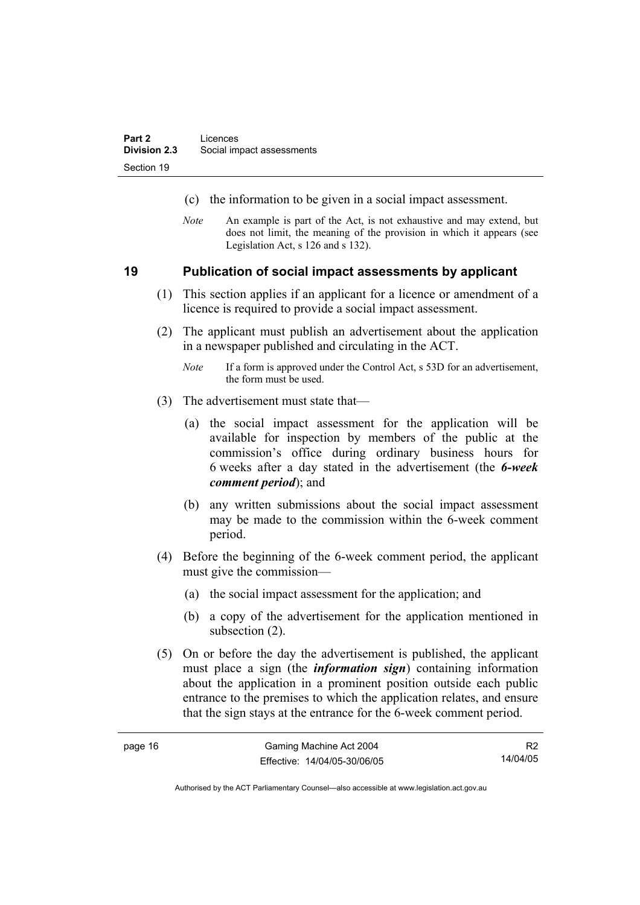- (c) the information to be given in a social impact assessment.
- *Note* An example is part of the Act, is not exhaustive and may extend, but does not limit, the meaning of the provision in which it appears (see Legislation Act, s 126 and s 132).

#### **19 Publication of social impact assessments by applicant**

- (1) This section applies if an applicant for a licence or amendment of a licence is required to provide a social impact assessment.
- (2) The applicant must publish an advertisement about the application in a newspaper published and circulating in the ACT.
	- *Note* If a form is approved under the Control Act, s 53D for an advertisement, the form must be used.
- (3) The advertisement must state that—

page 16

- (a) the social impact assessment for the application will be available for inspection by members of the public at the commission's office during ordinary business hours for 6 weeks after a day stated in the advertisement (the *6-week comment period*); and
- (b) any written submissions about the social impact assessment may be made to the commission within the 6-week comment period.
- (4) Before the beginning of the 6-week comment period, the applicant must give the commission—
	- (a) the social impact assessment for the application; and
	- (b) a copy of the advertisement for the application mentioned in subsection  $(2)$ .
- (5) On or before the day the advertisement is published, the applicant must place a sign (the *information sign*) containing information about the application in a prominent position outside each public entrance to the premises to which the application relates, and ensure that the sign stays at the entrance for the 6-week comment period.

| Gaming Machine Act 2004      | R <sub>2</sub> |
|------------------------------|----------------|
| Effective: 14/04/05-30/06/05 | 14/04/05       |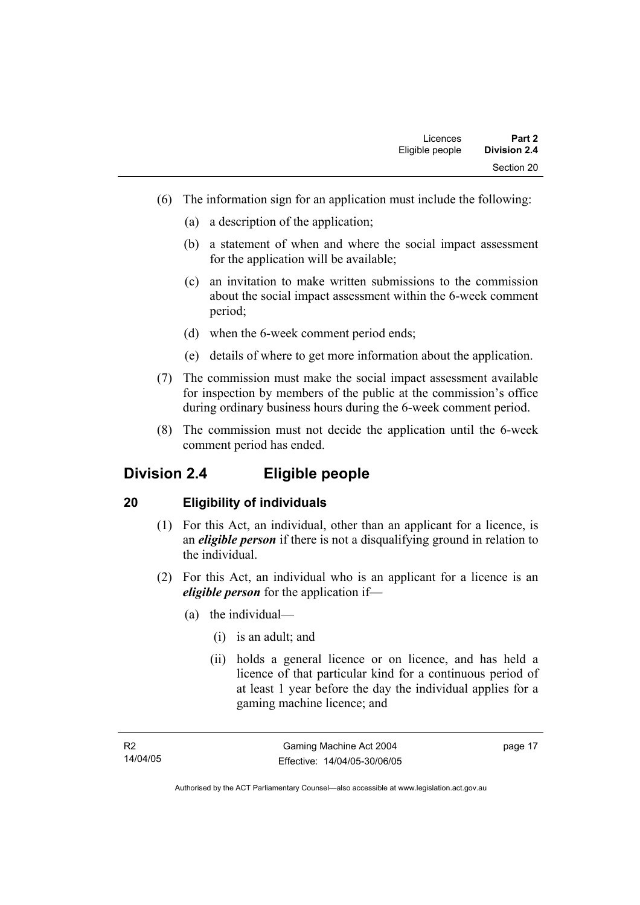- (6) The information sign for an application must include the following:
	- (a) a description of the application;
	- (b) a statement of when and where the social impact assessment for the application will be available;
	- (c) an invitation to make written submissions to the commission about the social impact assessment within the 6-week comment period;
	- (d) when the 6-week comment period ends;
	- (e) details of where to get more information about the application.
- (7) The commission must make the social impact assessment available for inspection by members of the public at the commission's office during ordinary business hours during the 6-week comment period.
- (8) The commission must not decide the application until the 6-week comment period has ended.

# **Division 2.4 Eligible people**

# **20 Eligibility of individuals**

- (1) For this Act, an individual, other than an applicant for a licence, is an *eligible person* if there is not a disqualifying ground in relation to the individual.
- (2) For this Act, an individual who is an applicant for a licence is an *eligible person* for the application if—
	- (a) the individual—
		- (i) is an adult; and
		- (ii) holds a general licence or on licence, and has held a licence of that particular kind for a continuous period of at least 1 year before the day the individual applies for a gaming machine licence; and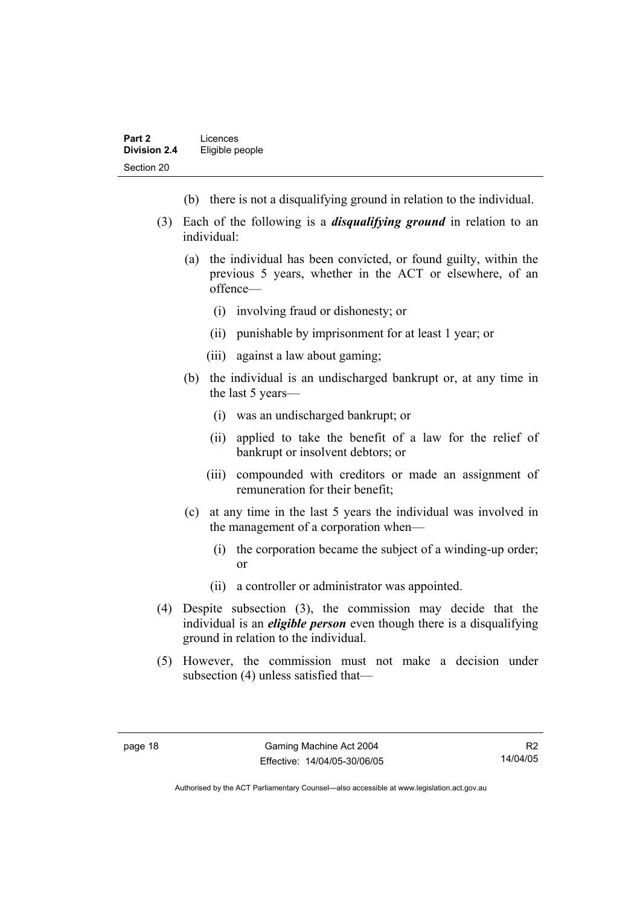- (b) there is not a disqualifying ground in relation to the individual.
- (3) Each of the following is a *disqualifying ground* in relation to an individual:
	- (a) the individual has been convicted, or found guilty, within the previous 5 years, whether in the ACT or elsewhere, of an offence—
		- (i) involving fraud or dishonesty; or
		- (ii) punishable by imprisonment for at least 1 year; or
		- (iii) against a law about gaming;
	- (b) the individual is an undischarged bankrupt or, at any time in the last 5 years—
		- (i) was an undischarged bankrupt; or
		- (ii) applied to take the benefit of a law for the relief of bankrupt or insolvent debtors; or
		- (iii) compounded with creditors or made an assignment of remuneration for their benefit;
	- (c) at any time in the last 5 years the individual was involved in the management of a corporation when—
		- (i) the corporation became the subject of a winding-up order; or
		- (ii) a controller or administrator was appointed.
- (4) Despite subsection (3), the commission may decide that the individual is an *eligible person* even though there is a disqualifying ground in relation to the individual.
- (5) However, the commission must not make a decision under subsection (4) unless satisfied that—

R2 14/04/05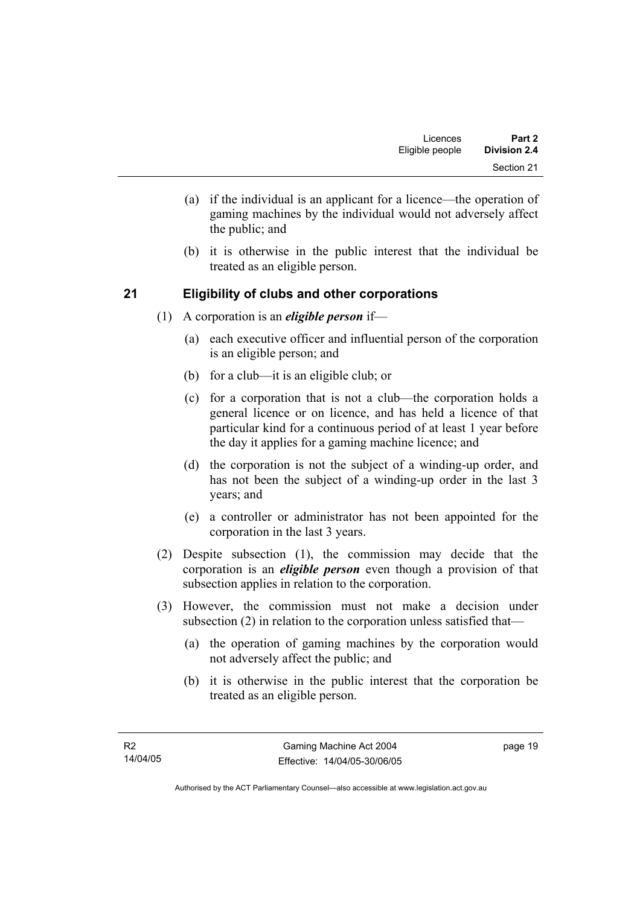- (a) if the individual is an applicant for a licence—the operation of gaming machines by the individual would not adversely affect the public; and
- (b) it is otherwise in the public interest that the individual be treated as an eligible person.

# **21 Eligibility of clubs and other corporations**

- (1) A corporation is an *eligible person* if—
	- (a) each executive officer and influential person of the corporation is an eligible person; and
	- (b) for a club—it is an eligible club; or
	- (c) for a corporation that is not a club—the corporation holds a general licence or on licence, and has held a licence of that particular kind for a continuous period of at least 1 year before the day it applies for a gaming machine licence; and
	- (d) the corporation is not the subject of a winding-up order, and has not been the subject of a winding-up order in the last 3 years; and
	- (e) a controller or administrator has not been appointed for the corporation in the last 3 years.
- (2) Despite subsection (1), the commission may decide that the corporation is an *eligible person* even though a provision of that subsection applies in relation to the corporation.
- (3) However, the commission must not make a decision under subsection (2) in relation to the corporation unless satisfied that—
	- (a) the operation of gaming machines by the corporation would not adversely affect the public; and
	- (b) it is otherwise in the public interest that the corporation be treated as an eligible person.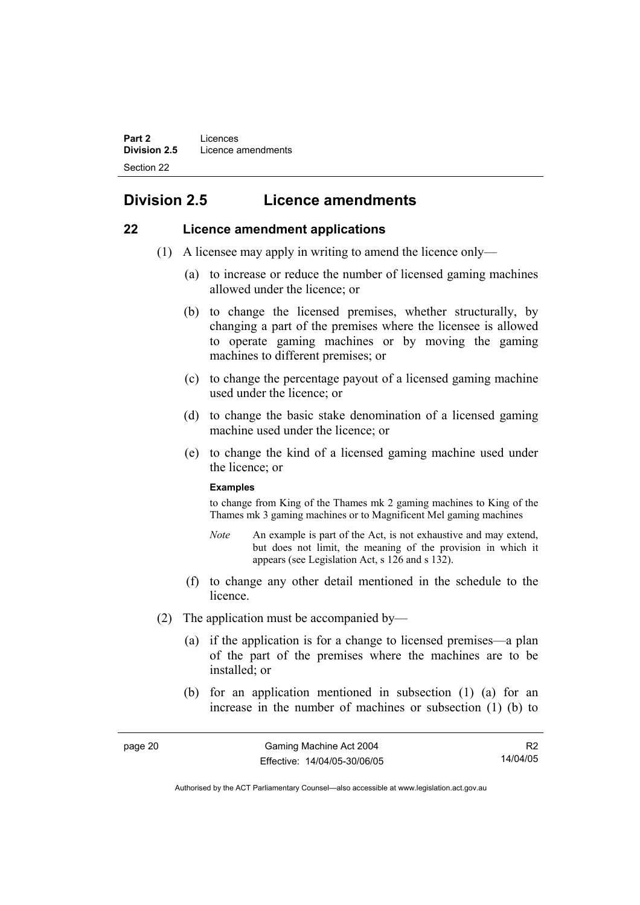# **Division 2.5 Licence amendments**

#### **22 Licence amendment applications**

- (1) A licensee may apply in writing to amend the licence only—
	- (a) to increase or reduce the number of licensed gaming machines allowed under the licence; or
	- (b) to change the licensed premises, whether structurally, by changing a part of the premises where the licensee is allowed to operate gaming machines or by moving the gaming machines to different premises; or
	- (c) to change the percentage payout of a licensed gaming machine used under the licence; or
	- (d) to change the basic stake denomination of a licensed gaming machine used under the licence; or
	- (e) to change the kind of a licensed gaming machine used under the licence; or

#### **Examples**

to change from King of the Thames mk 2 gaming machines to King of the Thames mk 3 gaming machines or to Magnificent Mel gaming machines

- *Note* An example is part of the Act, is not exhaustive and may extend, but does not limit, the meaning of the provision in which it appears (see Legislation Act, s 126 and s 132).
- (f) to change any other detail mentioned in the schedule to the licence.
- (2) The application must be accompanied by—
	- (a) if the application is for a change to licensed premises—a plan of the part of the premises where the machines are to be installed; or
	- (b) for an application mentioned in subsection (1) (a) for an increase in the number of machines or subsection (1) (b) to

R2 14/04/05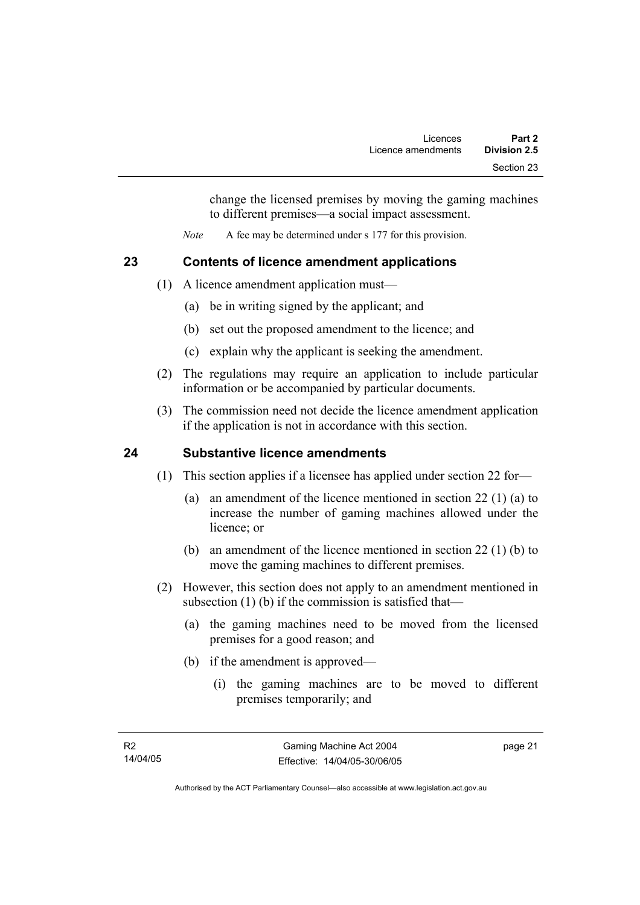change the licensed premises by moving the gaming machines to different premises—a social impact assessment.

*Note* A fee may be determined under s 177 for this provision.

# **23 Contents of licence amendment applications**

- (1) A licence amendment application must—
	- (a) be in writing signed by the applicant; and
	- (b) set out the proposed amendment to the licence; and
	- (c) explain why the applicant is seeking the amendment.
- (2) The regulations may require an application to include particular information or be accompanied by particular documents.
- (3) The commission need not decide the licence amendment application if the application is not in accordance with this section.

# **24 Substantive licence amendments**

- (1) This section applies if a licensee has applied under section 22 for—
	- (a) an amendment of the licence mentioned in section 22 (1) (a) to increase the number of gaming machines allowed under the licence; or
	- (b) an amendment of the licence mentioned in section 22 (1) (b) to move the gaming machines to different premises.
- (2) However, this section does not apply to an amendment mentioned in subsection (1) (b) if the commission is satisfied that—
	- (a) the gaming machines need to be moved from the licensed premises for a good reason; and
	- (b) if the amendment is approved—
		- (i) the gaming machines are to be moved to different premises temporarily; and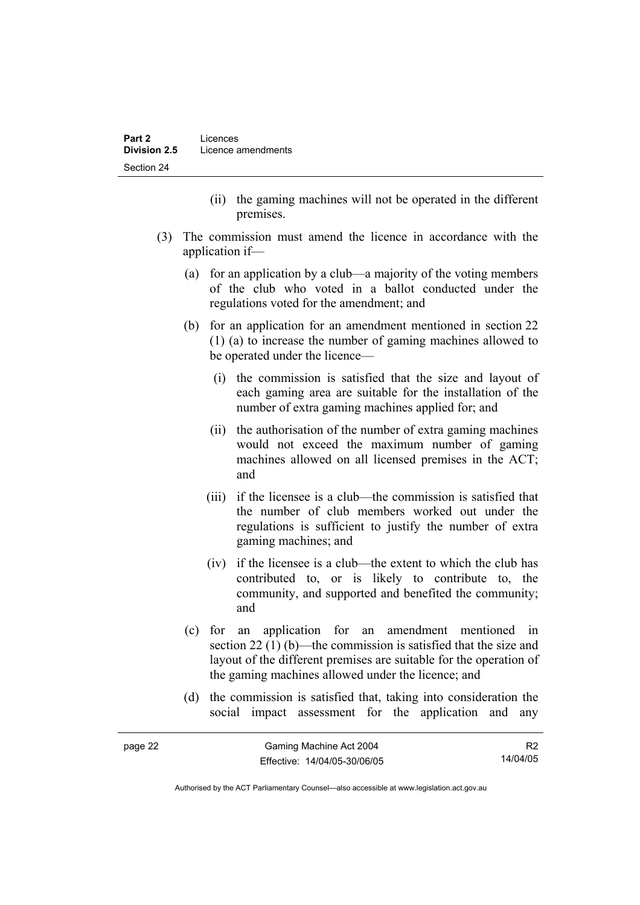- (ii) the gaming machines will not be operated in the different premises.
- (3) The commission must amend the licence in accordance with the application if—
	- (a) for an application by a club—a majority of the voting members of the club who voted in a ballot conducted under the regulations voted for the amendment; and
	- (b) for an application for an amendment mentioned in section 22 (1) (a) to increase the number of gaming machines allowed to be operated under the licence—
		- (i) the commission is satisfied that the size and layout of each gaming area are suitable for the installation of the number of extra gaming machines applied for; and
		- (ii) the authorisation of the number of extra gaming machines would not exceed the maximum number of gaming machines allowed on all licensed premises in the ACT; and
		- (iii) if the licensee is a club—the commission is satisfied that the number of club members worked out under the regulations is sufficient to justify the number of extra gaming machines; and
		- (iv) if the licensee is a club—the extent to which the club has contributed to, or is likely to contribute to, the community, and supported and benefited the community; and
	- (c) for an application for an amendment mentioned in section 22 (1) (b)—the commission is satisfied that the size and layout of the different premises are suitable for the operation of the gaming machines allowed under the licence; and
	- (d) the commission is satisfied that, taking into consideration the social impact assessment for the application and any

| page 22 | Gaming Machine Act 2004      | R2       |
|---------|------------------------------|----------|
|         | Effective: 14/04/05-30/06/05 | 14/04/05 |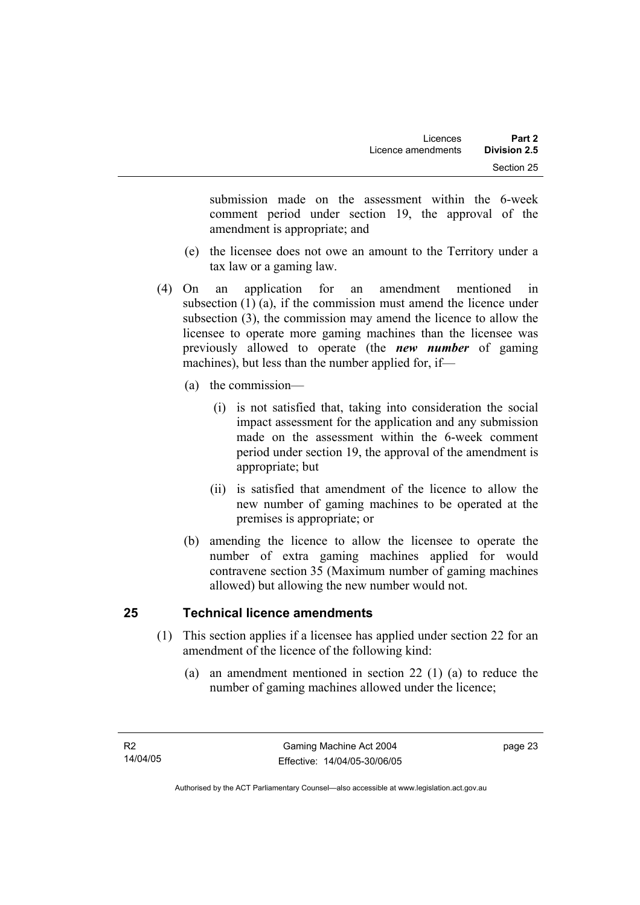submission made on the assessment within the 6-week comment period under section 19, the approval of the amendment is appropriate; and

- (e) the licensee does not owe an amount to the Territory under a tax law or a gaming law.
- (4) On an application for an amendment mentioned in subsection (1) (a), if the commission must amend the licence under subsection (3), the commission may amend the licence to allow the licensee to operate more gaming machines than the licensee was previously allowed to operate (the *new number* of gaming machines), but less than the number applied for, if—
	- (a) the commission—
		- (i) is not satisfied that, taking into consideration the social impact assessment for the application and any submission made on the assessment within the 6-week comment period under section 19, the approval of the amendment is appropriate; but
		- (ii) is satisfied that amendment of the licence to allow the new number of gaming machines to be operated at the premises is appropriate; or
	- (b) amending the licence to allow the licensee to operate the number of extra gaming machines applied for would contravene section 35 (Maximum number of gaming machines allowed) but allowing the new number would not.

# **25 Technical licence amendments**

- (1) This section applies if a licensee has applied under section 22 for an amendment of the licence of the following kind:
	- (a) an amendment mentioned in section 22 (1) (a) to reduce the number of gaming machines allowed under the licence;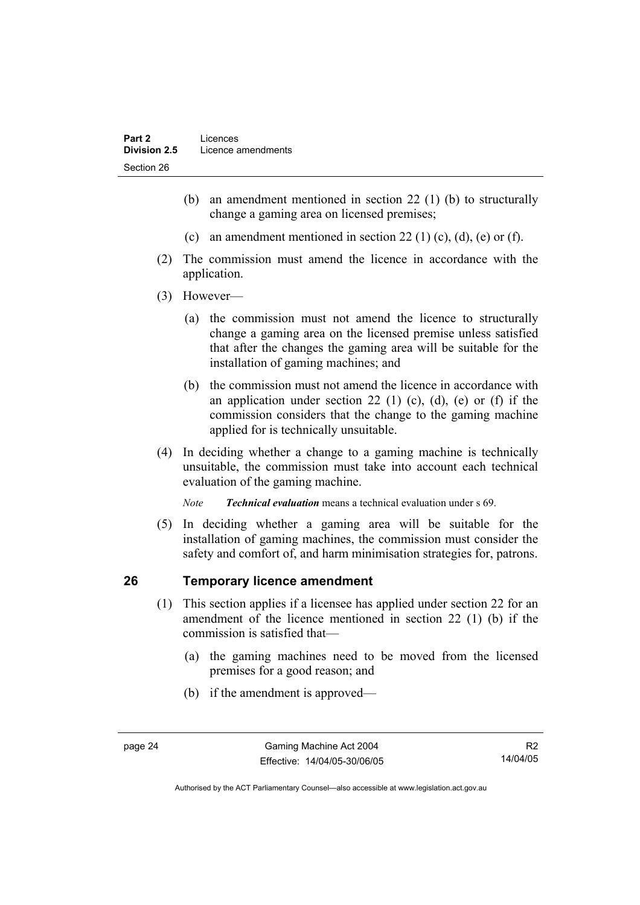- (b) an amendment mentioned in section 22 (1) (b) to structurally change a gaming area on licensed premises;
- (c) an amendment mentioned in section 22 (1) (c), (d), (e) or (f).
- (2) The commission must amend the licence in accordance with the application.
- (3) However—
	- (a) the commission must not amend the licence to structurally change a gaming area on the licensed premise unless satisfied that after the changes the gaming area will be suitable for the installation of gaming machines; and
	- (b) the commission must not amend the licence in accordance with an application under section 22 (1) (c), (d), (e) or (f) if the commission considers that the change to the gaming machine applied for is technically unsuitable.
- (4) In deciding whether a change to a gaming machine is technically unsuitable, the commission must take into account each technical evaluation of the gaming machine.

*Note Technical evaluation* means a technical evaluation under s 69.

 (5) In deciding whether a gaming area will be suitable for the installation of gaming machines, the commission must consider the safety and comfort of, and harm minimisation strategies for, patrons.

# **26 Temporary licence amendment**

- (1) This section applies if a licensee has applied under section 22 for an amendment of the licence mentioned in section 22 (1) (b) if the commission is satisfied that—
	- (a) the gaming machines need to be moved from the licensed premises for a good reason; and
	- (b) if the amendment is approved—

R2 14/04/05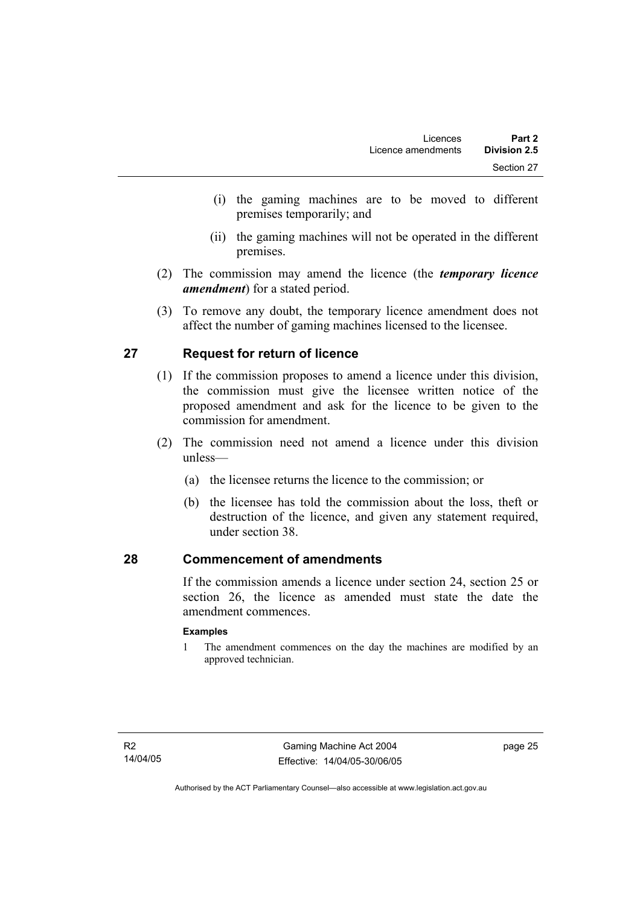- (i) the gaming machines are to be moved to different premises temporarily; and
- (ii) the gaming machines will not be operated in the different premises.
- (2) The commission may amend the licence (the *temporary licence amendment*) for a stated period.
- (3) To remove any doubt, the temporary licence amendment does not affect the number of gaming machines licensed to the licensee.

# **27 Request for return of licence**

- (1) If the commission proposes to amend a licence under this division, the commission must give the licensee written notice of the proposed amendment and ask for the licence to be given to the commission for amendment.
- (2) The commission need not amend a licence under this division unless—
	- (a) the licensee returns the licence to the commission; or
	- (b) the licensee has told the commission about the loss, theft or destruction of the licence, and given any statement required, under section 38.

### **28 Commencement of amendments**

If the commission amends a licence under section 24, section 25 or section 26, the licence as amended must state the date the amendment commences.

#### **Examples**

1 The amendment commences on the day the machines are modified by an approved technician.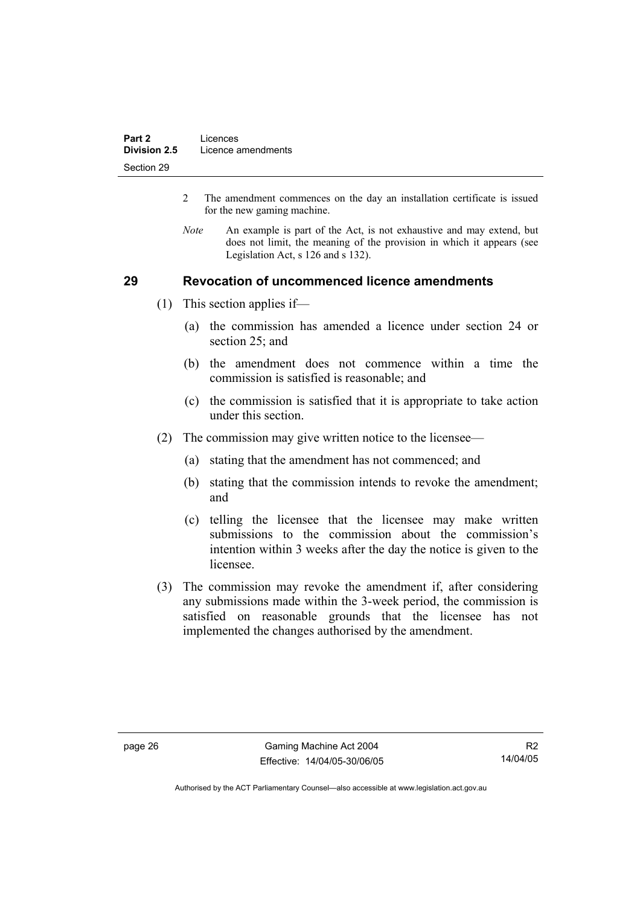- 2 The amendment commences on the day an installation certificate is issued for the new gaming machine.
- *Note* An example is part of the Act, is not exhaustive and may extend, but does not limit, the meaning of the provision in which it appears (see Legislation Act, s 126 and s 132).

## **29 Revocation of uncommenced licence amendments**

- (1) This section applies if—
	- (a) the commission has amended a licence under section 24 or section 25; and
	- (b) the amendment does not commence within a time the commission is satisfied is reasonable; and
	- (c) the commission is satisfied that it is appropriate to take action under this section.
- (2) The commission may give written notice to the licensee—
	- (a) stating that the amendment has not commenced; and
	- (b) stating that the commission intends to revoke the amendment; and
	- (c) telling the licensee that the licensee may make written submissions to the commission about the commission's intention within 3 weeks after the day the notice is given to the licensee.
- (3) The commission may revoke the amendment if, after considering any submissions made within the 3-week period, the commission is satisfied on reasonable grounds that the licensee has not implemented the changes authorised by the amendment.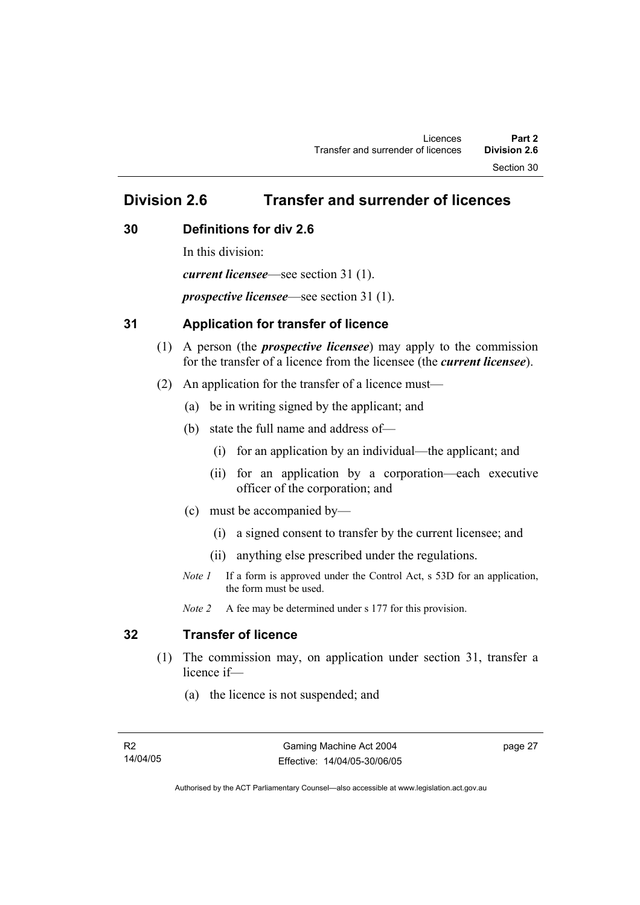Section 30

# **Division 2.6 Transfer and surrender of licences**

### **30 Definitions for div 2.6**

In this division: *current licensee*—see section 31 (1). *prospective licensee*—see section 31 (1).

### **31 Application for transfer of licence**

- (1) A person (the *prospective licensee*) may apply to the commission for the transfer of a licence from the licensee (the *current licensee*).
- (2) An application for the transfer of a licence must—
	- (a) be in writing signed by the applicant; and
	- (b) state the full name and address of—
		- (i) for an application by an individual—the applicant; and
		- (ii) for an application by a corporation—each executive officer of the corporation; and
	- (c) must be accompanied by—
		- (i) a signed consent to transfer by the current licensee; and
		- (ii) anything else prescribed under the regulations.
	- *Note 1* If a form is approved under the Control Act, s 53D for an application, the form must be used.

*Note 2* A fee may be determined under s 177 for this provision.

# **32 Transfer of licence**

- (1) The commission may, on application under section 31, transfer a licence if—
	- (a) the licence is not suspended; and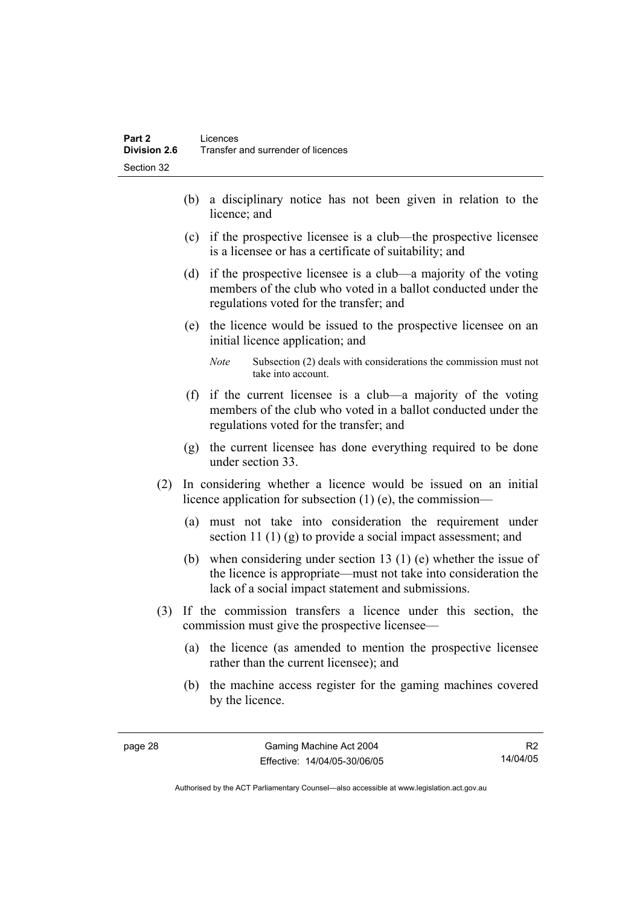- (b) a disciplinary notice has not been given in relation to the licence; and
- (c) if the prospective licensee is a club—the prospective licensee is a licensee or has a certificate of suitability; and
- (d) if the prospective licensee is a club—a majority of the voting members of the club who voted in a ballot conducted under the regulations voted for the transfer; and
- (e) the licence would be issued to the prospective licensee on an initial licence application; and
	- *Note* Subsection (2) deals with considerations the commission must not take into account.
- (f) if the current licensee is a club—a majority of the voting members of the club who voted in a ballot conducted under the regulations voted for the transfer; and
- (g) the current licensee has done everything required to be done under section 33.
- (2) In considering whether a licence would be issued on an initial licence application for subsection (1) (e), the commission—
	- (a) must not take into consideration the requirement under section 11 (1) (g) to provide a social impact assessment; and
	- (b) when considering under section 13 (1) (e) whether the issue of the licence is appropriate—must not take into consideration the lack of a social impact statement and submissions.
- (3) If the commission transfers a licence under this section, the commission must give the prospective licensee—
	- (a) the licence (as amended to mention the prospective licensee rather than the current licensee); and
	- (b) the machine access register for the gaming machines covered by the licence.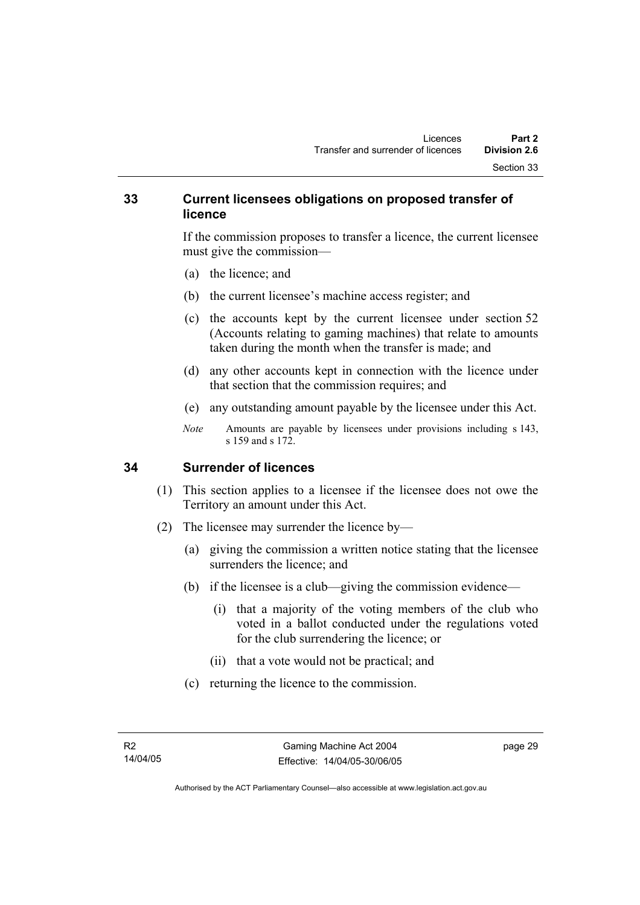#### **33 Current licensees obligations on proposed transfer of licence**

If the commission proposes to transfer a licence, the current licensee must give the commission—

- (a) the licence; and
- (b) the current licensee's machine access register; and
- (c) the accounts kept by the current licensee under section 52 (Accounts relating to gaming machines) that relate to amounts taken during the month when the transfer is made; and
- (d) any other accounts kept in connection with the licence under that section that the commission requires; and
- (e) any outstanding amount payable by the licensee under this Act.
- *Note* Amounts are payable by licensees under provisions including s 143, s 159 and s 172.

#### **34 Surrender of licences**

- (1) This section applies to a licensee if the licensee does not owe the Territory an amount under this Act.
- (2) The licensee may surrender the licence by—
	- (a) giving the commission a written notice stating that the licensee surrenders the licence; and
	- (b) if the licensee is a club—giving the commission evidence—
		- (i) that a majority of the voting members of the club who voted in a ballot conducted under the regulations voted for the club surrendering the licence; or
		- (ii) that a vote would not be practical; and
	- (c) returning the licence to the commission.

page 29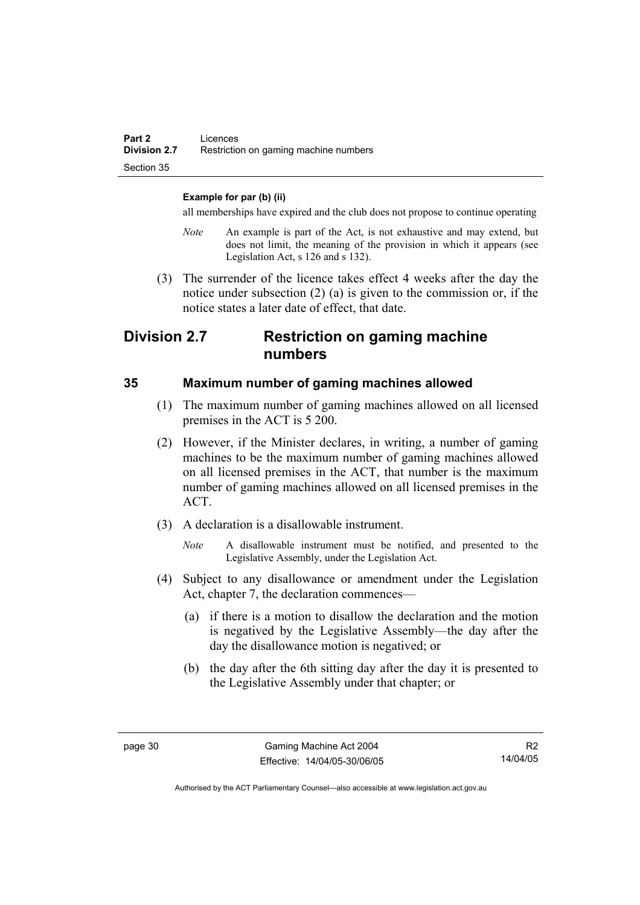#### **Example for par (b) (ii)**

all memberships have expired and the club does not propose to continue operating

- *Note* An example is part of the Act, is not exhaustive and may extend, but does not limit, the meaning of the provision in which it appears (see Legislation Act, s 126 and s 132).
- (3) The surrender of the licence takes effect 4 weeks after the day the notice under subsection (2) (a) is given to the commission or, if the notice states a later date of effect, that date.

# **Division 2.7 Restriction on gaming machine numbers**

#### **35 Maximum number of gaming machines allowed**

- (1) The maximum number of gaming machines allowed on all licensed premises in the ACT is 5 200.
- (2) However, if the Minister declares, in writing, a number of gaming machines to be the maximum number of gaming machines allowed on all licensed premises in the ACT, that number is the maximum number of gaming machines allowed on all licensed premises in the ACT.
- (3) A declaration is a disallowable instrument.
	- *Note* A disallowable instrument must be notified, and presented to the Legislative Assembly, under the Legislation Act.
- (4) Subject to any disallowance or amendment under the Legislation Act, chapter 7, the declaration commences—
	- (a) if there is a motion to disallow the declaration and the motion is negatived by the Legislative Assembly—the day after the day the disallowance motion is negatived; or
	- (b) the day after the 6th sitting day after the day it is presented to the Legislative Assembly under that chapter; or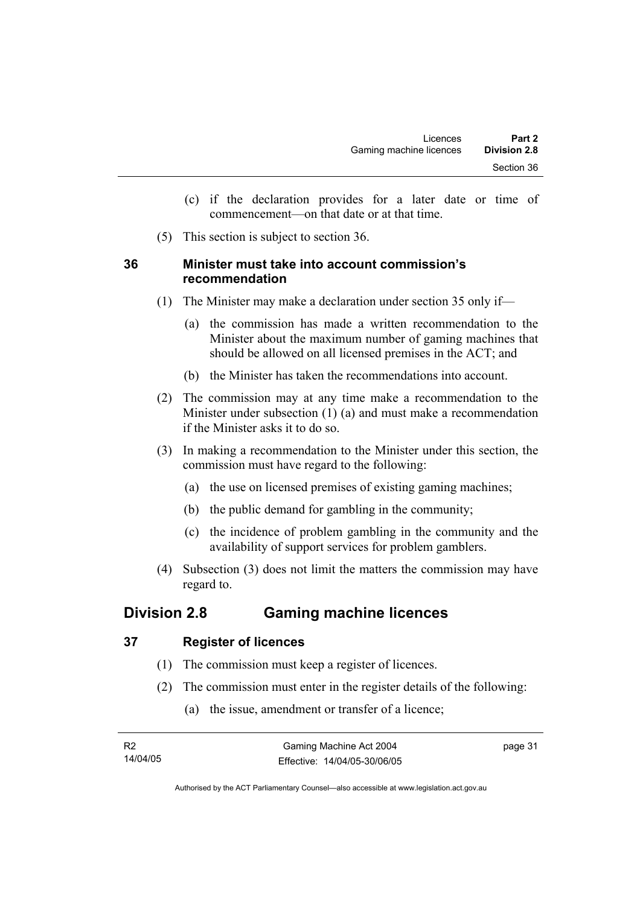- (c) if the declaration provides for a later date or time of commencement—on that date or at that time.
- (5) This section is subject to section 36.

#### **36 Minister must take into account commission's recommendation**

- (1) The Minister may make a declaration under section 35 only if—
	- (a) the commission has made a written recommendation to the Minister about the maximum number of gaming machines that should be allowed on all licensed premises in the ACT; and
	- (b) the Minister has taken the recommendations into account.
- (2) The commission may at any time make a recommendation to the Minister under subsection (1) (a) and must make a recommendation if the Minister asks it to do so.
- (3) In making a recommendation to the Minister under this section, the commission must have regard to the following:
	- (a) the use on licensed premises of existing gaming machines;
	- (b) the public demand for gambling in the community;
	- (c) the incidence of problem gambling in the community and the availability of support services for problem gamblers.
- (4) Subsection (3) does not limit the matters the commission may have regard to.

# **Division 2.8 Gaming machine licences**

### **37 Register of licences**

- (1) The commission must keep a register of licences.
- (2) The commission must enter in the register details of the following:
	- (a) the issue, amendment or transfer of a licence;

| - R2     | Gaming Machine Act 2004      | page 31 |
|----------|------------------------------|---------|
| 14/04/05 | Effective: 14/04/05-30/06/05 |         |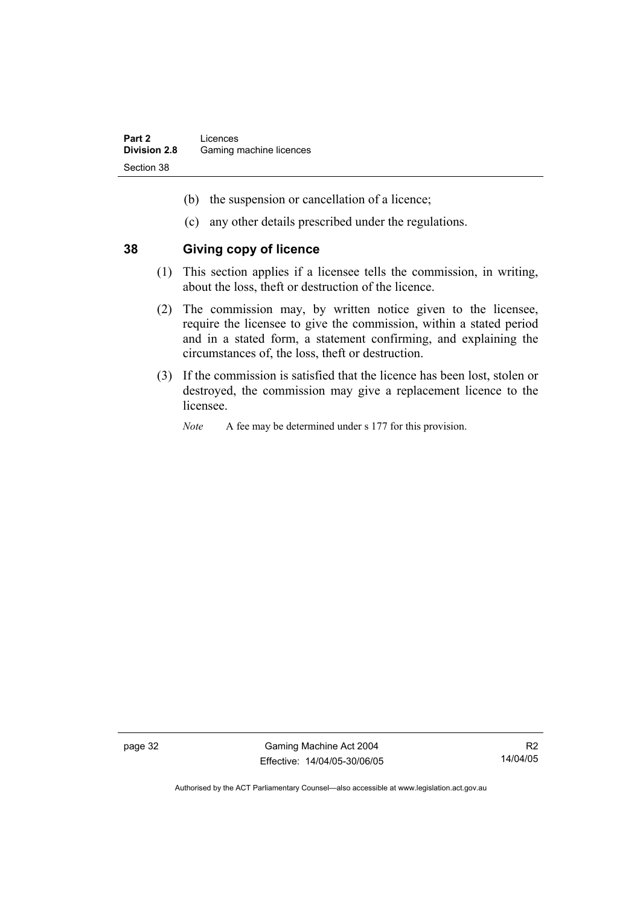- (b) the suspension or cancellation of a licence;
- (c) any other details prescribed under the regulations.

#### **38 Giving copy of licence**

- (1) This section applies if a licensee tells the commission, in writing, about the loss, theft or destruction of the licence.
- (2) The commission may, by written notice given to the licensee, require the licensee to give the commission, within a stated period and in a stated form, a statement confirming, and explaining the circumstances of, the loss, theft or destruction.
- (3) If the commission is satisfied that the licence has been lost, stolen or destroyed, the commission may give a replacement licence to the licensee.
	- *Note* A fee may be determined under s 177 for this provision.

page 32 Gaming Machine Act 2004 Effective: 14/04/05-30/06/05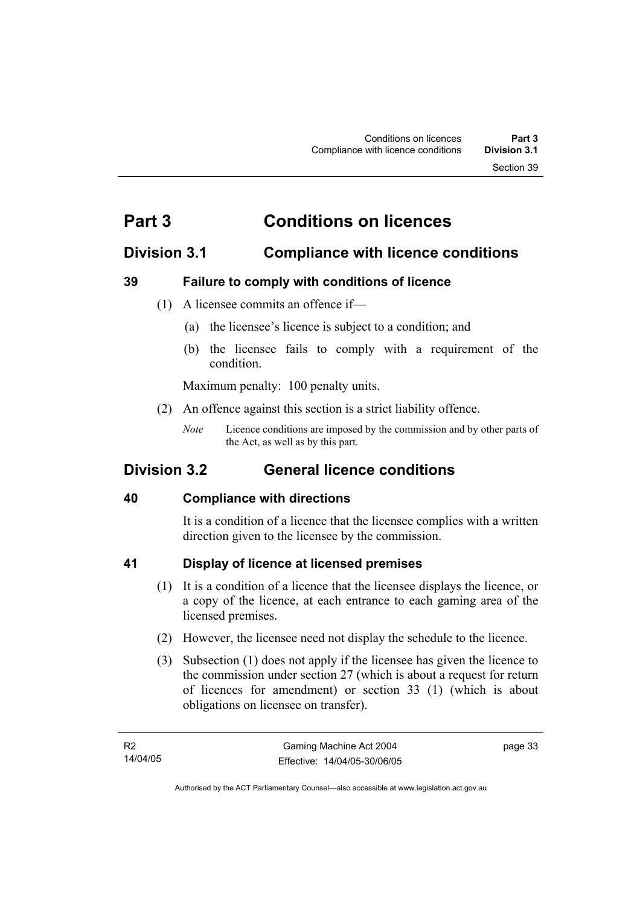# **Part 3 Conditions on licences**

# **Division 3.1 Compliance with licence conditions**

# **39 Failure to comply with conditions of licence**

- (1) A licensee commits an offence if—
	- (a) the licensee's licence is subject to a condition; and
	- (b) the licensee fails to comply with a requirement of the condition.

Maximum penalty: 100 penalty units.

- (2) An offence against this section is a strict liability offence.
	- *Note* Licence conditions are imposed by the commission and by other parts of the Act, as well as by this part.

# **Division 3.2 General licence conditions**

### **40 Compliance with directions**

It is a condition of a licence that the licensee complies with a written direction given to the licensee by the commission.

### **41 Display of licence at licensed premises**

- (1) It is a condition of a licence that the licensee displays the licence, or a copy of the licence, at each entrance to each gaming area of the licensed premises.
- (2) However, the licensee need not display the schedule to the licence.
- (3) Subsection (1) does not apply if the licensee has given the licence to the commission under section 27 (which is about a request for return of licences for amendment) or section 33 (1) (which is about obligations on licensee on transfer).

page 33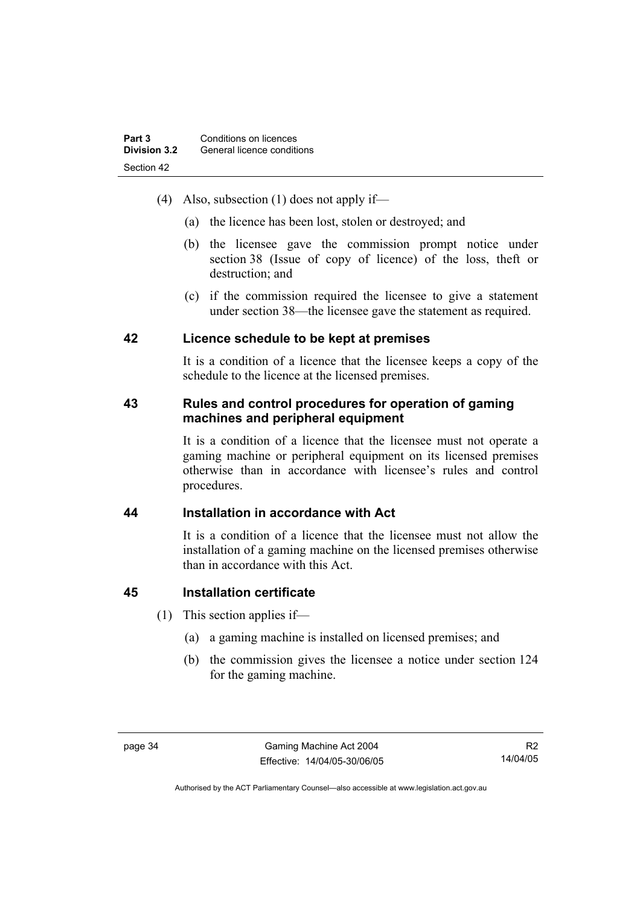- (4) Also, subsection (1) does not apply if—
	- (a) the licence has been lost, stolen or destroyed; and
	- (b) the licensee gave the commission prompt notice under section 38 (Issue of copy of licence) of the loss, theft or destruction; and
	- (c) if the commission required the licensee to give a statement under section 38—the licensee gave the statement as required.

#### **42 Licence schedule to be kept at premises**

It is a condition of a licence that the licensee keeps a copy of the schedule to the licence at the licensed premises.

## **43 Rules and control procedures for operation of gaming machines and peripheral equipment**

It is a condition of a licence that the licensee must not operate a gaming machine or peripheral equipment on its licensed premises otherwise than in accordance with licensee's rules and control procedures.

### **44 Installation in accordance with Act**

It is a condition of a licence that the licensee must not allow the installation of a gaming machine on the licensed premises otherwise than in accordance with this Act.

### **45 Installation certificate**

- (1) This section applies if—
	- (a) a gaming machine is installed on licensed premises; and
	- (b) the commission gives the licensee a notice under section 124 for the gaming machine.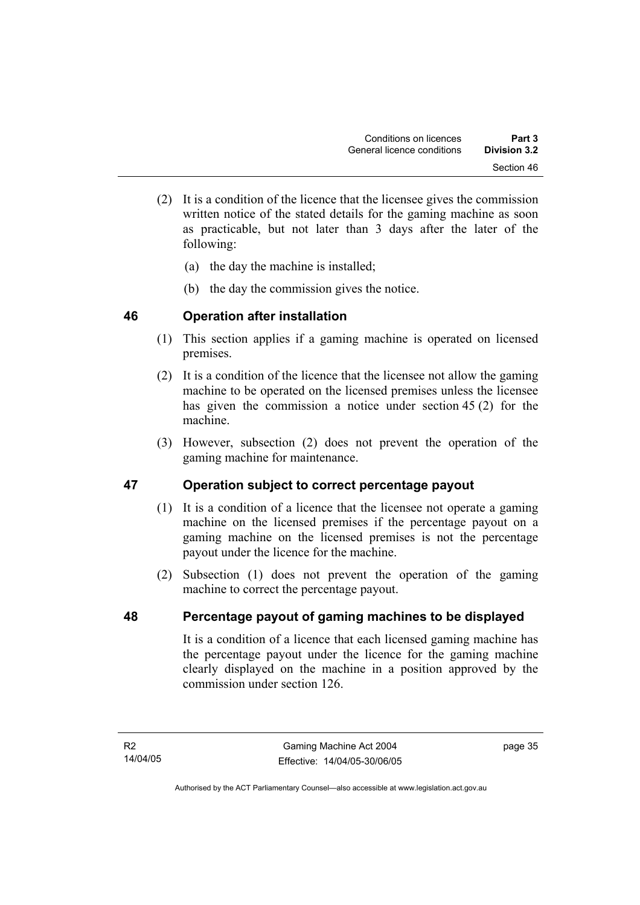- (2) It is a condition of the licence that the licensee gives the commission written notice of the stated details for the gaming machine as soon as practicable, but not later than 3 days after the later of the following:
	- (a) the day the machine is installed;
	- (b) the day the commission gives the notice.

# **46 Operation after installation**

- (1) This section applies if a gaming machine is operated on licensed premises.
- (2) It is a condition of the licence that the licensee not allow the gaming machine to be operated on the licensed premises unless the licensee has given the commission a notice under section 45 (2) for the machine.
- (3) However, subsection (2) does not prevent the operation of the gaming machine for maintenance.

# **47 Operation subject to correct percentage payout**

- (1) It is a condition of a licence that the licensee not operate a gaming machine on the licensed premises if the percentage payout on a gaming machine on the licensed premises is not the percentage payout under the licence for the machine.
- (2) Subsection (1) does not prevent the operation of the gaming machine to correct the percentage payout.

# **48 Percentage payout of gaming machines to be displayed**

It is a condition of a licence that each licensed gaming machine has the percentage payout under the licence for the gaming machine clearly displayed on the machine in a position approved by the commission under section 126.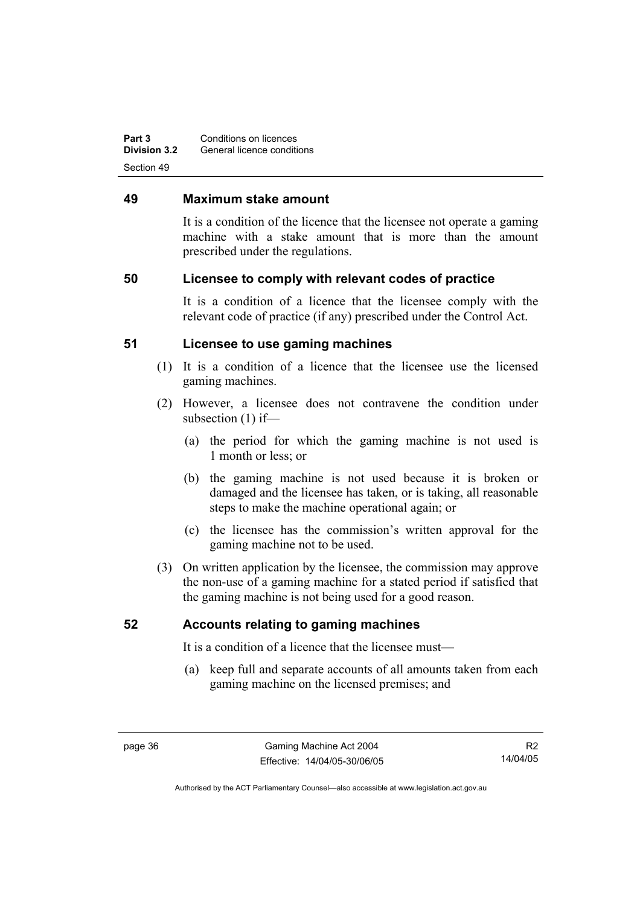**Part 3 Conditions on licences Division 3.2** General licence conditions Section 49

#### **49 Maximum stake amount**

It is a condition of the licence that the licensee not operate a gaming machine with a stake amount that is more than the amount prescribed under the regulations.

#### **50 Licensee to comply with relevant codes of practice**

It is a condition of a licence that the licensee comply with the relevant code of practice (if any) prescribed under the Control Act.

#### **51 Licensee to use gaming machines**

- (1) It is a condition of a licence that the licensee use the licensed gaming machines.
- (2) However, a licensee does not contravene the condition under subsection (1) if—
	- (a) the period for which the gaming machine is not used is 1 month or less; or
	- (b) the gaming machine is not used because it is broken or damaged and the licensee has taken, or is taking, all reasonable steps to make the machine operational again; or
	- (c) the licensee has the commission's written approval for the gaming machine not to be used.
- (3) On written application by the licensee, the commission may approve the non-use of a gaming machine for a stated period if satisfied that the gaming machine is not being used for a good reason.

#### **52 Accounts relating to gaming machines**

It is a condition of a licence that the licensee must—

 (a) keep full and separate accounts of all amounts taken from each gaming machine on the licensed premises; and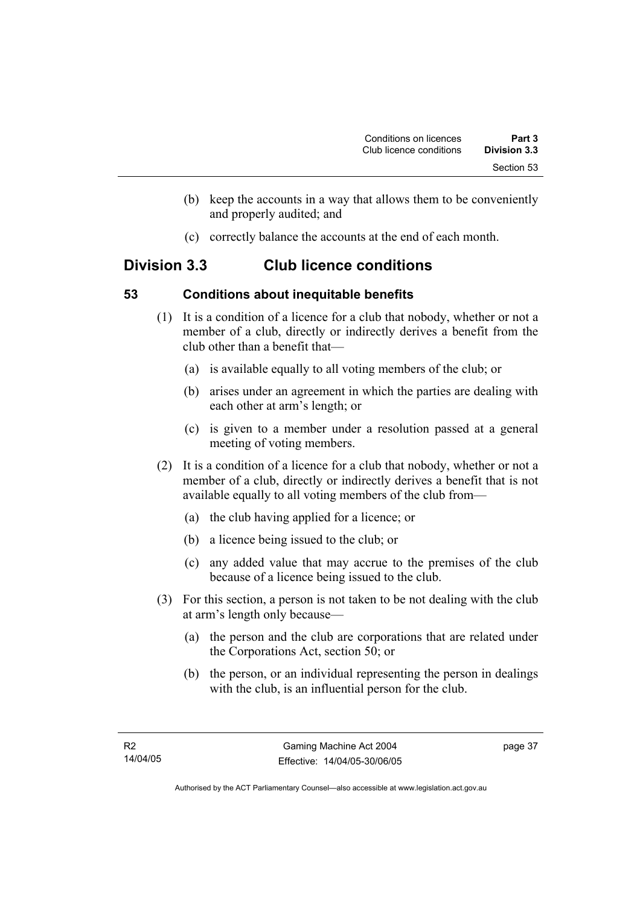- (b) keep the accounts in a way that allows them to be conveniently and properly audited; and
- (c) correctly balance the accounts at the end of each month.

# **Division 3.3 Club licence conditions**

# **53 Conditions about inequitable benefits**

- (1) It is a condition of a licence for a club that nobody, whether or not a member of a club, directly or indirectly derives a benefit from the club other than a benefit that—
	- (a) is available equally to all voting members of the club; or
	- (b) arises under an agreement in which the parties are dealing with each other at arm's length; or
	- (c) is given to a member under a resolution passed at a general meeting of voting members.
- (2) It is a condition of a licence for a club that nobody, whether or not a member of a club, directly or indirectly derives a benefit that is not available equally to all voting members of the club from—
	- (a) the club having applied for a licence; or
	- (b) a licence being issued to the club; or
	- (c) any added value that may accrue to the premises of the club because of a licence being issued to the club.
- (3) For this section, a person is not taken to be not dealing with the club at arm's length only because—
	- (a) the person and the club are corporations that are related under the Corporations Act, section 50; or
	- (b) the person, or an individual representing the person in dealings with the club, is an influential person for the club.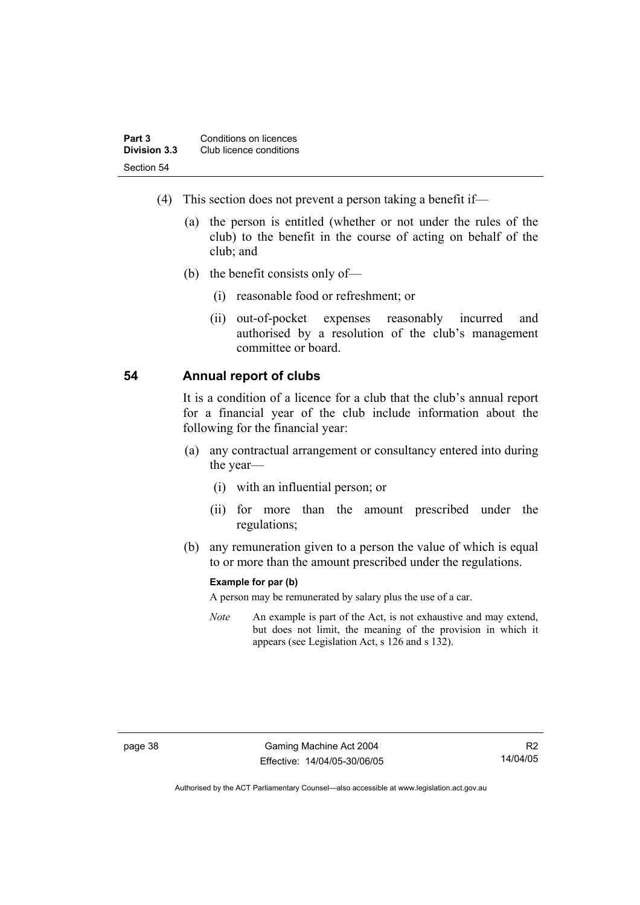| Part 3       | Conditions on licences  |  |
|--------------|-------------------------|--|
| Division 3.3 | Club licence conditions |  |
| Section 54   |                         |  |

- (4) This section does not prevent a person taking a benefit if—
	- (a) the person is entitled (whether or not under the rules of the club) to the benefit in the course of acting on behalf of the club; and
	- (b) the benefit consists only of—
		- (i) reasonable food or refreshment; or
		- (ii) out-of-pocket expenses reasonably incurred and authorised by a resolution of the club's management committee or board.

#### **54 Annual report of clubs**

It is a condition of a licence for a club that the club's annual report for a financial year of the club include information about the following for the financial year:

- (a) any contractual arrangement or consultancy entered into during the year—
	- (i) with an influential person; or
	- (ii) for more than the amount prescribed under the regulations;
- (b) any remuneration given to a person the value of which is equal to or more than the amount prescribed under the regulations.

#### **Example for par (b)**

A person may be remunerated by salary plus the use of a car.

*Note* An example is part of the Act, is not exhaustive and may extend, but does not limit, the meaning of the provision in which it appears (see Legislation Act, s 126 and s 132).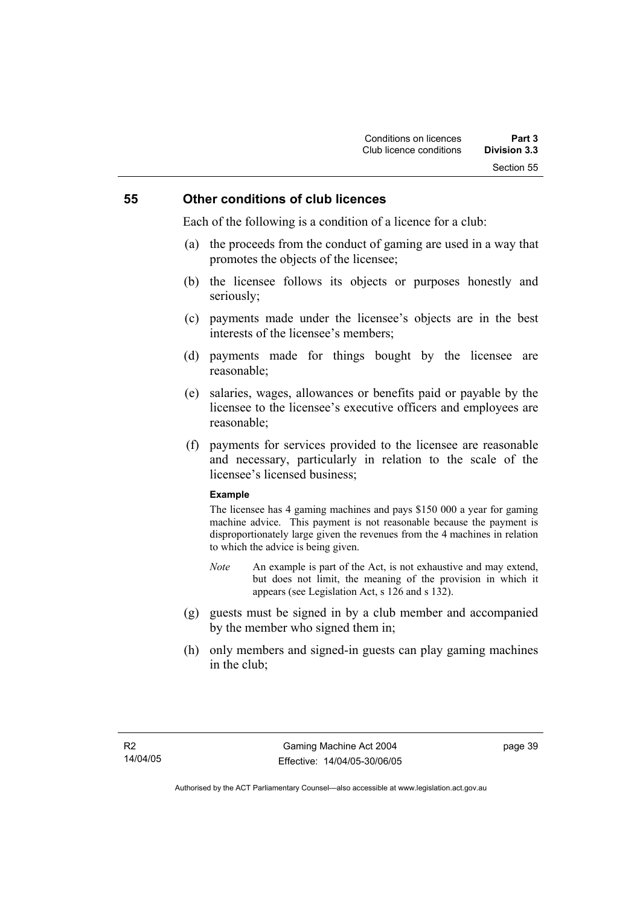#### **55 Other conditions of club licences**

Each of the following is a condition of a licence for a club:

- (a) the proceeds from the conduct of gaming are used in a way that promotes the objects of the licensee;
- (b) the licensee follows its objects or purposes honestly and seriously;
- (c) payments made under the licensee's objects are in the best interests of the licensee's members;
- (d) payments made for things bought by the licensee are reasonable;
- (e) salaries, wages, allowances or benefits paid or payable by the licensee to the licensee's executive officers and employees are reasonable;
- (f) payments for services provided to the licensee are reasonable and necessary, particularly in relation to the scale of the licensee's licensed business;

#### **Example**

The licensee has 4 gaming machines and pays \$150 000 a year for gaming machine advice. This payment is not reasonable because the payment is disproportionately large given the revenues from the 4 machines in relation to which the advice is being given.

- *Note* An example is part of the Act, is not exhaustive and may extend, but does not limit, the meaning of the provision in which it appears (see Legislation Act, s 126 and s 132).
- (g) guests must be signed in by a club member and accompanied by the member who signed them in;
- (h) only members and signed-in guests can play gaming machines in the club;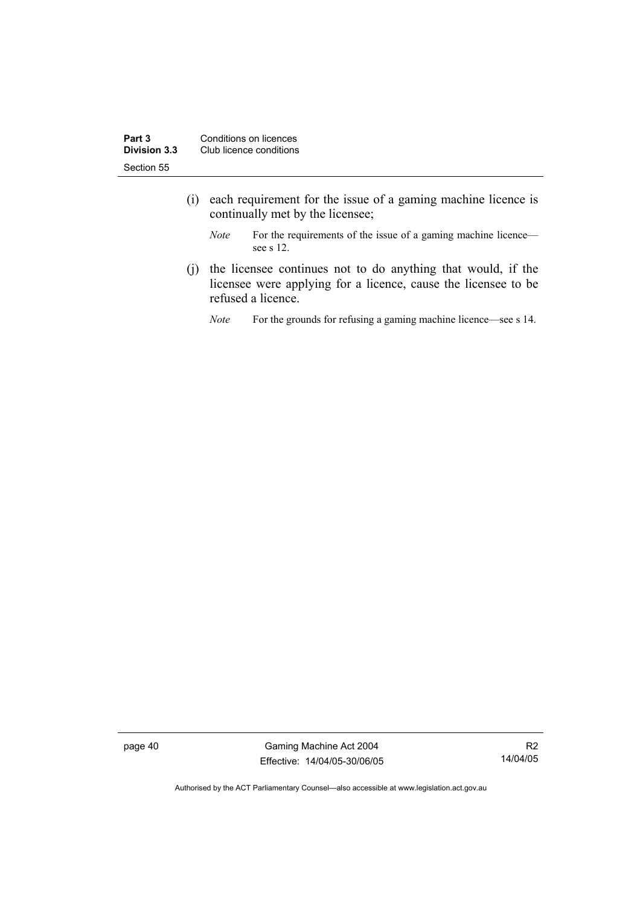- (i) each requirement for the issue of a gaming machine licence is continually met by the licensee;
	- *Note* For the requirements of the issue of a gaming machine licence see s 12.
- (j) the licensee continues not to do anything that would, if the licensee were applying for a licence, cause the licensee to be refused a licence.
	- *Note* For the grounds for refusing a gaming machine licence—see s 14.

page 40 Gaming Machine Act 2004 Effective: 14/04/05-30/06/05

R2 14/04/05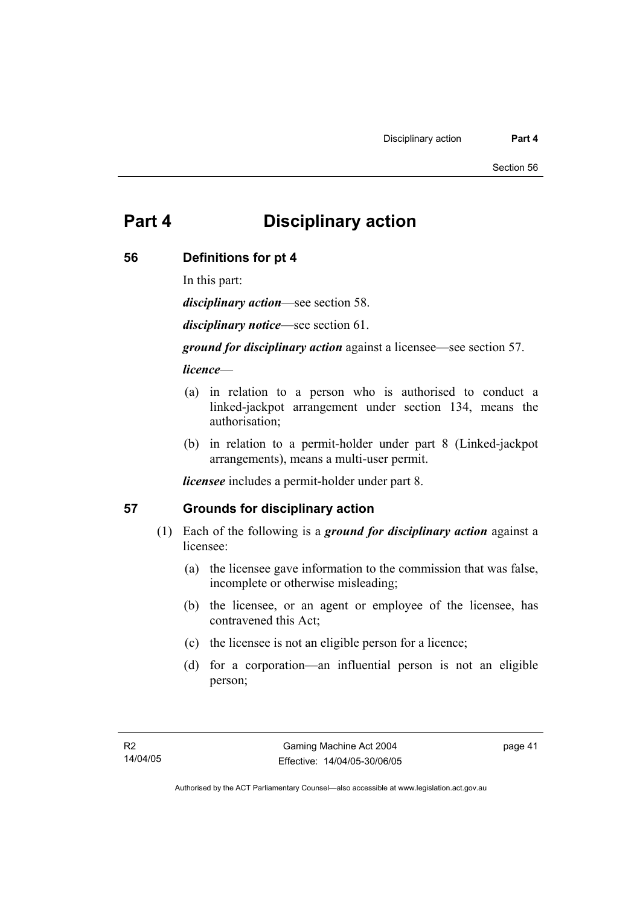# **Part 4 Disciplinary action**

#### **56 Definitions for pt 4**

In this part:

*disciplinary action*—see section 58.

*disciplinary notice*—see section 61.

*ground for disciplinary action* against a licensee—see section 57.

#### *licence*—

- (a) in relation to a person who is authorised to conduct a linked-jackpot arrangement under section 134, means the authorisation;
- (b) in relation to a permit-holder under part 8 (Linked-jackpot arrangements), means a multi-user permit.

*licensee* includes a permit-holder under part 8.

### **57 Grounds for disciplinary action**

- (1) Each of the following is a *ground for disciplinary action* against a licensee:
	- (a) the licensee gave information to the commission that was false, incomplete or otherwise misleading;
	- (b) the licensee, or an agent or employee of the licensee, has contravened this Act;
	- (c) the licensee is not an eligible person for a licence;
	- (d) for a corporation—an influential person is not an eligible person;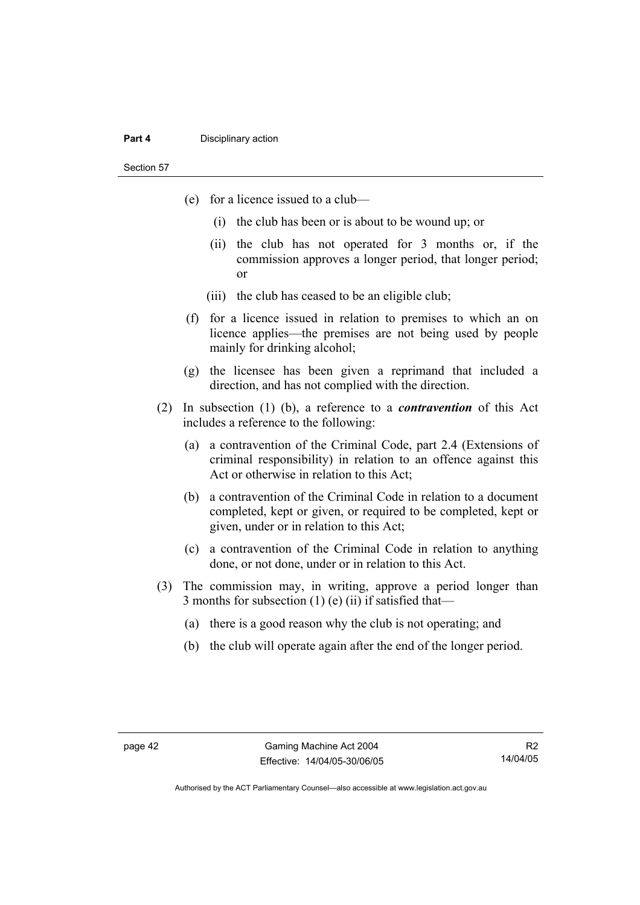#### **Part 4 Disciplinary action**

Section 57

- (e) for a licence issued to a club—
	- (i) the club has been or is about to be wound up; or
	- (ii) the club has not operated for 3 months or, if the commission approves a longer period, that longer period; or
	- (iii) the club has ceased to be an eligible club;
- (f) for a licence issued in relation to premises to which an on licence applies—the premises are not being used by people mainly for drinking alcohol;
- (g) the licensee has been given a reprimand that included a direction, and has not complied with the direction.
- (2) In subsection (1) (b), a reference to a *contravention* of this Act includes a reference to the following:
	- (a) a contravention of the Criminal Code, part 2.4 (Extensions of criminal responsibility) in relation to an offence against this Act or otherwise in relation to this Act;
	- (b) a contravention of the Criminal Code in relation to a document completed, kept or given, or required to be completed, kept or given, under or in relation to this Act;
	- (c) a contravention of the Criminal Code in relation to anything done, or not done, under or in relation to this Act.
- (3) The commission may, in writing, approve a period longer than 3 months for subsection  $(1)$  (e)  $(ii)$  if satisfied that-
	- (a) there is a good reason why the club is not operating; and
	- (b) the club will operate again after the end of the longer period.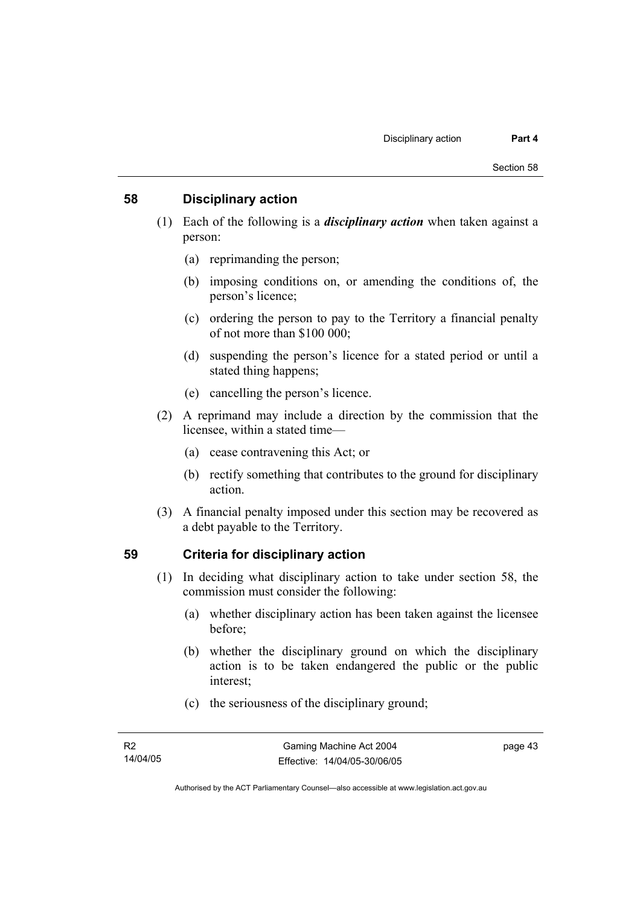#### **58 Disciplinary action**

- (1) Each of the following is a *disciplinary action* when taken against a person:
	- (a) reprimanding the person;
	- (b) imposing conditions on, or amending the conditions of, the person's licence;
	- (c) ordering the person to pay to the Territory a financial penalty of not more than \$100 000;
	- (d) suspending the person's licence for a stated period or until a stated thing happens;
	- (e) cancelling the person's licence.
- (2) A reprimand may include a direction by the commission that the licensee, within a stated time—
	- (a) cease contravening this Act; or
	- (b) rectify something that contributes to the ground for disciplinary action.
- (3) A financial penalty imposed under this section may be recovered as a debt payable to the Territory.

### **59 Criteria for disciplinary action**

- (1) In deciding what disciplinary action to take under section 58, the commission must consider the following:
	- (a) whether disciplinary action has been taken against the licensee before;
	- (b) whether the disciplinary ground on which the disciplinary action is to be taken endangered the public or the public interest;
	- (c) the seriousness of the disciplinary ground;

page 43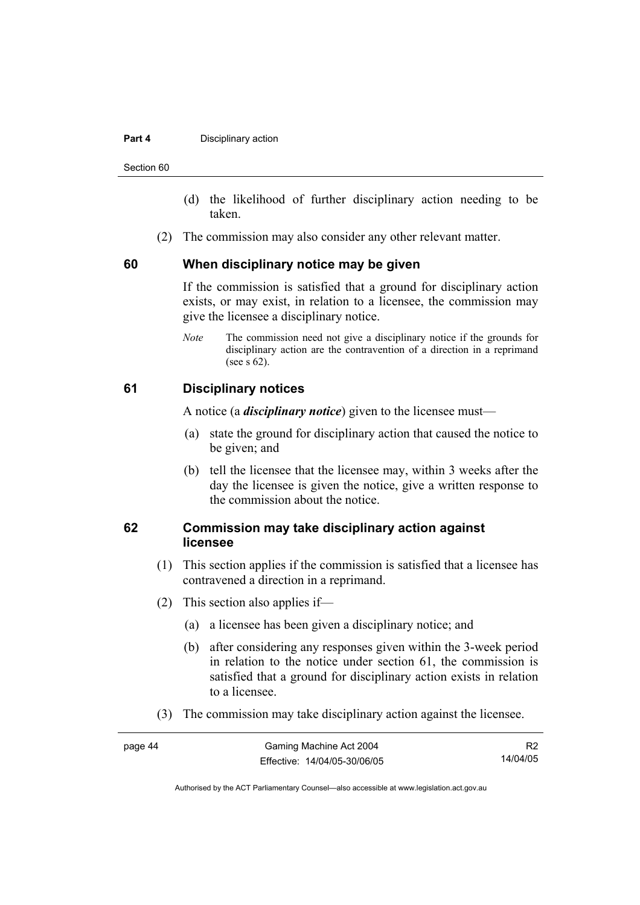#### **Part 4 Disciplinary action**

Section 60

- (d) the likelihood of further disciplinary action needing to be taken.
- (2) The commission may also consider any other relevant matter.

#### **60 When disciplinary notice may be given**

If the commission is satisfied that a ground for disciplinary action exists, or may exist, in relation to a licensee, the commission may give the licensee a disciplinary notice.

*Note* The commission need not give a disciplinary notice if the grounds for disciplinary action are the contravention of a direction in a reprimand (see s 62).

#### **61 Disciplinary notices**

A notice (a *disciplinary notice*) given to the licensee must—

- (a) state the ground for disciplinary action that caused the notice to be given; and
- (b) tell the licensee that the licensee may, within 3 weeks after the day the licensee is given the notice, give a written response to the commission about the notice.

#### **62 Commission may take disciplinary action against licensee**

- (1) This section applies if the commission is satisfied that a licensee has contravened a direction in a reprimand.
- (2) This section also applies if—
	- (a) a licensee has been given a disciplinary notice; and
	- (b) after considering any responses given within the 3-week period in relation to the notice under section 61, the commission is satisfied that a ground for disciplinary action exists in relation to a licensee.
- (3) The commission may take disciplinary action against the licensee.

| page 44 | Gaming Machine Act 2004      |          |
|---------|------------------------------|----------|
|         | Effective: 14/04/05-30/06/05 | 14/04/05 |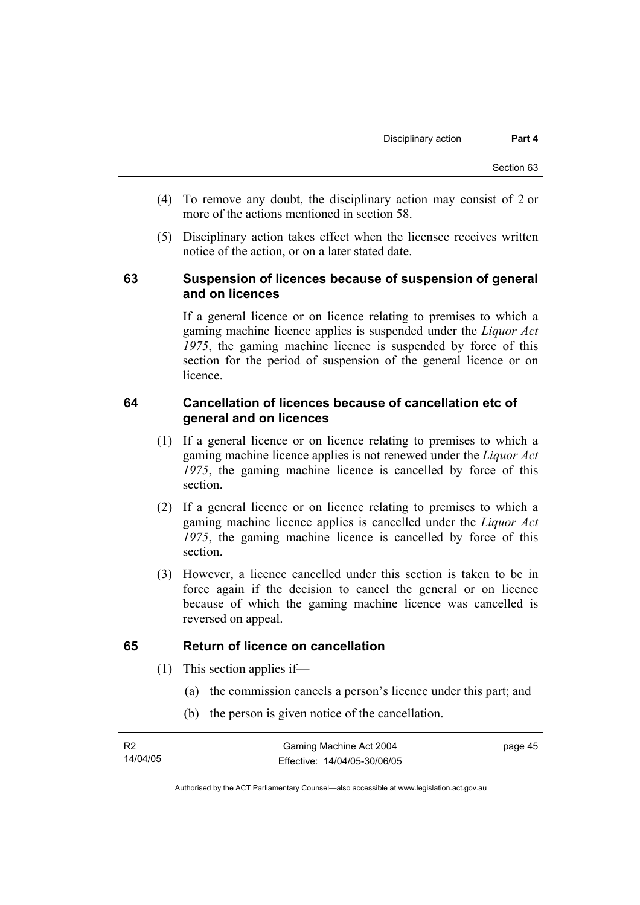- (4) To remove any doubt, the disciplinary action may consist of 2 or more of the actions mentioned in section 58.
- (5) Disciplinary action takes effect when the licensee receives written notice of the action, or on a later stated date.

#### **63 Suspension of licences because of suspension of general and on licences**

If a general licence or on licence relating to premises to which a gaming machine licence applies is suspended under the *Liquor Act 1975*, the gaming machine licence is suspended by force of this section for the period of suspension of the general licence or on licence.

#### **64 Cancellation of licences because of cancellation etc of general and on licences**

- (1) If a general licence or on licence relating to premises to which a gaming machine licence applies is not renewed under the *Liquor Act 1975*, the gaming machine licence is cancelled by force of this section.
- (2) If a general licence or on licence relating to premises to which a gaming machine licence applies is cancelled under the *Liquor Act 1975*, the gaming machine licence is cancelled by force of this section.
- (3) However, a licence cancelled under this section is taken to be in force again if the decision to cancel the general or on licence because of which the gaming machine licence was cancelled is reversed on appeal.

### **65 Return of licence on cancellation**

- (1) This section applies if—
	- (a) the commission cancels a person's licence under this part; and
	- (b) the person is given notice of the cancellation.

page 45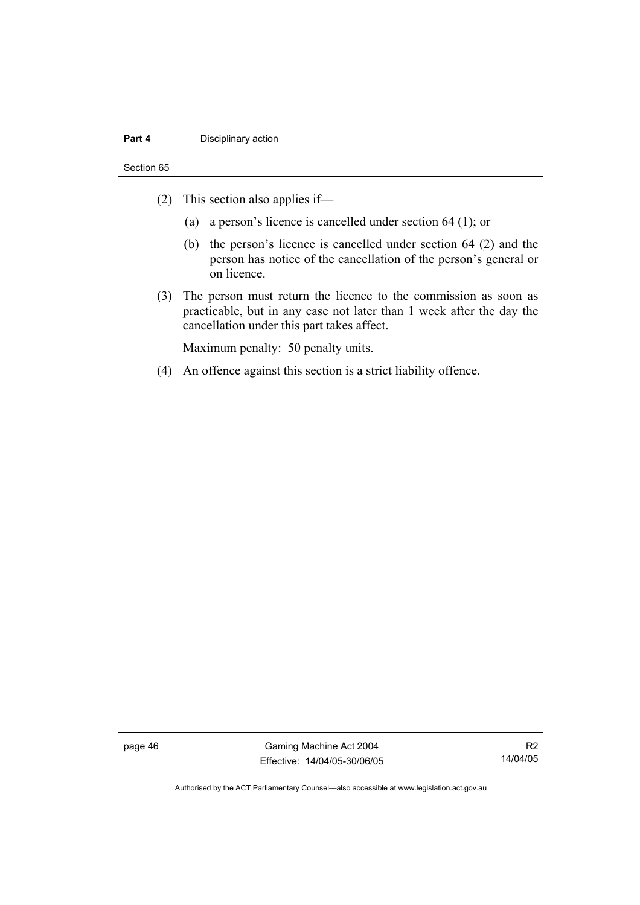#### **Part 4 Disciplinary action**

#### Section 65

- (2) This section also applies if—
	- (a) a person's licence is cancelled under section 64 (1); or
	- (b) the person's licence is cancelled under section 64 (2) and the person has notice of the cancellation of the person's general or on licence.
- (3) The person must return the licence to the commission as soon as practicable, but in any case not later than 1 week after the day the cancellation under this part takes affect.

Maximum penalty: 50 penalty units.

(4) An offence against this section is a strict liability offence.

page 46 Gaming Machine Act 2004 Effective: 14/04/05-30/06/05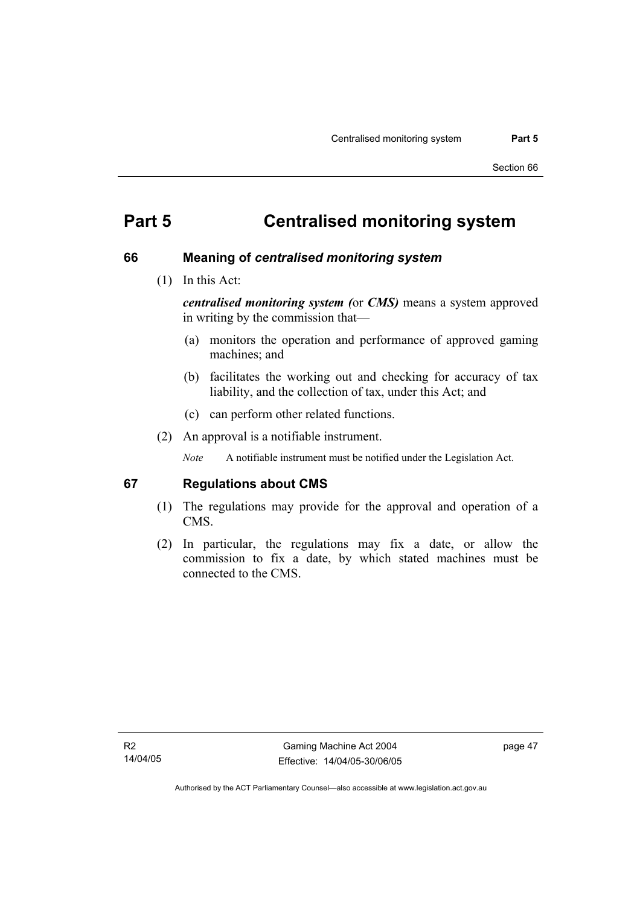# **Part 5 Centralised monitoring system**

#### **66 Meaning of** *centralised monitoring system*

(1) In this Act:

*centralised monitoring system (*or *CMS)* means a system approved in writing by the commission that—

- (a) monitors the operation and performance of approved gaming machines; and
- (b) facilitates the working out and checking for accuracy of tax liability, and the collection of tax, under this Act; and
- (c) can perform other related functions.
- (2) An approval is a notifiable instrument.

*Note* A notifiable instrument must be notified under the Legislation Act.

#### **67 Regulations about CMS**

- (1) The regulations may provide for the approval and operation of a CMS.
- (2) In particular, the regulations may fix a date, or allow the commission to fix a date, by which stated machines must be connected to the CMS.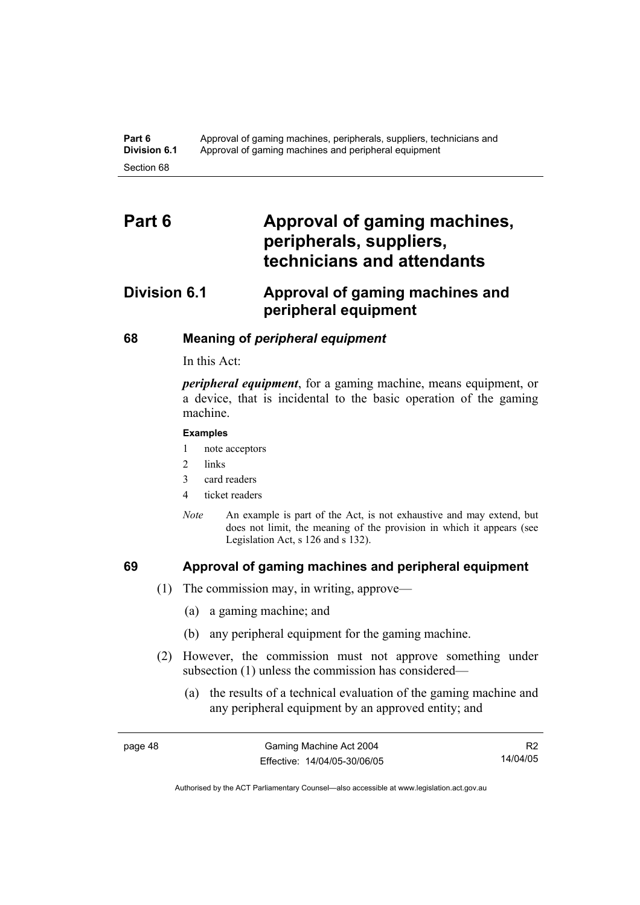# Part 6 **Approval of gaming machines, peripherals, suppliers, technicians and attendants**

# **Division 6.1 Approval of gaming machines and peripheral equipment**

#### **68 Meaning of** *peripheral equipment*

In this Act:

*peripheral equipment*, for a gaming machine, means equipment, or a device, that is incidental to the basic operation of the gaming machine.

#### **Examples**

- 1 note acceptors
- 2 links
- 3 card readers
- 4 ticket readers
- *Note* An example is part of the Act, is not exhaustive and may extend, but does not limit, the meaning of the provision in which it appears (see Legislation Act, s 126 and s 132).

#### **69 Approval of gaming machines and peripheral equipment**

- (1) The commission may, in writing, approve—
	- (a) a gaming machine; and
	- (b) any peripheral equipment for the gaming machine.
- (2) However, the commission must not approve something under subsection (1) unless the commission has considered—
	- (a) the results of a technical evaluation of the gaming machine and any peripheral equipment by an approved entity; and

R2 14/04/05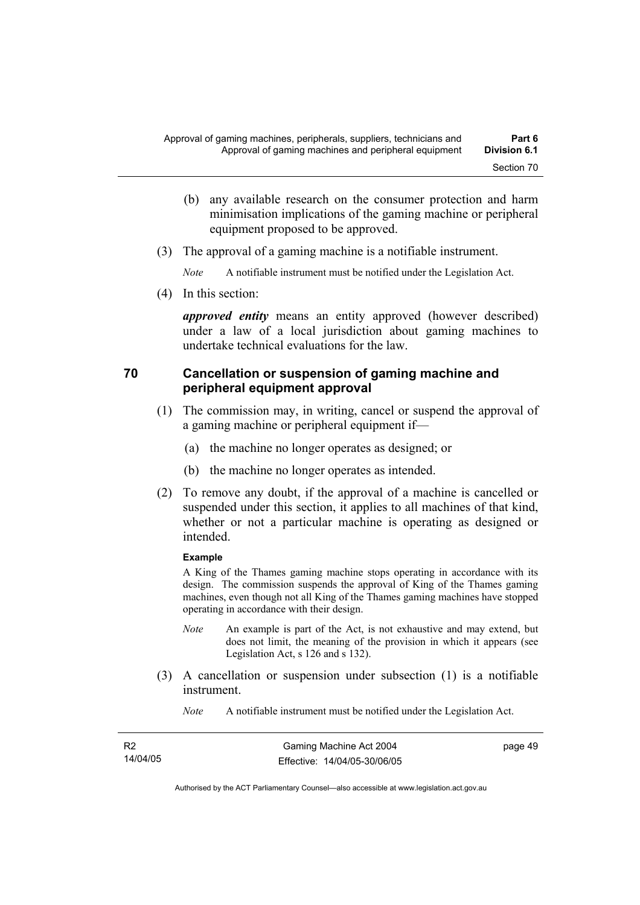- (b) any available research on the consumer protection and harm minimisation implications of the gaming machine or peripheral equipment proposed to be approved.
- (3) The approval of a gaming machine is a notifiable instrument.

*Note* A notifiable instrument must be notified under the Legislation Act.

(4) In this section:

*approved entity* means an entity approved (however described) under a law of a local jurisdiction about gaming machines to undertake technical evaluations for the law.

#### **70 Cancellation or suspension of gaming machine and peripheral equipment approval**

- (1) The commission may, in writing, cancel or suspend the approval of a gaming machine or peripheral equipment if—
	- (a) the machine no longer operates as designed; or
	- (b) the machine no longer operates as intended.
- (2) To remove any doubt, if the approval of a machine is cancelled or suspended under this section, it applies to all machines of that kind, whether or not a particular machine is operating as designed or intended.

#### **Example**

A King of the Thames gaming machine stops operating in accordance with its design. The commission suspends the approval of King of the Thames gaming machines, even though not all King of the Thames gaming machines have stopped operating in accordance with their design.

- *Note* An example is part of the Act, is not exhaustive and may extend, but does not limit, the meaning of the provision in which it appears (see Legislation Act, s 126 and s 132).
- (3) A cancellation or suspension under subsection (1) is a notifiable instrument.
	- *Note* A notifiable instrument must be notified under the Legislation Act.

| - R2     | Gaming Machine Act 2004      | page 49 |
|----------|------------------------------|---------|
| 14/04/05 | Effective: 14/04/05-30/06/05 |         |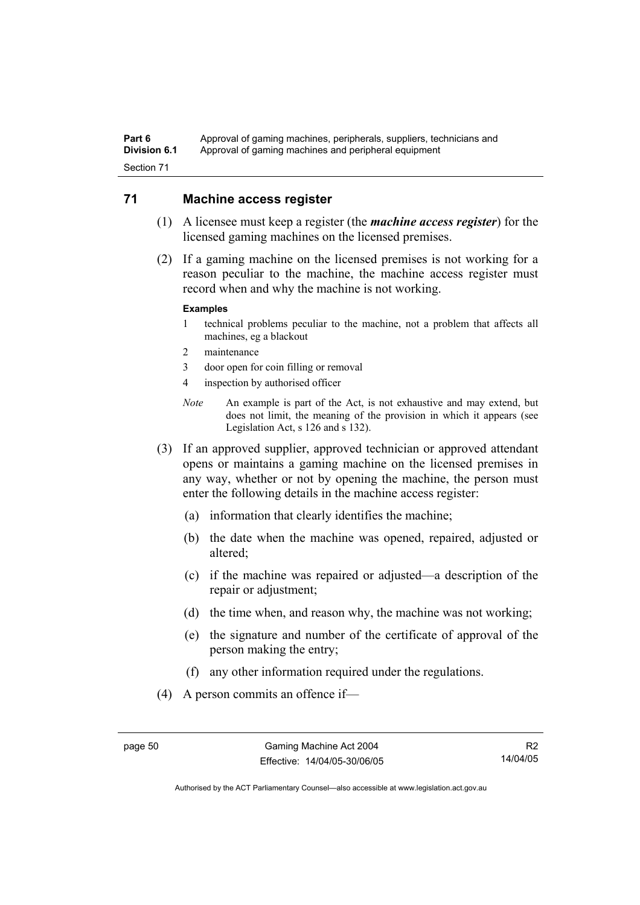#### Part 6 **Approval of gaming machines, peripherals, suppliers, technicians and Division 6.1** Approval of gaming machines and peripheral equipment Section 71

#### **71 Machine access register**

- (1) A licensee must keep a register (the *machine access register*) for the licensed gaming machines on the licensed premises.
- (2) If a gaming machine on the licensed premises is not working for a reason peculiar to the machine, the machine access register must record when and why the machine is not working.

#### **Examples**

- 1 technical problems peculiar to the machine, not a problem that affects all machines, eg a blackout
- 2 maintenance
- 3 door open for coin filling or removal
- 4 inspection by authorised officer
- *Note* An example is part of the Act, is not exhaustive and may extend, but does not limit, the meaning of the provision in which it appears (see Legislation Act, s 126 and s 132).
- (3) If an approved supplier, approved technician or approved attendant opens or maintains a gaming machine on the licensed premises in any way, whether or not by opening the machine, the person must enter the following details in the machine access register:
	- (a) information that clearly identifies the machine;
	- (b) the date when the machine was opened, repaired, adjusted or altered;
	- (c) if the machine was repaired or adjusted—a description of the repair or adjustment;
	- (d) the time when, and reason why, the machine was not working;
	- (e) the signature and number of the certificate of approval of the person making the entry;
	- (f) any other information required under the regulations.
- (4) A person commits an offence if—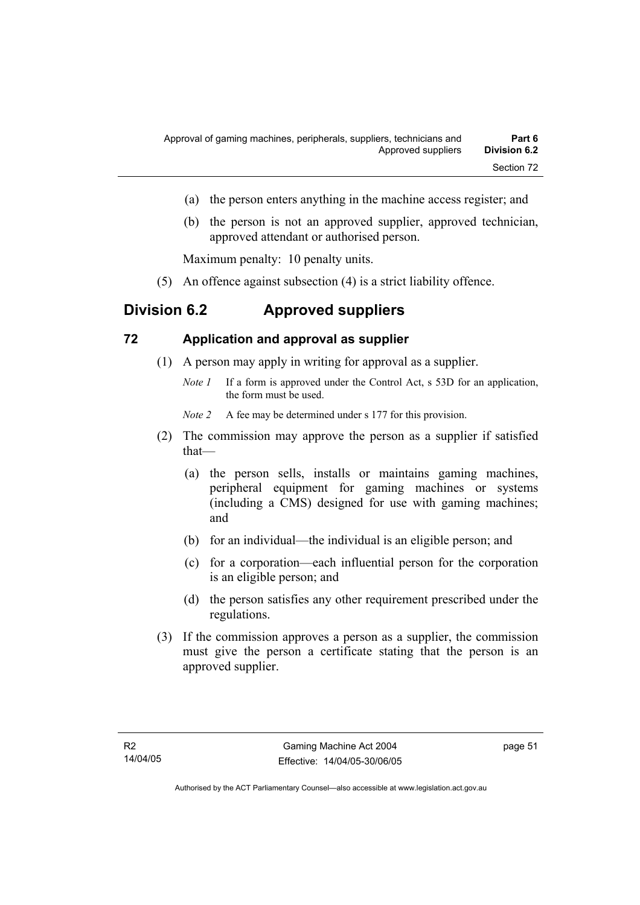- (a) the person enters anything in the machine access register; and
- (b) the person is not an approved supplier, approved technician, approved attendant or authorised person.

Maximum penalty: 10 penalty units.

(5) An offence against subsection (4) is a strict liability offence.

# **Division 6.2 Approved suppliers**

#### **72 Application and approval as supplier**

- (1) A person may apply in writing for approval as a supplier.
	- *Note 1* If a form is approved under the Control Act, s 53D for an application, the form must be used.

*Note 2* A fee may be determined under s 177 for this provision.

- (2) The commission may approve the person as a supplier if satisfied that—
	- (a) the person sells, installs or maintains gaming machines, peripheral equipment for gaming machines or systems (including a CMS) designed for use with gaming machines; and
	- (b) for an individual—the individual is an eligible person; and
	- (c) for a corporation—each influential person for the corporation is an eligible person; and
	- (d) the person satisfies any other requirement prescribed under the regulations.
- (3) If the commission approves a person as a supplier, the commission must give the person a certificate stating that the person is an approved supplier.

page 51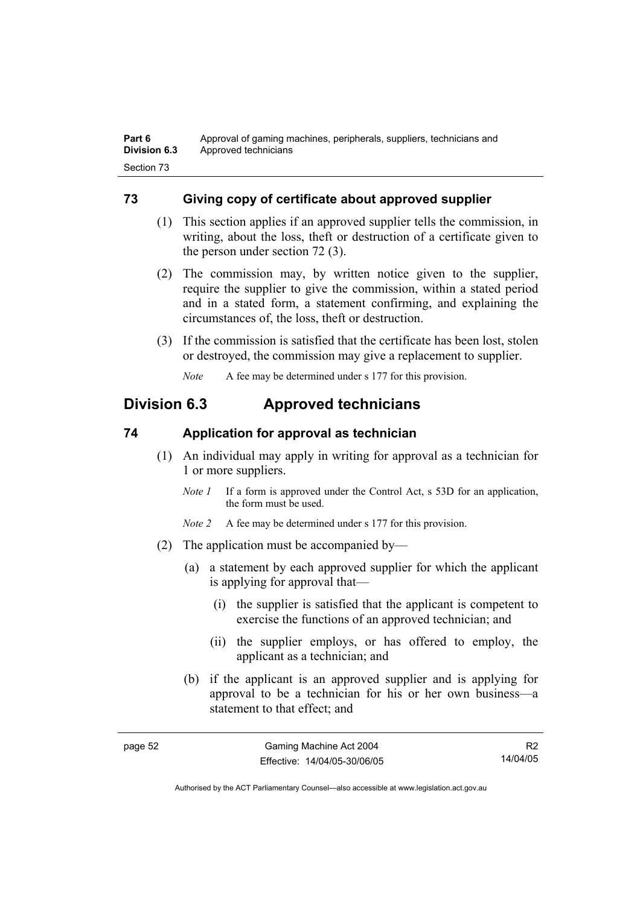## **73 Giving copy of certificate about approved supplier**

- (1) This section applies if an approved supplier tells the commission, in writing, about the loss, theft or destruction of a certificate given to the person under section 72 (3).
- (2) The commission may, by written notice given to the supplier, require the supplier to give the commission, within a stated period and in a stated form, a statement confirming, and explaining the circumstances of, the loss, theft or destruction.
- (3) If the commission is satisfied that the certificate has been lost, stolen or destroyed, the commission may give a replacement to supplier.

*Note* A fee may be determined under s 177 for this provision.

# **Division 6.3 Approved technicians**

### **74 Application for approval as technician**

- (1) An individual may apply in writing for approval as a technician for 1 or more suppliers.
	- *Note 1* If a form is approved under the Control Act, s 53D for an application, the form must be used.
	- *Note 2* A fee may be determined under s 177 for this provision.
- (2) The application must be accompanied by—
	- (a) a statement by each approved supplier for which the applicant is applying for approval that—
		- (i) the supplier is satisfied that the applicant is competent to exercise the functions of an approved technician; and
		- (ii) the supplier employs, or has offered to employ, the applicant as a technician; and
	- (b) if the applicant is an approved supplier and is applying for approval to be a technician for his or her own business—a statement to that effect; and

R2 14/04/05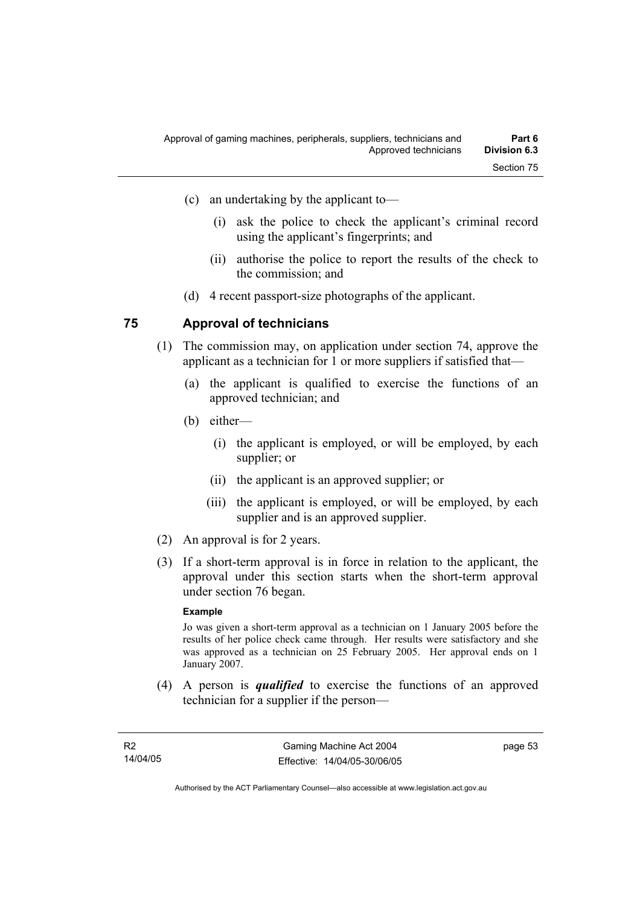- (i) ask the police to check the applicant's criminal record using the applicant's fingerprints; and
- (ii) authorise the police to report the results of the check to the commission; and
- (d) 4 recent passport-size photographs of the applicant.

#### **75 Approval of technicians**

- (1) The commission may, on application under section 74, approve the applicant as a technician for 1 or more suppliers if satisfied that—
	- (a) the applicant is qualified to exercise the functions of an approved technician; and
	- (b) either—
		- (i) the applicant is employed, or will be employed, by each supplier; or
		- (ii) the applicant is an approved supplier; or
		- (iii) the applicant is employed, or will be employed, by each supplier and is an approved supplier.
- (2) An approval is for 2 years.
- (3) If a short-term approval is in force in relation to the applicant, the approval under this section starts when the short-term approval under section 76 began.

#### **Example**

Jo was given a short-term approval as a technician on 1 January 2005 before the results of her police check came through. Her results were satisfactory and she was approved as a technician on 25 February 2005. Her approval ends on 1 January 2007.

 (4) A person is *qualified* to exercise the functions of an approved technician for a supplier if the person—

page 53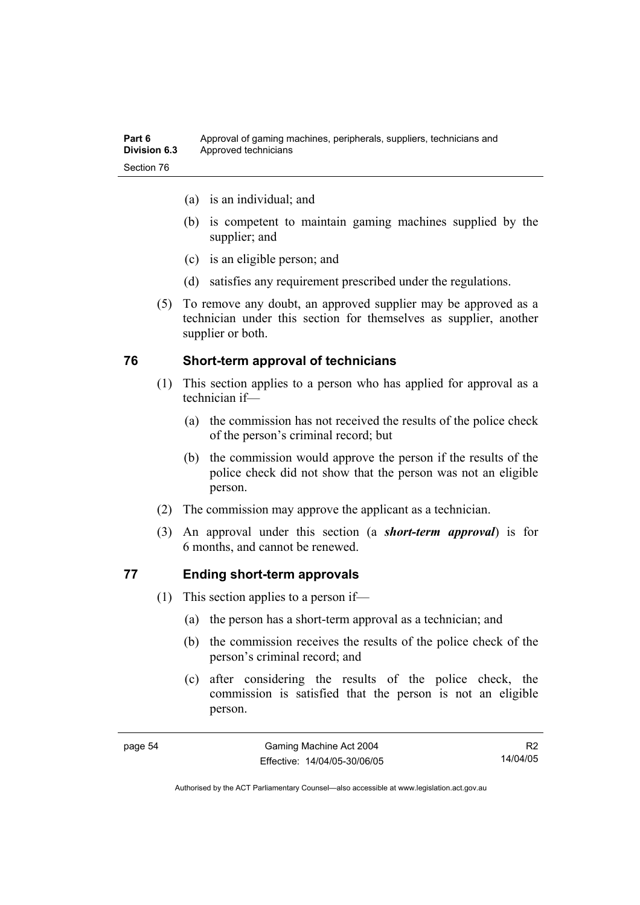| Part 6              | Approval of gaming machines, peripherals, suppliers, technicians and |
|---------------------|----------------------------------------------------------------------|
| <b>Division 6.3</b> | Approved technicians                                                 |
| Section 76          |                                                                      |

- (a) is an individual; and
- (b) is competent to maintain gaming machines supplied by the supplier; and
- (c) is an eligible person; and
- (d) satisfies any requirement prescribed under the regulations.
- (5) To remove any doubt, an approved supplier may be approved as a technician under this section for themselves as supplier, another supplier or both.

#### **76 Short-term approval of technicians**

- (1) This section applies to a person who has applied for approval as a technician if—
	- (a) the commission has not received the results of the police check of the person's criminal record; but
	- (b) the commission would approve the person if the results of the police check did not show that the person was not an eligible person.
- (2) The commission may approve the applicant as a technician.
- (3) An approval under this section (a *short-term approval*) is for 6 months, and cannot be renewed.

#### **77 Ending short-term approvals**

- (1) This section applies to a person if—
	- (a) the person has a short-term approval as a technician; and
	- (b) the commission receives the results of the police check of the person's criminal record; and
	- (c) after considering the results of the police check, the commission is satisfied that the person is not an eligible person.

R2 14/04/05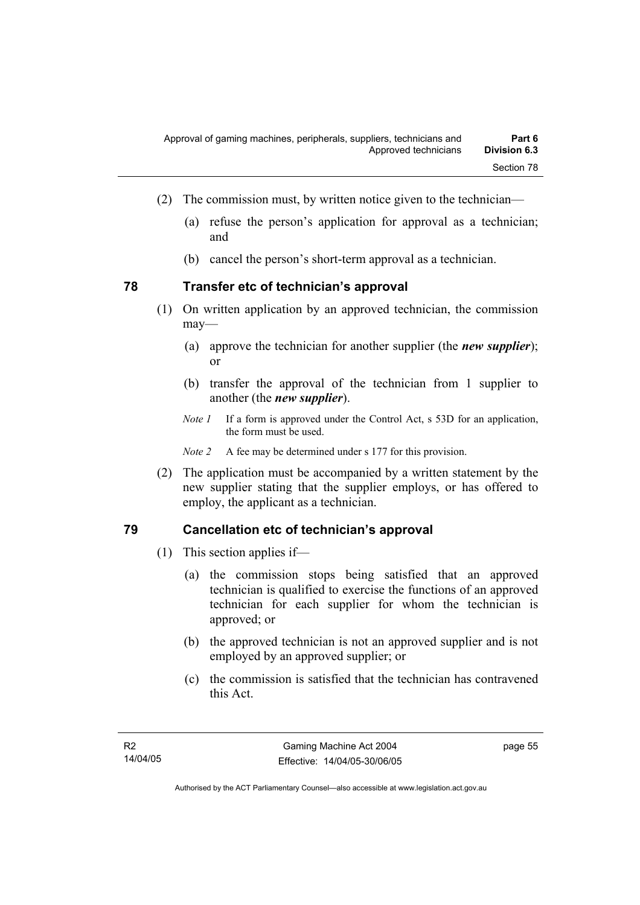- (2) The commission must, by written notice given to the technician—
	- (a) refuse the person's application for approval as a technician; and
	- (b) cancel the person's short-term approval as a technician.

#### **78 Transfer etc of technician's approval**

- (1) On written application by an approved technician, the commission may—
	- (a) approve the technician for another supplier (the *new supplier*); or
	- (b) transfer the approval of the technician from 1 supplier to another (the *new supplier*).
	- *Note 1* If a form is approved under the Control Act, s 53D for an application, the form must be used.

*Note 2* A fee may be determined under s 177 for this provision.

 (2) The application must be accompanied by a written statement by the new supplier stating that the supplier employs, or has offered to employ, the applicant as a technician.

#### **79 Cancellation etc of technician's approval**

- (1) This section applies if—
	- (a) the commission stops being satisfied that an approved technician is qualified to exercise the functions of an approved technician for each supplier for whom the technician is approved; or
	- (b) the approved technician is not an approved supplier and is not employed by an approved supplier; or
	- (c) the commission is satisfied that the technician has contravened this Act.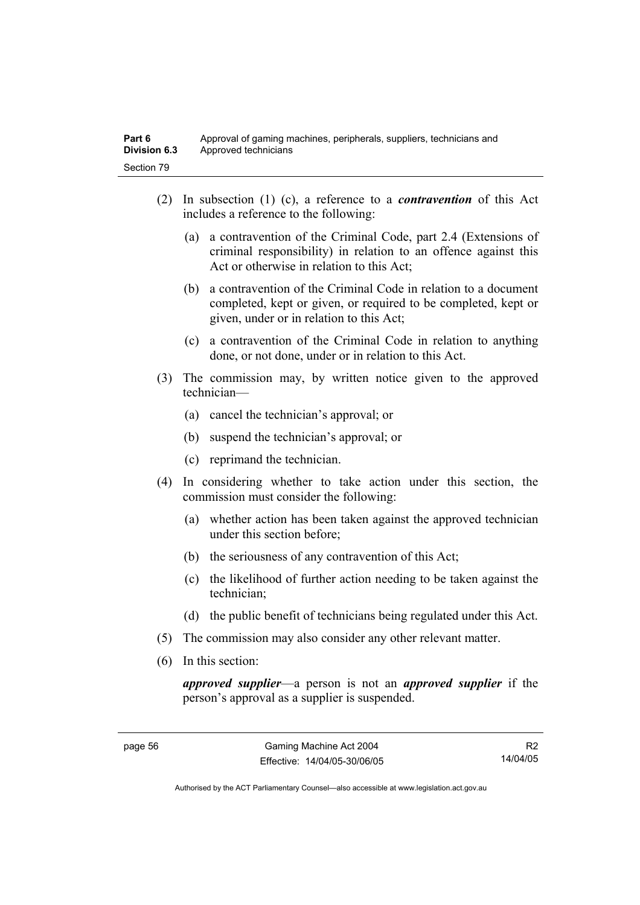- (2) In subsection (1) (c), a reference to a *contravention* of this Act includes a reference to the following:
	- (a) a contravention of the Criminal Code, part 2.4 (Extensions of criminal responsibility) in relation to an offence against this Act or otherwise in relation to this Act;
	- (b) a contravention of the Criminal Code in relation to a document completed, kept or given, or required to be completed, kept or given, under or in relation to this Act;
	- (c) a contravention of the Criminal Code in relation to anything done, or not done, under or in relation to this Act.
- (3) The commission may, by written notice given to the approved technician—
	- (a) cancel the technician's approval; or
	- (b) suspend the technician's approval; or
	- (c) reprimand the technician.
- (4) In considering whether to take action under this section, the commission must consider the following:
	- (a) whether action has been taken against the approved technician under this section before;
	- (b) the seriousness of any contravention of this Act;
	- (c) the likelihood of further action needing to be taken against the technician;
	- (d) the public benefit of technicians being regulated under this Act.
- (5) The commission may also consider any other relevant matter.
- (6) In this section:

*approved supplier*—a person is not an *approved supplier* if the person's approval as a supplier is suspended.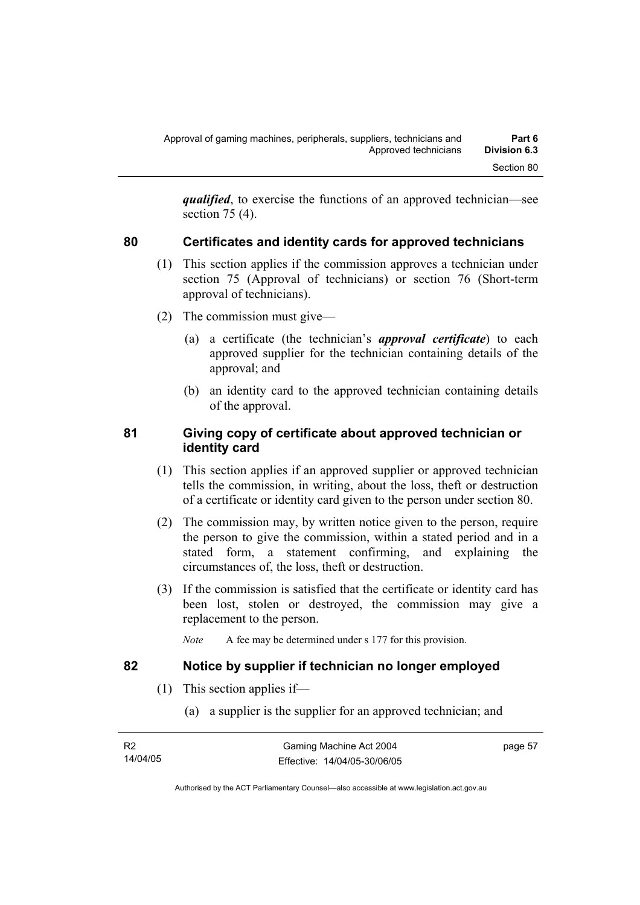*qualified*, to exercise the functions of an approved technician—see section 75 (4).

# **80 Certificates and identity cards for approved technicians**

- (1) This section applies if the commission approves a technician under section 75 (Approval of technicians) or section 76 (Short-term approval of technicians).
- (2) The commission must give—
	- (a) a certificate (the technician's *approval certificate*) to each approved supplier for the technician containing details of the approval; and
	- (b) an identity card to the approved technician containing details of the approval.

#### **81 Giving copy of certificate about approved technician or identity card**

- (1) This section applies if an approved supplier or approved technician tells the commission, in writing, about the loss, theft or destruction of a certificate or identity card given to the person under section 80.
- (2) The commission may, by written notice given to the person, require the person to give the commission, within a stated period and in a stated form, a statement confirming, and explaining the circumstances of, the loss, theft or destruction.
- (3) If the commission is satisfied that the certificate or identity card has been lost, stolen or destroyed, the commission may give a replacement to the person.
	- *Note* A fee may be determined under s 177 for this provision.

### **82 Notice by supplier if technician no longer employed**

- (1) This section applies if—
	- (a) a supplier is the supplier for an approved technician; and

| - R2     | Gaming Machine Act 2004      | page 57 |
|----------|------------------------------|---------|
| 14/04/05 | Effective: 14/04/05-30/06/05 |         |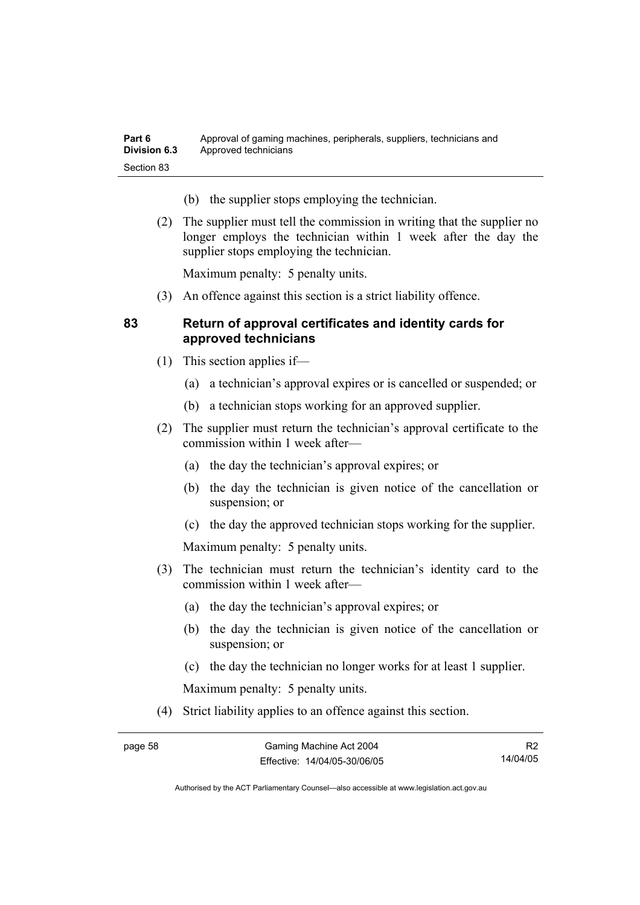| Part 6              | Approval of gaming machines, peripherals, suppliers, technicians and |
|---------------------|----------------------------------------------------------------------|
| <b>Division 6.3</b> | Approved technicians                                                 |
| Section 83          |                                                                      |

- (b) the supplier stops employing the technician.
- (2) The supplier must tell the commission in writing that the supplier no longer employs the technician within 1 week after the day the supplier stops employing the technician.

Maximum penalty: 5 penalty units.

(3) An offence against this section is a strict liability offence.

#### **83 Return of approval certificates and identity cards for approved technicians**

- (1) This section applies if—
	- (a) a technician's approval expires or is cancelled or suspended; or
	- (b) a technician stops working for an approved supplier.
- (2) The supplier must return the technician's approval certificate to the commission within 1 week after—
	- (a) the day the technician's approval expires; or
	- (b) the day the technician is given notice of the cancellation or suspension; or
	- (c) the day the approved technician stops working for the supplier.

Maximum penalty: 5 penalty units.

- (3) The technician must return the technician's identity card to the commission within 1 week after—
	- (a) the day the technician's approval expires; or
	- (b) the day the technician is given notice of the cancellation or suspension; or
	- (c) the day the technician no longer works for at least 1 supplier.

Maximum penalty: 5 penalty units.

(4) Strict liability applies to an offence against this section.

R2 14/04/05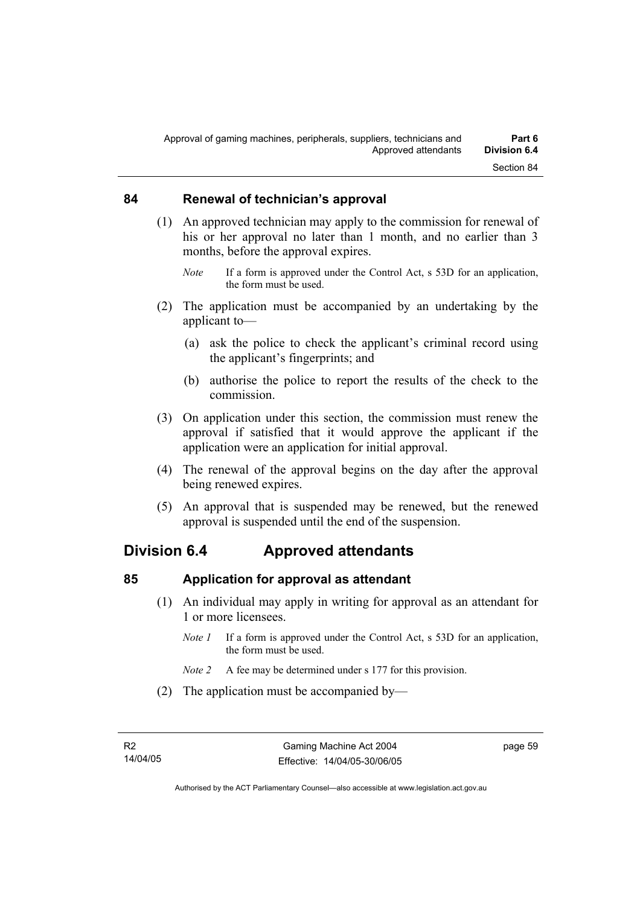#### **84 Renewal of technician's approval**

- (1) An approved technician may apply to the commission for renewal of his or her approval no later than 1 month, and no earlier than 3 months, before the approval expires.
	- *Note* If a form is approved under the Control Act, s 53D for an application, the form must be used.
- (2) The application must be accompanied by an undertaking by the applicant to—
	- (a) ask the police to check the applicant's criminal record using the applicant's fingerprints; and
	- (b) authorise the police to report the results of the check to the commission.
- (3) On application under this section, the commission must renew the approval if satisfied that it would approve the applicant if the application were an application for initial approval.
- (4) The renewal of the approval begins on the day after the approval being renewed expires.
- (5) An approval that is suspended may be renewed, but the renewed approval is suspended until the end of the suspension.

# **Division 6.4 Approved attendants**

#### **85 Application for approval as attendant**

- (1) An individual may apply in writing for approval as an attendant for 1 or more licensees.
	- *Note 1* If a form is approved under the Control Act, s 53D for an application, the form must be used.
	- *Note 2* A fee may be determined under s 177 for this provision.
- (2) The application must be accompanied by—

page 59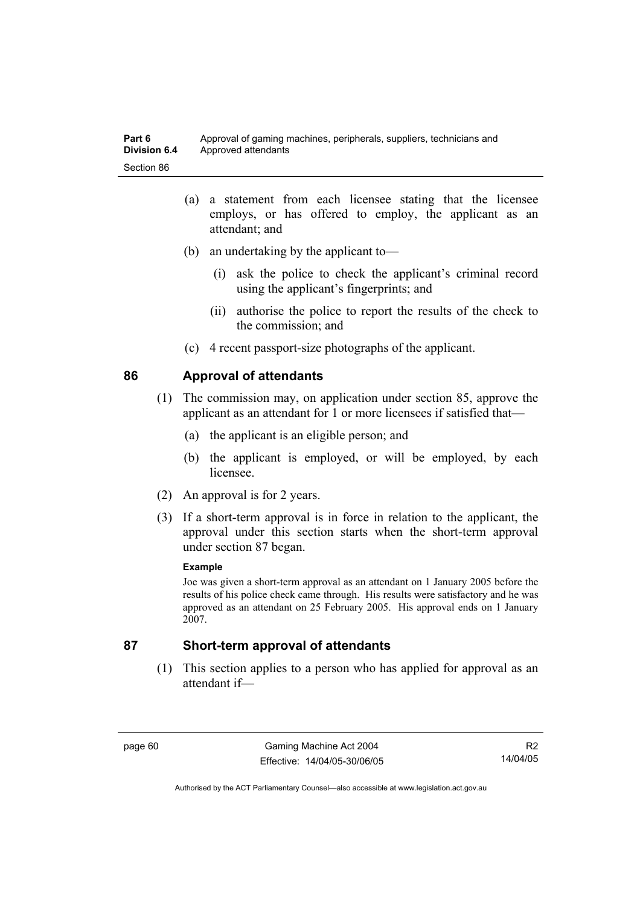- (a) a statement from each licensee stating that the licensee employs, or has offered to employ, the applicant as an attendant; and
- (b) an undertaking by the applicant to—
	- (i) ask the police to check the applicant's criminal record using the applicant's fingerprints; and
	- (ii) authorise the police to report the results of the check to the commission; and
- (c) 4 recent passport-size photographs of the applicant.

#### **86 Approval of attendants**

- (1) The commission may, on application under section 85, approve the applicant as an attendant for 1 or more licensees if satisfied that—
	- (a) the applicant is an eligible person; and
	- (b) the applicant is employed, or will be employed, by each licensee.
- (2) An approval is for 2 years.
- (3) If a short-term approval is in force in relation to the applicant, the approval under this section starts when the short-term approval under section 87 began.

#### **Example**

Joe was given a short-term approval as an attendant on 1 January 2005 before the results of his police check came through. His results were satisfactory and he was approved as an attendant on 25 February 2005. His approval ends on 1 January 2007.

#### **87 Short-term approval of attendants**

 (1) This section applies to a person who has applied for approval as an attendant if—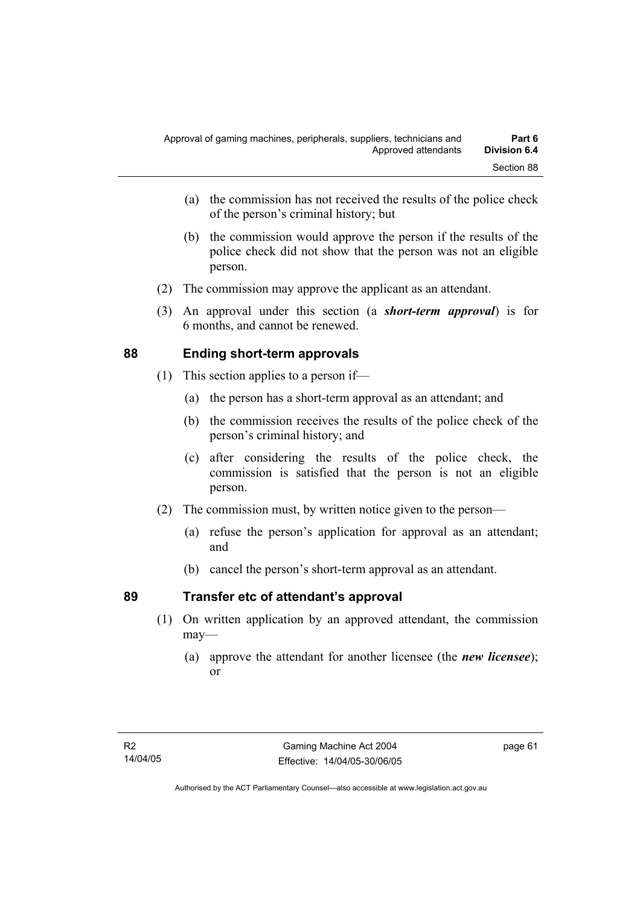- (a) the commission has not received the results of the police check of the person's criminal history; but
- (b) the commission would approve the person if the results of the police check did not show that the person was not an eligible person.
- (2) The commission may approve the applicant as an attendant.
- (3) An approval under this section (a *short-term approval*) is for 6 months, and cannot be renewed.

# **88 Ending short-term approvals**

- (1) This section applies to a person if—
	- (a) the person has a short-term approval as an attendant; and
	- (b) the commission receives the results of the police check of the person's criminal history; and
	- (c) after considering the results of the police check, the commission is satisfied that the person is not an eligible person.
- (2) The commission must, by written notice given to the person—
	- (a) refuse the person's application for approval as an attendant; and
	- (b) cancel the person's short-term approval as an attendant.

# **89 Transfer etc of attendant's approval**

- (1) On written application by an approved attendant, the commission may—
	- (a) approve the attendant for another licensee (the *new licensee*); or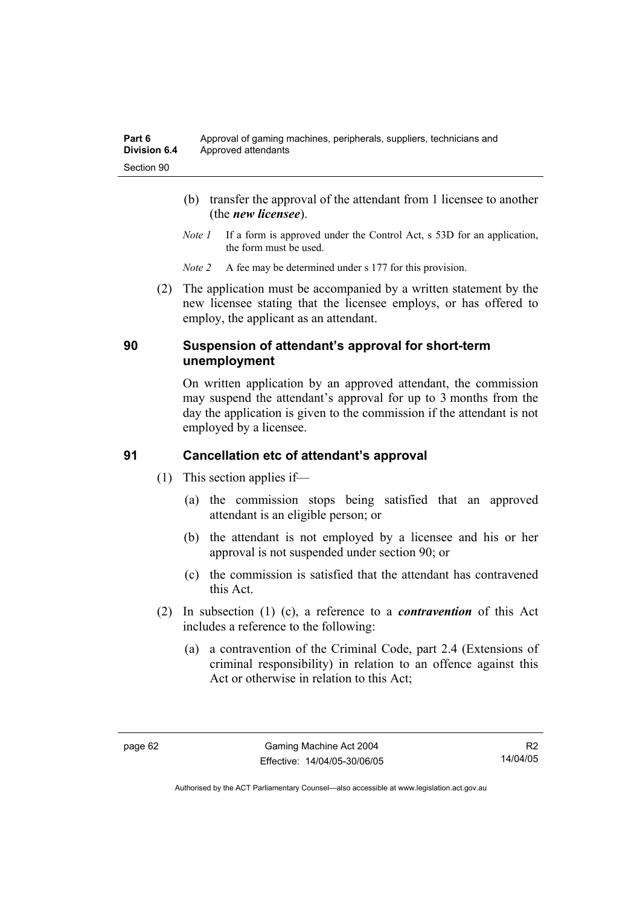- (b) transfer the approval of the attendant from 1 licensee to another (the *new licensee*).
- *Note 1* If a form is approved under the Control Act, s 53D for an application, the form must be used.
- *Note 2* A fee may be determined under s 177 for this provision.
- (2) The application must be accompanied by a written statement by the new licensee stating that the licensee employs, or has offered to employ, the applicant as an attendant.

#### **90 Suspension of attendant's approval for short-term unemployment**

On written application by an approved attendant, the commission may suspend the attendant's approval for up to 3 months from the day the application is given to the commission if the attendant is not employed by a licensee.

# **91 Cancellation etc of attendant's approval**

- (1) This section applies if—
	- (a) the commission stops being satisfied that an approved attendant is an eligible person; or
	- (b) the attendant is not employed by a licensee and his or her approval is not suspended under section 90; or
	- (c) the commission is satisfied that the attendant has contravened this Act.
- (2) In subsection (1) (c), a reference to a *contravention* of this Act includes a reference to the following:
	- (a) a contravention of the Criminal Code, part 2.4 (Extensions of criminal responsibility) in relation to an offence against this Act or otherwise in relation to this Act;

R2 14/04/05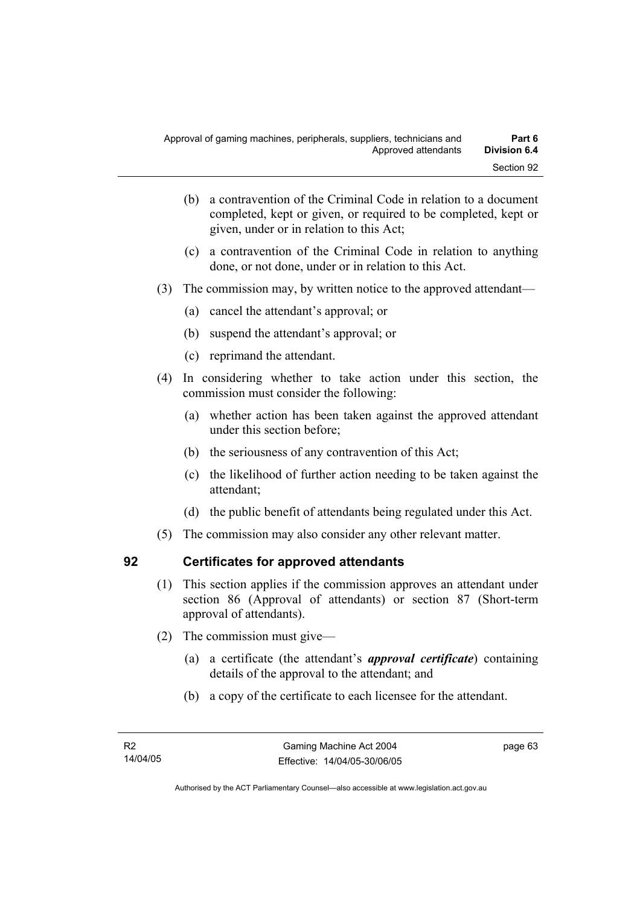- (b) a contravention of the Criminal Code in relation to a document completed, kept or given, or required to be completed, kept or given, under or in relation to this Act;
- (c) a contravention of the Criminal Code in relation to anything done, or not done, under or in relation to this Act.
- (3) The commission may, by written notice to the approved attendant—
	- (a) cancel the attendant's approval; or
	- (b) suspend the attendant's approval; or
	- (c) reprimand the attendant.
- (4) In considering whether to take action under this section, the commission must consider the following:
	- (a) whether action has been taken against the approved attendant under this section before;
	- (b) the seriousness of any contravention of this Act;
	- (c) the likelihood of further action needing to be taken against the attendant;
	- (d) the public benefit of attendants being regulated under this Act.
- (5) The commission may also consider any other relevant matter.

# **92 Certificates for approved attendants**

- (1) This section applies if the commission approves an attendant under section 86 (Approval of attendants) or section 87 (Short-term approval of attendants).
- (2) The commission must give—
	- (a) a certificate (the attendant's *approval certificate*) containing details of the approval to the attendant; and
	- (b) a copy of the certificate to each licensee for the attendant.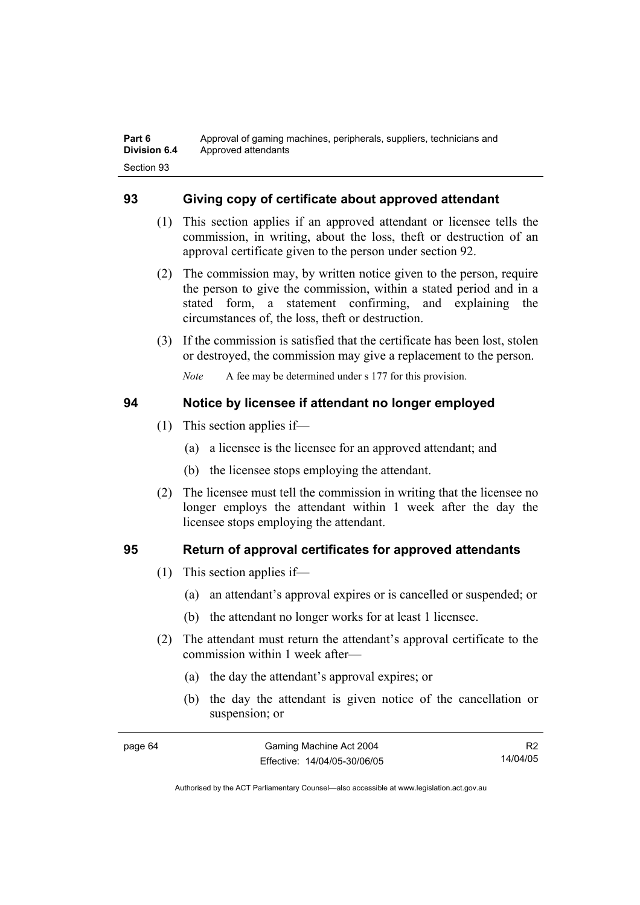# **93 Giving copy of certificate about approved attendant**

- (1) This section applies if an approved attendant or licensee tells the commission, in writing, about the loss, theft or destruction of an approval certificate given to the person under section 92.
- (2) The commission may, by written notice given to the person, require the person to give the commission, within a stated period and in a stated form, a statement confirming, and explaining the circumstances of, the loss, theft or destruction.
- (3) If the commission is satisfied that the certificate has been lost, stolen or destroyed, the commission may give a replacement to the person.

*Note* A fee may be determined under s 177 for this provision.

# **94 Notice by licensee if attendant no longer employed**

- (1) This section applies if—
	- (a) a licensee is the licensee for an approved attendant; and
	- (b) the licensee stops employing the attendant.
- (2) The licensee must tell the commission in writing that the licensee no longer employs the attendant within 1 week after the day the licensee stops employing the attendant.

# **95 Return of approval certificates for approved attendants**

- (1) This section applies if—
	- (a) an attendant's approval expires or is cancelled or suspended; or
	- (b) the attendant no longer works for at least 1 licensee.
- (2) The attendant must return the attendant's approval certificate to the commission within 1 week after—
	- (a) the day the attendant's approval expires; or
	- (b) the day the attendant is given notice of the cancellation or suspension; or

| page 64 | Gaming Machine Act 2004      | R <sub>2</sub> |
|---------|------------------------------|----------------|
|         | Effective: 14/04/05-30/06/05 | 14/04/05       |

Authorised by the ACT Parliamentary Counsel—also accessible at www.legislation.act.gov.au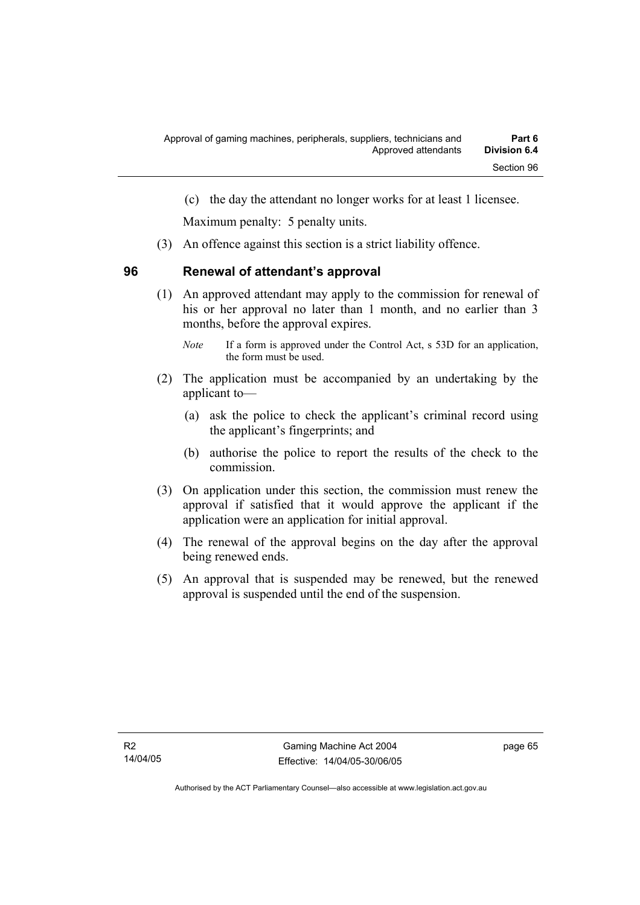(c) the day the attendant no longer works for at least 1 licensee.

Maximum penalty: 5 penalty units.

(3) An offence against this section is a strict liability offence.

# **96 Renewal of attendant's approval**

 (1) An approved attendant may apply to the commission for renewal of his or her approval no later than 1 month, and no earlier than 3 months, before the approval expires.

- (2) The application must be accompanied by an undertaking by the applicant to—
	- (a) ask the police to check the applicant's criminal record using the applicant's fingerprints; and
	- (b) authorise the police to report the results of the check to the commission.
- (3) On application under this section, the commission must renew the approval if satisfied that it would approve the applicant if the application were an application for initial approval.
- (4) The renewal of the approval begins on the day after the approval being renewed ends.
- (5) An approval that is suspended may be renewed, but the renewed approval is suspended until the end of the suspension.

*Note* If a form is approved under the Control Act, s 53D for an application, the form must be used.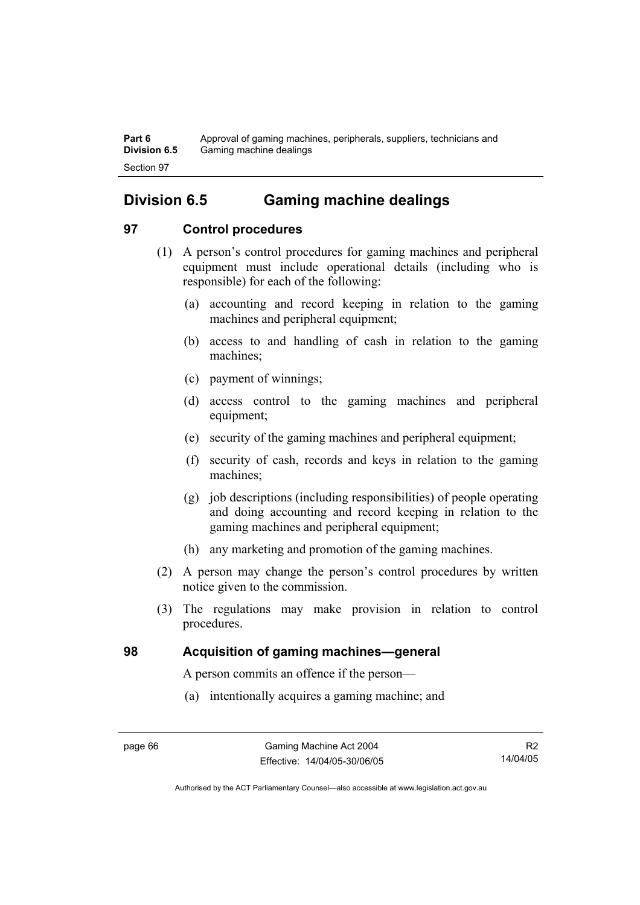**Part 6** Approval of gaming machines, peripherals, suppliers, technicians and **Division 6.5** Gaming machine dealings Section 97

# **Division 6.5 Gaming machine dealings**

# **97 Control procedures**

- (1) A person's control procedures for gaming machines and peripheral equipment must include operational details (including who is responsible) for each of the following:
	- (a) accounting and record keeping in relation to the gaming machines and peripheral equipment;
	- (b) access to and handling of cash in relation to the gaming machines;
	- (c) payment of winnings;
	- (d) access control to the gaming machines and peripheral equipment;
	- (e) security of the gaming machines and peripheral equipment;
	- (f) security of cash, records and keys in relation to the gaming machines;
	- (g) job descriptions (including responsibilities) of people operating and doing accounting and record keeping in relation to the gaming machines and peripheral equipment;
	- (h) any marketing and promotion of the gaming machines.
- (2) A person may change the person's control procedures by written notice given to the commission.
- (3) The regulations may make provision in relation to control procedures.

# **98 Acquisition of gaming machines—general**

A person commits an offence if the person—

(a) intentionally acquires a gaming machine; and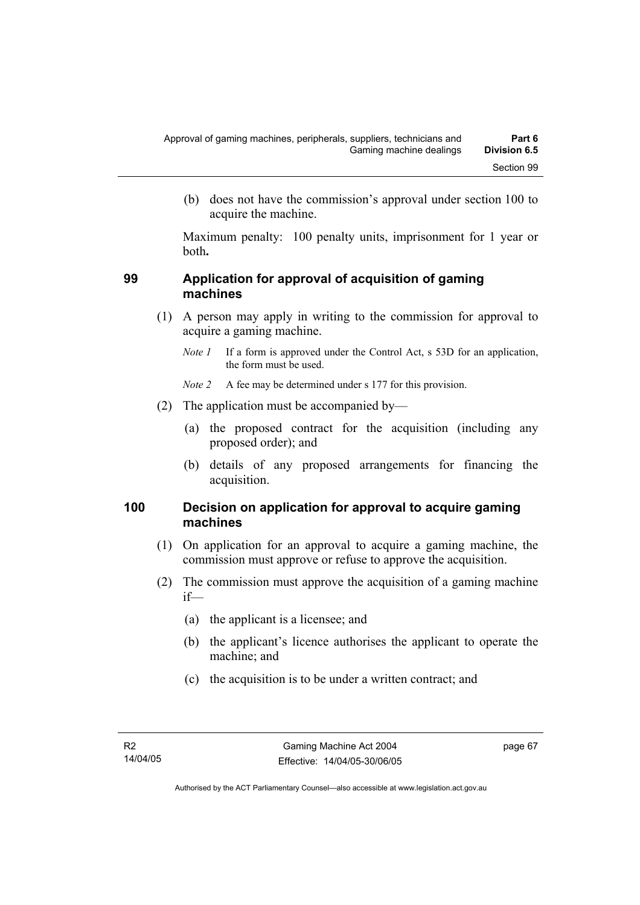(b) does not have the commission's approval under section 100 to acquire the machine.

Maximum penalty: 100 penalty units, imprisonment for 1 year or both**.**

#### **99 Application for approval of acquisition of gaming machines**

- (1) A person may apply in writing to the commission for approval to acquire a gaming machine.
	- *Note 1* If a form is approved under the Control Act, s 53D for an application, the form must be used.

*Note 2* A fee may be determined under s 177 for this provision.

- (2) The application must be accompanied by—
	- (a) the proposed contract for the acquisition (including any proposed order); and
	- (b) details of any proposed arrangements for financing the acquisition.

#### **100 Decision on application for approval to acquire gaming machines**

- (1) On application for an approval to acquire a gaming machine, the commission must approve or refuse to approve the acquisition.
- (2) The commission must approve the acquisition of a gaming machine if—
	- (a) the applicant is a licensee; and
	- (b) the applicant's licence authorises the applicant to operate the machine; and
	- (c) the acquisition is to be under a written contract; and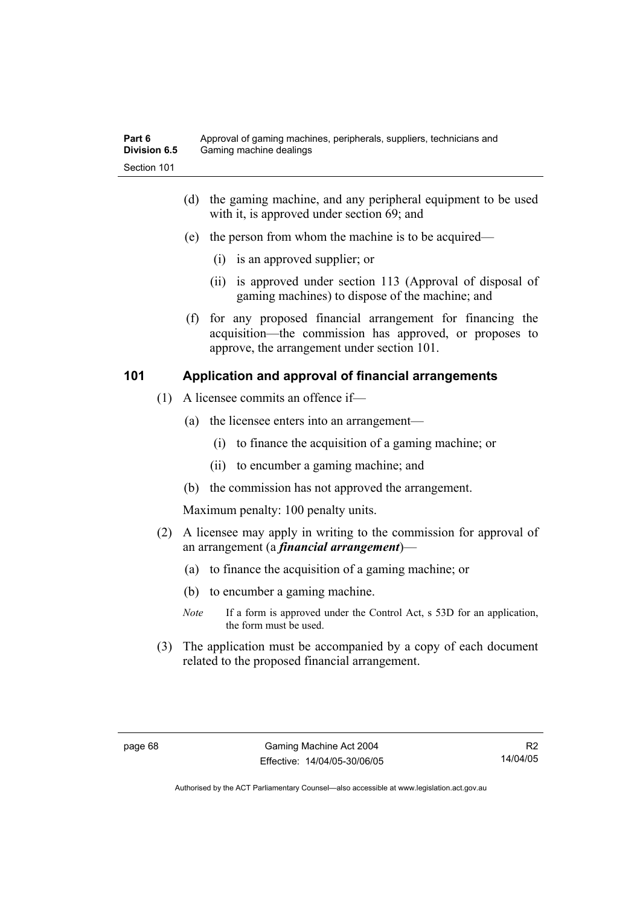- (d) the gaming machine, and any peripheral equipment to be used with it, is approved under section 69; and
- (e) the person from whom the machine is to be acquired—
	- (i) is an approved supplier; or
	- (ii) is approved under section 113 (Approval of disposal of gaming machines) to dispose of the machine; and
- (f) for any proposed financial arrangement for financing the acquisition—the commission has approved, or proposes to approve, the arrangement under section 101.

# **101 Application and approval of financial arrangements**

- (1) A licensee commits an offence if—
	- (a) the licensee enters into an arrangement—
		- (i) to finance the acquisition of a gaming machine; or
		- (ii) to encumber a gaming machine; and
	- (b) the commission has not approved the arrangement.

Maximum penalty: 100 penalty units.

- (2) A licensee may apply in writing to the commission for approval of an arrangement (a *financial arrangement*)—
	- (a) to finance the acquisition of a gaming machine; or
	- (b) to encumber a gaming machine.
	- *Note* If a form is approved under the Control Act, s 53D for an application, the form must be used.
- (3) The application must be accompanied by a copy of each document related to the proposed financial arrangement.

R2 14/04/05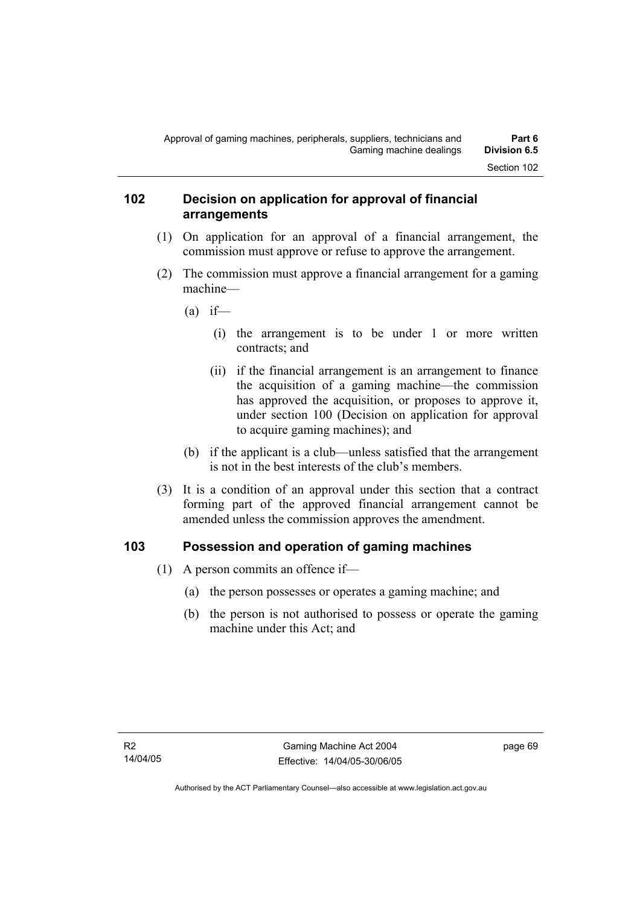#### **102 Decision on application for approval of financial arrangements**

- (1) On application for an approval of a financial arrangement, the commission must approve or refuse to approve the arrangement.
- (2) The commission must approve a financial arrangement for a gaming machine—
	- $(a)$  if—
		- (i) the arrangement is to be under 1 or more written contracts; and
		- (ii) if the financial arrangement is an arrangement to finance the acquisition of a gaming machine—the commission has approved the acquisition, or proposes to approve it, under section 100 (Decision on application for approval to acquire gaming machines); and
	- (b) if the applicant is a club—unless satisfied that the arrangement is not in the best interests of the club's members.
- (3) It is a condition of an approval under this section that a contract forming part of the approved financial arrangement cannot be amended unless the commission approves the amendment.

# **103 Possession and operation of gaming machines**

- (1) A person commits an offence if—
	- (a) the person possesses or operates a gaming machine; and
	- (b) the person is not authorised to possess or operate the gaming machine under this Act; and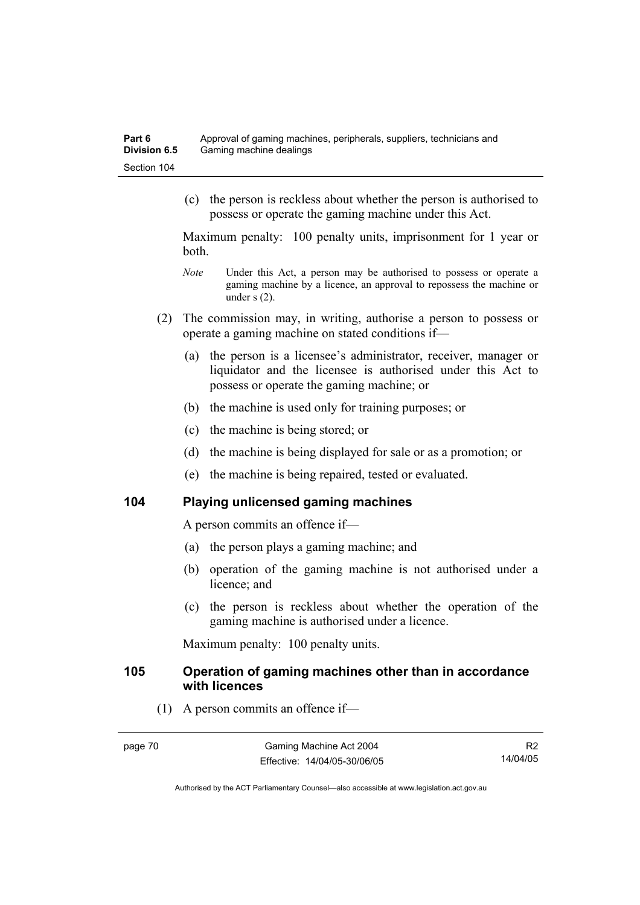(c) the person is reckless about whether the person is authorised to possess or operate the gaming machine under this Act.

Maximum penalty: 100 penalty units, imprisonment for 1 year or both.

- *Note* Under this Act, a person may be authorised to possess or operate a gaming machine by a licence, an approval to repossess the machine or under s (2).
- (2) The commission may, in writing, authorise a person to possess or operate a gaming machine on stated conditions if—
	- (a) the person is a licensee's administrator, receiver, manager or liquidator and the licensee is authorised under this Act to possess or operate the gaming machine; or
	- (b) the machine is used only for training purposes; or
	- (c) the machine is being stored; or
	- (d) the machine is being displayed for sale or as a promotion; or
	- (e) the machine is being repaired, tested or evaluated.

#### **104 Playing unlicensed gaming machines**

A person commits an offence if—

- (a) the person plays a gaming machine; and
- (b) operation of the gaming machine is not authorised under a licence; and
- (c) the person is reckless about whether the operation of the gaming machine is authorised under a licence.

Maximum penalty: 100 penalty units.

#### **105 Operation of gaming machines other than in accordance with licences**

(1) A person commits an offence if—

R2 14/04/05

Authorised by the ACT Parliamentary Counsel—also accessible at www.legislation.act.gov.au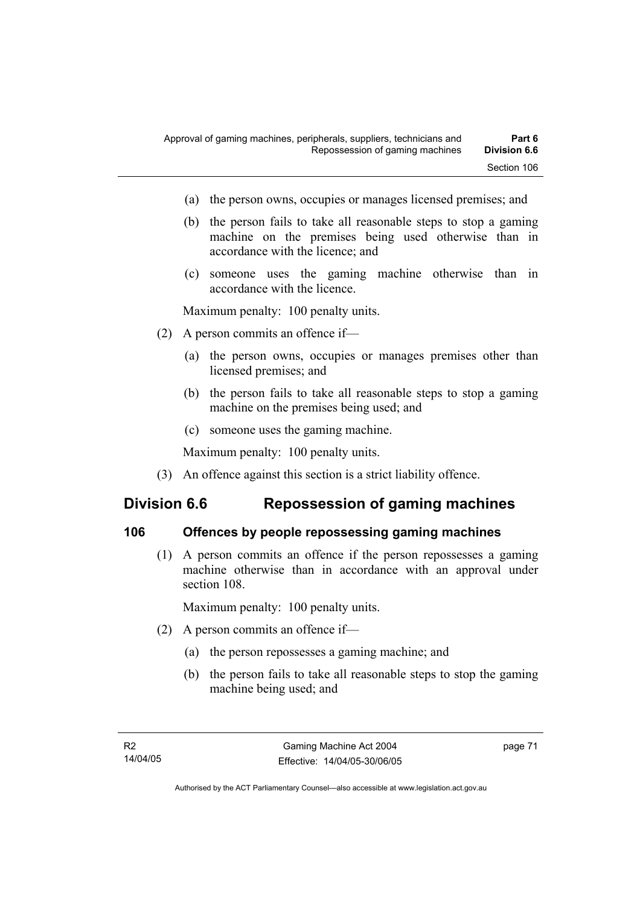- (a) the person owns, occupies or manages licensed premises; and
- (b) the person fails to take all reasonable steps to stop a gaming machine on the premises being used otherwise than in accordance with the licence; and
- (c) someone uses the gaming machine otherwise than in accordance with the licence.

Maximum penalty: 100 penalty units.

- (2) A person commits an offence if—
	- (a) the person owns, occupies or manages premises other than licensed premises; and
	- (b) the person fails to take all reasonable steps to stop a gaming machine on the premises being used; and
	- (c) someone uses the gaming machine.

Maximum penalty: 100 penalty units.

(3) An offence against this section is a strict liability offence.

# **Division 6.6 Repossession of gaming machines**

#### **106 Offences by people repossessing gaming machines**

 (1) A person commits an offence if the person repossesses a gaming machine otherwise than in accordance with an approval under section 108.

Maximum penalty: 100 penalty units.

- (2) A person commits an offence if—
	- (a) the person repossesses a gaming machine; and
	- (b) the person fails to take all reasonable steps to stop the gaming machine being used; and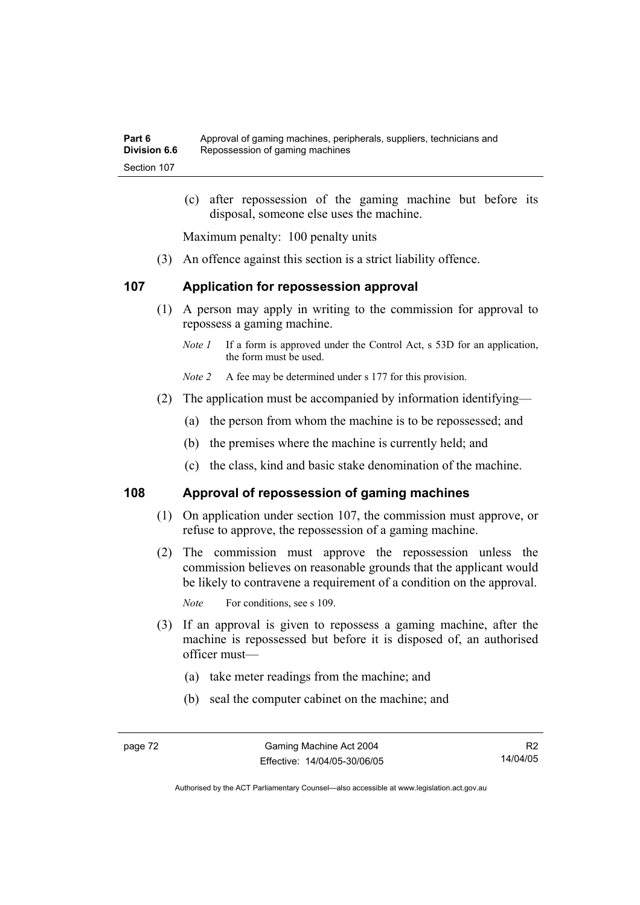(c) after repossession of the gaming machine but before its disposal, someone else uses the machine.

Maximum penalty: 100 penalty units

(3) An offence against this section is a strict liability offence.

#### **107 Application for repossession approval**

- (1) A person may apply in writing to the commission for approval to repossess a gaming machine.
	- *Note 1* If a form is approved under the Control Act, s 53D for an application, the form must be used.

*Note 2* A fee may be determined under s 177 for this provision.

- (2) The application must be accompanied by information identifying—
	- (a) the person from whom the machine is to be repossessed; and
	- (b) the premises where the machine is currently held; and
	- (c) the class, kind and basic stake denomination of the machine.

#### **108 Approval of repossession of gaming machines**

- (1) On application under section 107, the commission must approve, or refuse to approve, the repossession of a gaming machine.
- (2) The commission must approve the repossession unless the commission believes on reasonable grounds that the applicant would be likely to contravene a requirement of a condition on the approval.

*Note* For conditions, see s 109.

- (3) If an approval is given to repossess a gaming machine, after the machine is repossessed but before it is disposed of, an authorised officer must—
	- (a) take meter readings from the machine; and
	- (b) seal the computer cabinet on the machine; and

R2 14/04/05

Authorised by the ACT Parliamentary Counsel—also accessible at www.legislation.act.gov.au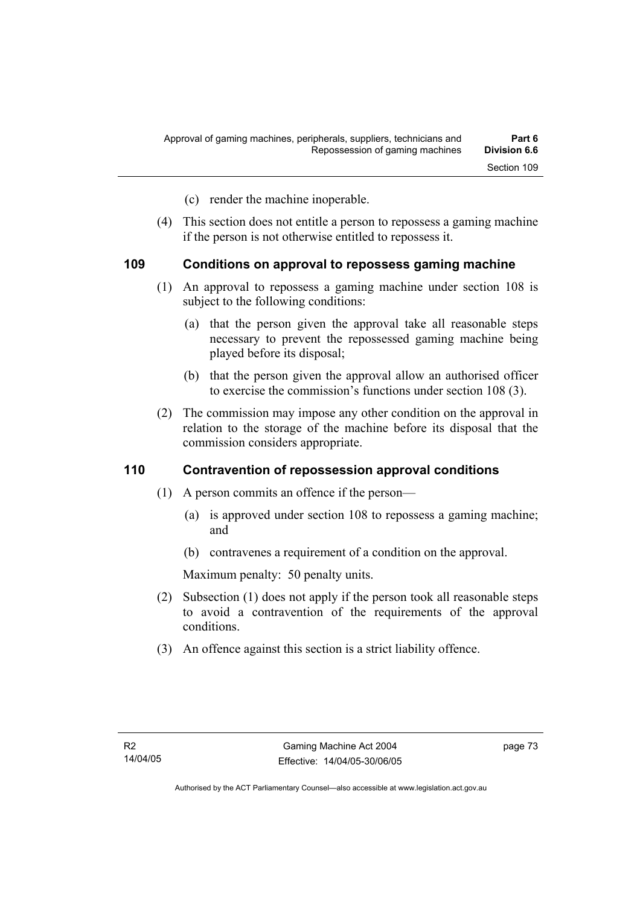- (c) render the machine inoperable.
- (4) This section does not entitle a person to repossess a gaming machine if the person is not otherwise entitled to repossess it.

#### **109 Conditions on approval to repossess gaming machine**

- (1) An approval to repossess a gaming machine under section 108 is subject to the following conditions:
	- (a) that the person given the approval take all reasonable steps necessary to prevent the repossessed gaming machine being played before its disposal;
	- (b) that the person given the approval allow an authorised officer to exercise the commission's functions under section 108 (3).
- (2) The commission may impose any other condition on the approval in relation to the storage of the machine before its disposal that the commission considers appropriate.

#### **110 Contravention of repossession approval conditions**

- (1) A person commits an offence if the person—
	- (a) is approved under section 108 to repossess a gaming machine; and
	- (b) contravenes a requirement of a condition on the approval.

Maximum penalty: 50 penalty units.

- (2) Subsection (1) does not apply if the person took all reasonable steps to avoid a contravention of the requirements of the approval conditions.
- (3) An offence against this section is a strict liability offence.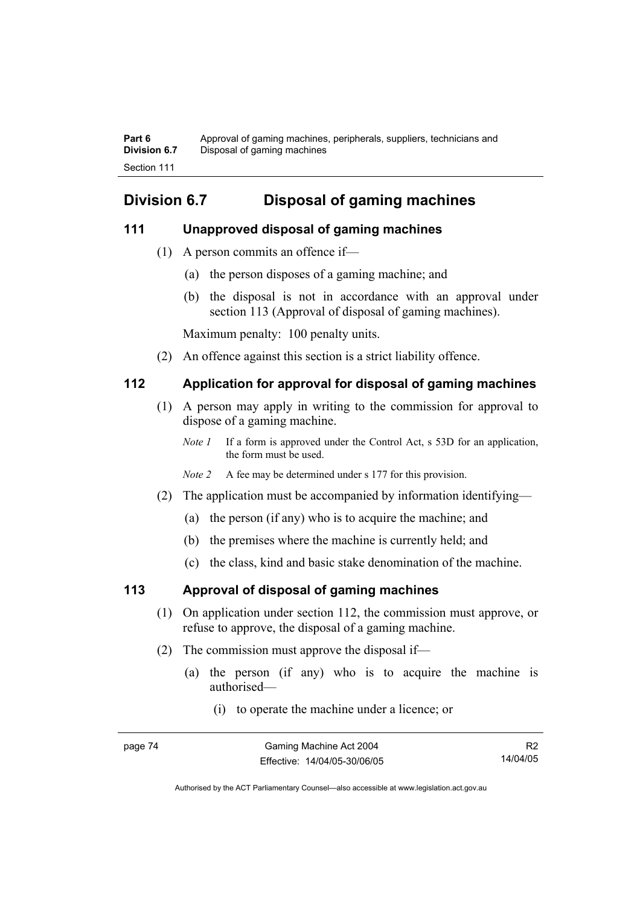**Part 6** Approval of gaming machines, peripherals, suppliers, technicians and **Division 6.7** Disposal of gaming machines Section 111

# **Division 6.7 Disposal of gaming machines**

#### **111 Unapproved disposal of gaming machines**

- (1) A person commits an offence if—
	- (a) the person disposes of a gaming machine; and
	- (b) the disposal is not in accordance with an approval under section 113 (Approval of disposal of gaming machines).

Maximum penalty: 100 penalty units.

(2) An offence against this section is a strict liability offence.

# **112 Application for approval for disposal of gaming machines**

- (1) A person may apply in writing to the commission for approval to dispose of a gaming machine.
	- *Note 1* If a form is approved under the Control Act, s 53D for an application, the form must be used.
	- *Note 2* A fee may be determined under s 177 for this provision.
- (2) The application must be accompanied by information identifying—
	- (a) the person (if any) who is to acquire the machine; and
	- (b) the premises where the machine is currently held; and
	- (c) the class, kind and basic stake denomination of the machine.

# **113 Approval of disposal of gaming machines**

- (1) On application under section 112, the commission must approve, or refuse to approve, the disposal of a gaming machine.
- (2) The commission must approve the disposal if—
	- (a) the person (if any) who is to acquire the machine is authorised—
		- (i) to operate the machine under a licence; or

| page 74 | Gaming Machine Act 2004      | R <sub>2</sub> |
|---------|------------------------------|----------------|
|         | Effective: 14/04/05-30/06/05 | 14/04/05       |

Authorised by the ACT Parliamentary Counsel—also accessible at www.legislation.act.gov.au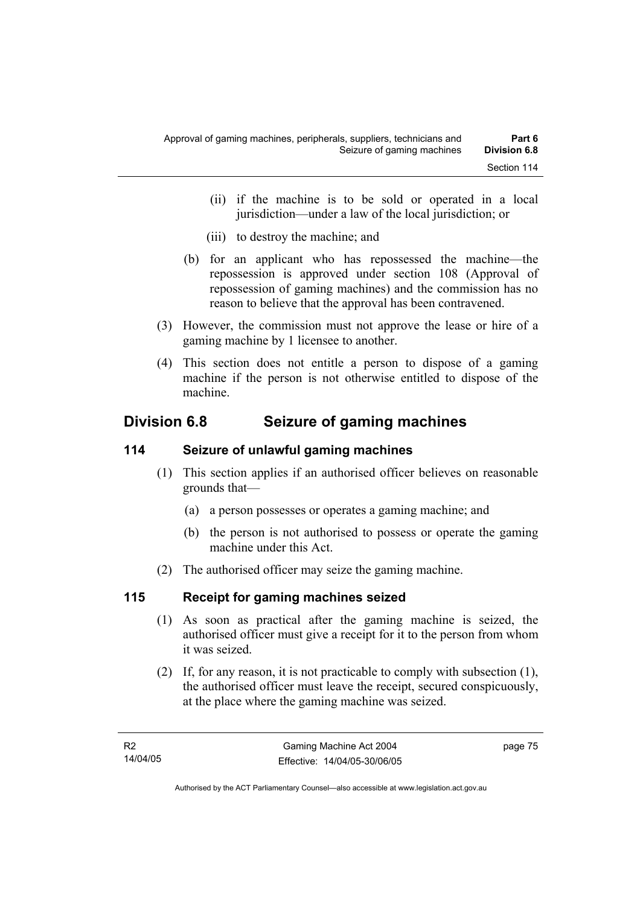- (ii) if the machine is to be sold or operated in a local jurisdiction—under a law of the local jurisdiction; or
- (iii) to destroy the machine; and
- (b) for an applicant who has repossessed the machine—the repossession is approved under section 108 (Approval of repossession of gaming machines) and the commission has no reason to believe that the approval has been contravened.
- (3) However, the commission must not approve the lease or hire of a gaming machine by 1 licensee to another.
- (4) This section does not entitle a person to dispose of a gaming machine if the person is not otherwise entitled to dispose of the machine.

# **Division 6.8 Seizure of gaming machines**

# **114 Seizure of unlawful gaming machines**

- (1) This section applies if an authorised officer believes on reasonable grounds that—
	- (a) a person possesses or operates a gaming machine; and
	- (b) the person is not authorised to possess or operate the gaming machine under this Act.
- (2) The authorised officer may seize the gaming machine.

# **115 Receipt for gaming machines seized**

- (1) As soon as practical after the gaming machine is seized, the authorised officer must give a receipt for it to the person from whom it was seized.
- (2) If, for any reason, it is not practicable to comply with subsection (1), the authorised officer must leave the receipt, secured conspicuously, at the place where the gaming machine was seized.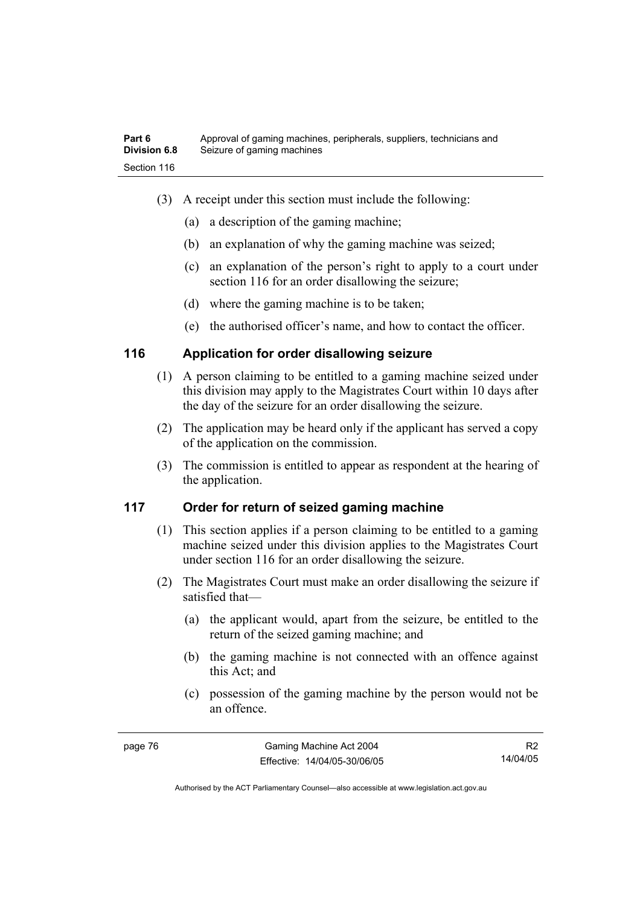- (3) A receipt under this section must include the following:
	- (a) a description of the gaming machine;
	- (b) an explanation of why the gaming machine was seized;
	- (c) an explanation of the person's right to apply to a court under section 116 for an order disallowing the seizure;
	- (d) where the gaming machine is to be taken;
	- (e) the authorised officer's name, and how to contact the officer.

# **116 Application for order disallowing seizure**

- (1) A person claiming to be entitled to a gaming machine seized under this division may apply to the Magistrates Court within 10 days after the day of the seizure for an order disallowing the seizure.
- (2) The application may be heard only if the applicant has served a copy of the application on the commission.
- (3) The commission is entitled to appear as respondent at the hearing of the application.

# **117 Order for return of seized gaming machine**

- (1) This section applies if a person claiming to be entitled to a gaming machine seized under this division applies to the Magistrates Court under section 116 for an order disallowing the seizure.
- (2) The Magistrates Court must make an order disallowing the seizure if satisfied that—
	- (a) the applicant would, apart from the seizure, be entitled to the return of the seized gaming machine; and
	- (b) the gaming machine is not connected with an offence against this Act; and
	- (c) possession of the gaming machine by the person would not be an offence.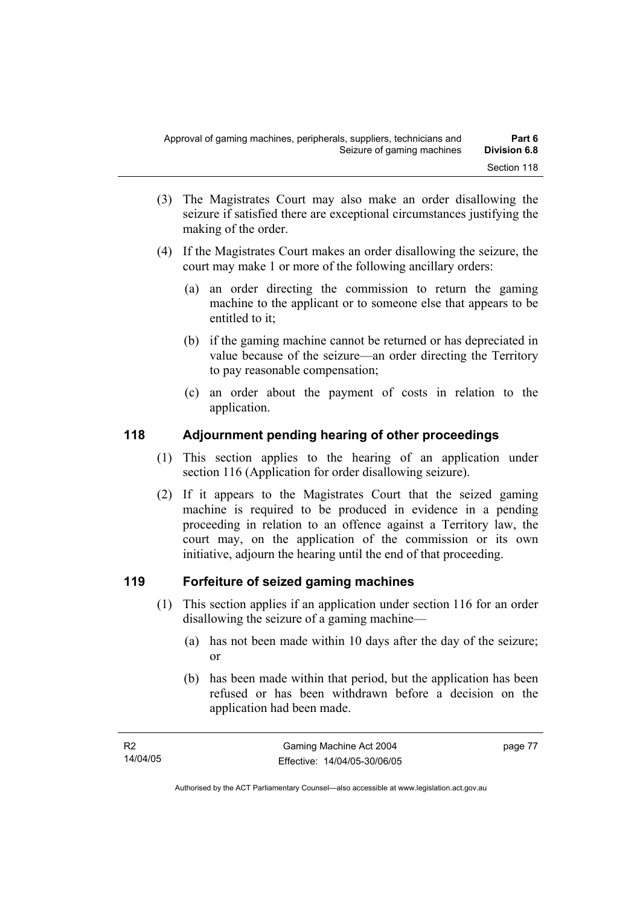- (3) The Magistrates Court may also make an order disallowing the seizure if satisfied there are exceptional circumstances justifying the making of the order.
- (4) If the Magistrates Court makes an order disallowing the seizure, the court may make 1 or more of the following ancillary orders:
	- (a) an order directing the commission to return the gaming machine to the applicant or to someone else that appears to be entitled to it;
	- (b) if the gaming machine cannot be returned or has depreciated in value because of the seizure—an order directing the Territory to pay reasonable compensation;
	- (c) an order about the payment of costs in relation to the application.

# **118 Adjournment pending hearing of other proceedings**

- (1) This section applies to the hearing of an application under section 116 (Application for order disallowing seizure).
- (2) If it appears to the Magistrates Court that the seized gaming machine is required to be produced in evidence in a pending proceeding in relation to an offence against a Territory law, the court may, on the application of the commission or its own initiative, adjourn the hearing until the end of that proceeding.

# **119 Forfeiture of seized gaming machines**

- (1) This section applies if an application under section 116 for an order disallowing the seizure of a gaming machine—
	- (a) has not been made within 10 days after the day of the seizure; or
	- (b) has been made within that period, but the application has been refused or has been withdrawn before a decision on the application had been made.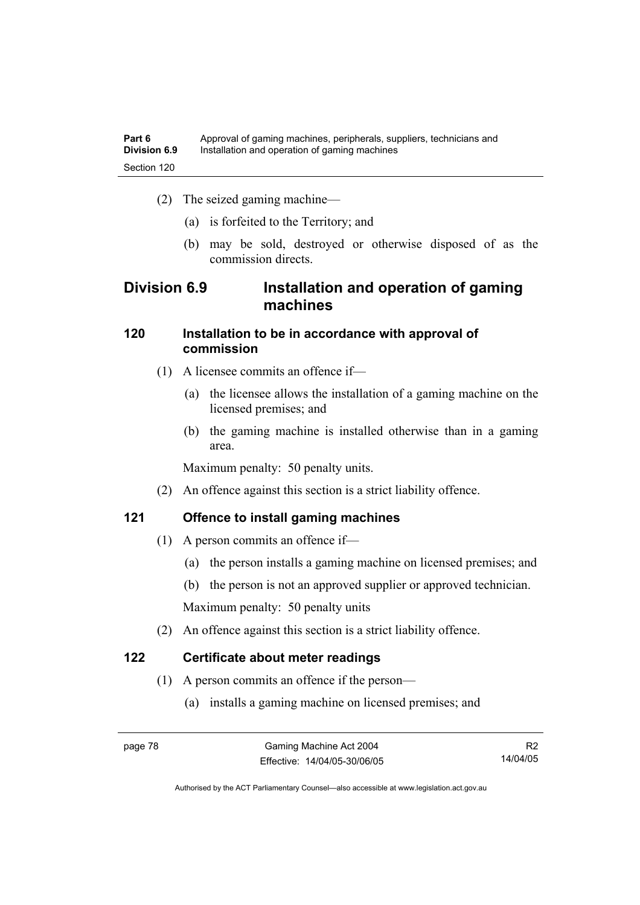- (2) The seized gaming machine—
	- (a) is forfeited to the Territory; and
	- (b) may be sold, destroyed or otherwise disposed of as the commission directs.

# **Division 6.9 Installation and operation of gaming machines**

# **120 Installation to be in accordance with approval of commission**

- (1) A licensee commits an offence if—
	- (a) the licensee allows the installation of a gaming machine on the licensed premises; and
	- (b) the gaming machine is installed otherwise than in a gaming area.

Maximum penalty: 50 penalty units.

(2) An offence against this section is a strict liability offence.

# **121 Offence to install gaming machines**

- (1) A person commits an offence if—
	- (a) the person installs a gaming machine on licensed premises; and
	- (b) the person is not an approved supplier or approved technician.

Maximum penalty: 50 penalty units

(2) An offence against this section is a strict liability offence.

# **122 Certificate about meter readings**

- (1) A person commits an offence if the person—
	- (a) installs a gaming machine on licensed premises; and

Authorised by the ACT Parliamentary Counsel—also accessible at www.legislation.act.gov.au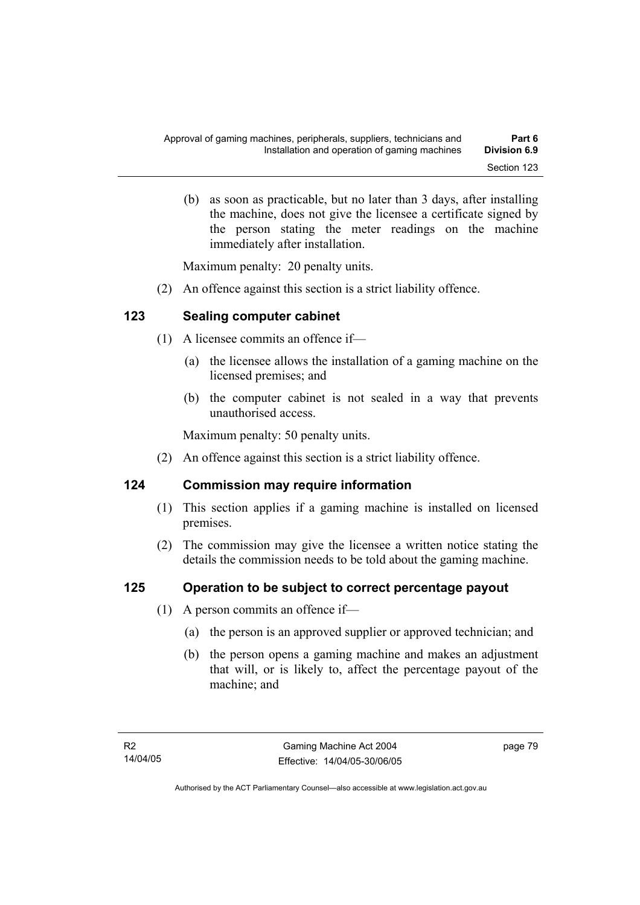(b) as soon as practicable, but no later than 3 days, after installing the machine, does not give the licensee a certificate signed by the person stating the meter readings on the machine immediately after installation.

Maximum penalty: 20 penalty units.

(2) An offence against this section is a strict liability offence.

# **123 Sealing computer cabinet**

- (1) A licensee commits an offence if—
	- (a) the licensee allows the installation of a gaming machine on the licensed premises; and
	- (b) the computer cabinet is not sealed in a way that prevents unauthorised access.

Maximum penalty: 50 penalty units.

(2) An offence against this section is a strict liability offence.

# **124 Commission may require information**

- (1) This section applies if a gaming machine is installed on licensed premises.
- (2) The commission may give the licensee a written notice stating the details the commission needs to be told about the gaming machine.

# **125 Operation to be subject to correct percentage payout**

- (1) A person commits an offence if—
	- (a) the person is an approved supplier or approved technician; and
	- (b) the person opens a gaming machine and makes an adjustment that will, or is likely to, affect the percentage payout of the machine; and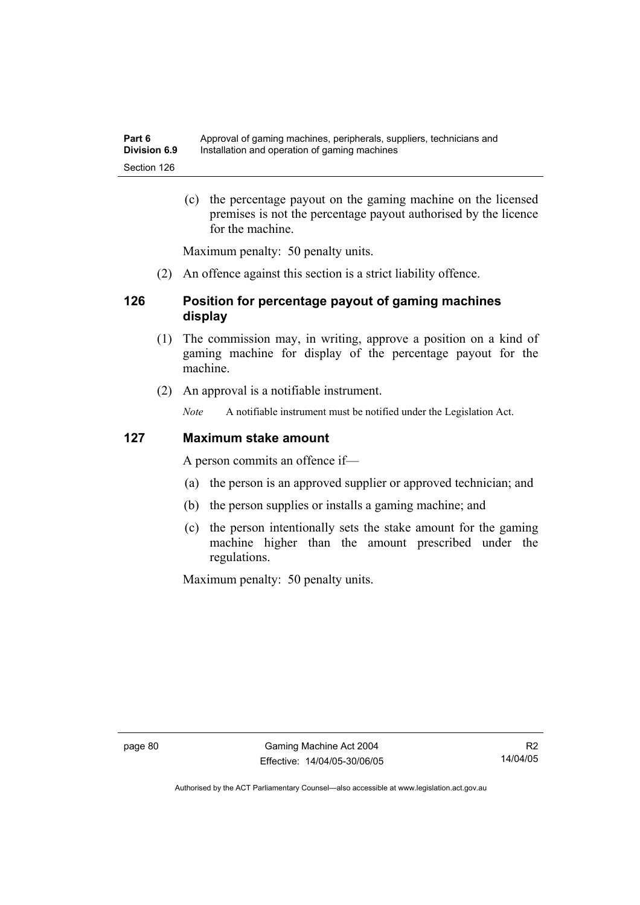(c) the percentage payout on the gaming machine on the licensed premises is not the percentage payout authorised by the licence for the machine.

Maximum penalty: 50 penalty units.

(2) An offence against this section is a strict liability offence.

# **126 Position for percentage payout of gaming machines display**

- (1) The commission may, in writing, approve a position on a kind of gaming machine for display of the percentage payout for the machine.
- (2) An approval is a notifiable instrument.

*Note* A notifiable instrument must be notified under the Legislation Act.

#### **127 Maximum stake amount**

A person commits an offence if—

- (a) the person is an approved supplier or approved technician; and
- (b) the person supplies or installs a gaming machine; and
- (c) the person intentionally sets the stake amount for the gaming machine higher than the amount prescribed under the regulations.

Maximum penalty: 50 penalty units.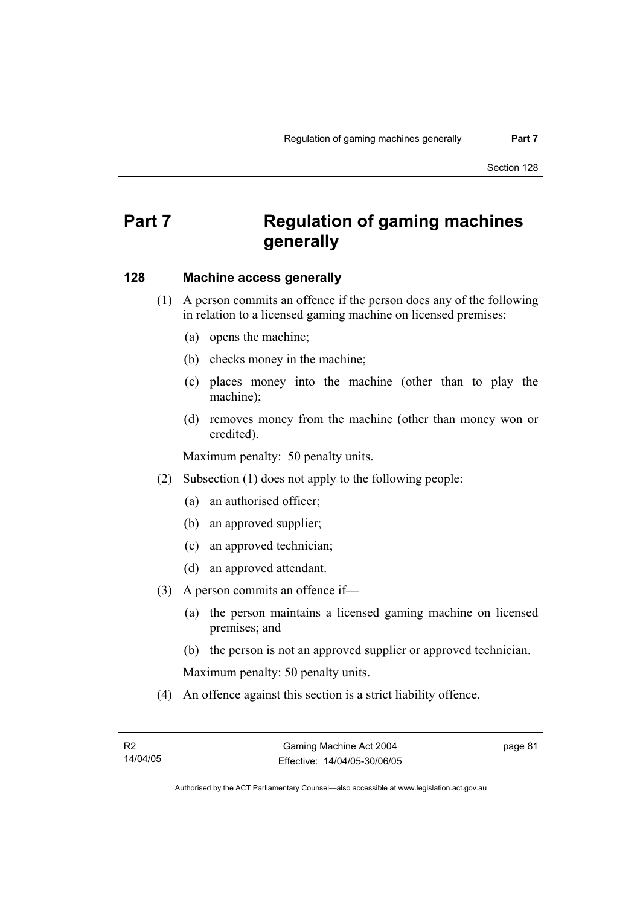# **Part 7 Regulation of gaming machines generally**

#### **128 Machine access generally**

- (1) A person commits an offence if the person does any of the following in relation to a licensed gaming machine on licensed premises:
	- (a) opens the machine;
	- (b) checks money in the machine;
	- (c) places money into the machine (other than to play the machine);
	- (d) removes money from the machine (other than money won or credited).

Maximum penalty: 50 penalty units.

- (2) Subsection (1) does not apply to the following people:
	- (a) an authorised officer;
	- (b) an approved supplier;
	- (c) an approved technician;
	- (d) an approved attendant.
- (3) A person commits an offence if—
	- (a) the person maintains a licensed gaming machine on licensed premises; and
	- (b) the person is not an approved supplier or approved technician.

Maximum penalty: 50 penalty units.

(4) An offence against this section is a strict liability offence.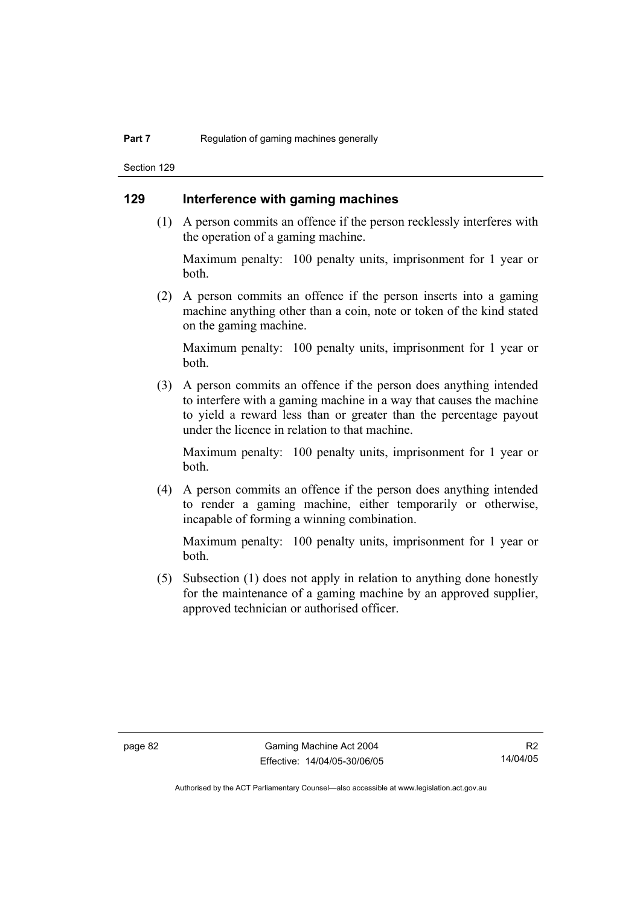Section 129

# **129 Interference with gaming machines**

 (1) A person commits an offence if the person recklessly interferes with the operation of a gaming machine.

Maximum penalty: 100 penalty units, imprisonment for 1 year or both.

 (2) A person commits an offence if the person inserts into a gaming machine anything other than a coin, note or token of the kind stated on the gaming machine.

Maximum penalty: 100 penalty units, imprisonment for 1 year or both.

 (3) A person commits an offence if the person does anything intended to interfere with a gaming machine in a way that causes the machine to yield a reward less than or greater than the percentage payout under the licence in relation to that machine.

Maximum penalty: 100 penalty units, imprisonment for 1 year or both.

 (4) A person commits an offence if the person does anything intended to render a gaming machine, either temporarily or otherwise, incapable of forming a winning combination.

Maximum penalty: 100 penalty units, imprisonment for 1 year or both.

 (5) Subsection (1) does not apply in relation to anything done honestly for the maintenance of a gaming machine by an approved supplier, approved technician or authorised officer.

R2 14/04/05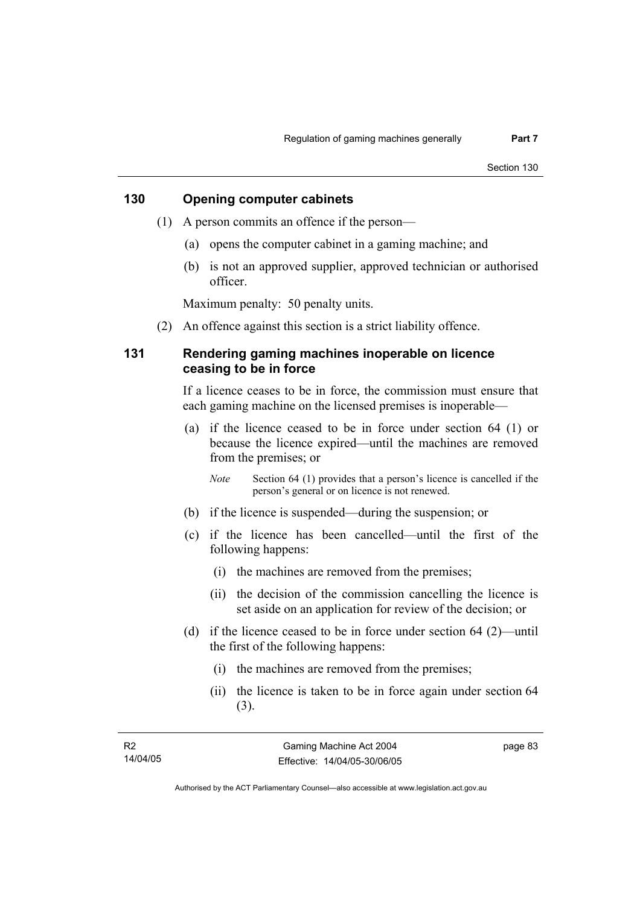#### **130 Opening computer cabinets**

- (1) A person commits an offence if the person—
	- (a) opens the computer cabinet in a gaming machine; and
	- (b) is not an approved supplier, approved technician or authorised officer.

Maximum penalty: 50 penalty units.

(2) An offence against this section is a strict liability offence.

#### **131 Rendering gaming machines inoperable on licence ceasing to be in force**

If a licence ceases to be in force, the commission must ensure that each gaming machine on the licensed premises is inoperable—

 (a) if the licence ceased to be in force under section 64 (1) or because the licence expired—until the machines are removed from the premises; or

*Note* Section 64 (1) provides that a person's licence is cancelled if the person's general or on licence is not renewed.

- (b) if the licence is suspended—during the suspension; or
- (c) if the licence has been cancelled—until the first of the following happens:
	- (i) the machines are removed from the premises;
	- (ii) the decision of the commission cancelling the licence is set aside on an application for review of the decision; or
- (d) if the licence ceased to be in force under section 64 (2)—until the first of the following happens:
	- (i) the machines are removed from the premises;
	- (ii) the licence is taken to be in force again under section 64 (3).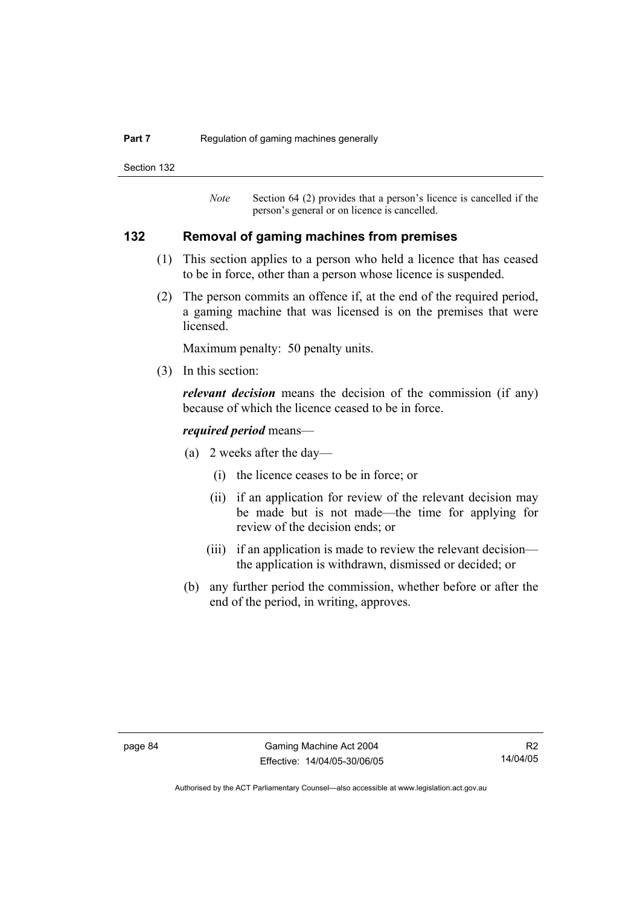#### **Part 7 Regulation of gaming machines generally**

Section 132

*Note* Section 64 (2) provides that a person's licence is cancelled if the person's general or on licence is cancelled.

#### **132 Removal of gaming machines from premises**

- (1) This section applies to a person who held a licence that has ceased to be in force, other than a person whose licence is suspended.
- (2) The person commits an offence if, at the end of the required period, a gaming machine that was licensed is on the premises that were licensed.

Maximum penalty: 50 penalty units.

(3) In this section:

*relevant decision* means the decision of the commission (if any) because of which the licence ceased to be in force.

#### *required period* means—

- (a) 2 weeks after the day—
	- (i) the licence ceases to be in force; or
	- (ii) if an application for review of the relevant decision may be made but is not made—the time for applying for review of the decision ends; or
	- (iii) if an application is made to review the relevant decision the application is withdrawn, dismissed or decided; or
- (b) any further period the commission, whether before or after the end of the period, in writing, approves.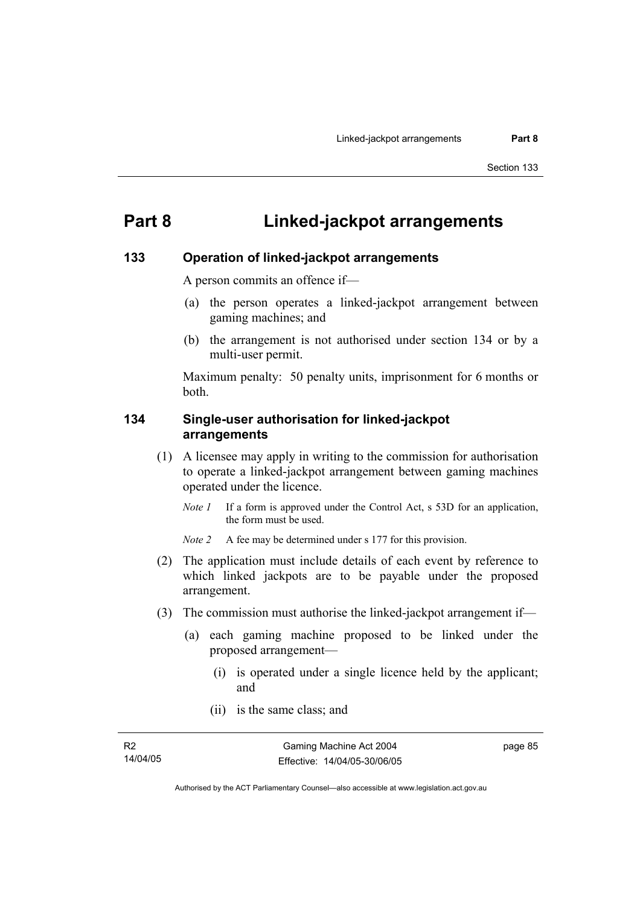# **Part 8 Linked-jackpot arrangements**

#### **133 Operation of linked-jackpot arrangements**

A person commits an offence if—

- (a) the person operates a linked-jackpot arrangement between gaming machines; and
- (b) the arrangement is not authorised under section 134 or by a multi-user permit.

Maximum penalty: 50 penalty units, imprisonment for 6 months or both.

#### **134 Single-user authorisation for linked-jackpot arrangements**

- (1) A licensee may apply in writing to the commission for authorisation to operate a linked-jackpot arrangement between gaming machines operated under the licence.
	- *Note 1* If a form is approved under the Control Act, s 53D for an application, the form must be used.

*Note 2* A fee may be determined under s 177 for this provision.

- (2) The application must include details of each event by reference to which linked jackpots are to be payable under the proposed arrangement.
- (3) The commission must authorise the linked-jackpot arrangement if—
	- (a) each gaming machine proposed to be linked under the proposed arrangement—
		- (i) is operated under a single licence held by the applicant; and
		- (ii) is the same class; and

page 85

Authorised by the ACT Parliamentary Counsel—also accessible at www.legislation.act.gov.au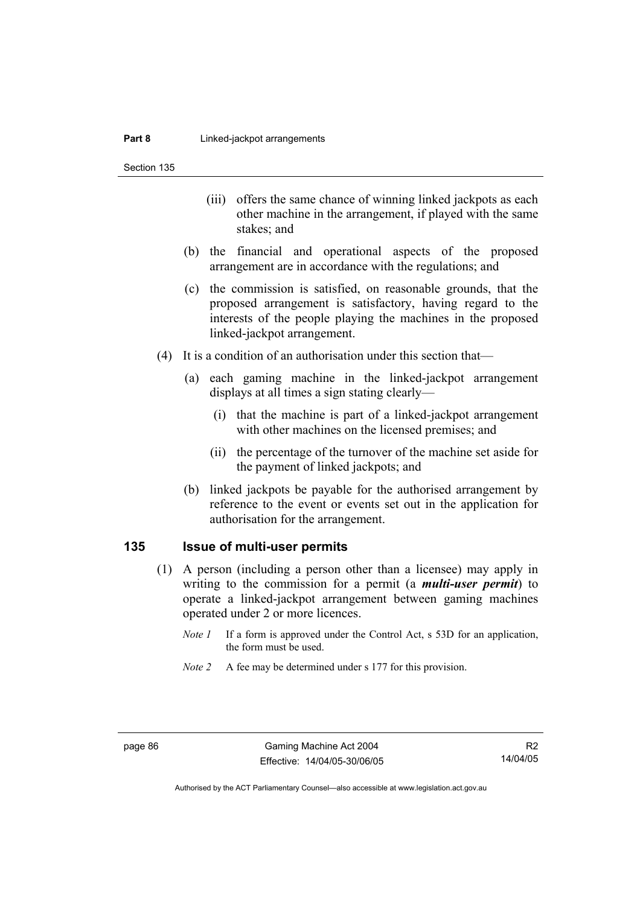Section 135

- (iii) offers the same chance of winning linked jackpots as each other machine in the arrangement, if played with the same stakes; and
- (b) the financial and operational aspects of the proposed arrangement are in accordance with the regulations; and
- (c) the commission is satisfied, on reasonable grounds, that the proposed arrangement is satisfactory, having regard to the interests of the people playing the machines in the proposed linked-jackpot arrangement.
- (4) It is a condition of an authorisation under this section that—
	- (a) each gaming machine in the linked-jackpot arrangement displays at all times a sign stating clearly—
		- (i) that the machine is part of a linked-jackpot arrangement with other machines on the licensed premises; and
		- (ii) the percentage of the turnover of the machine set aside for the payment of linked jackpots; and
	- (b) linked jackpots be payable for the authorised arrangement by reference to the event or events set out in the application for authorisation for the arrangement.

#### **135 Issue of multi-user permits**

- (1) A person (including a person other than a licensee) may apply in writing to the commission for a permit (a *multi-user permit*) to operate a linked-jackpot arrangement between gaming machines operated under 2 or more licences.
	- *Note 1* If a form is approved under the Control Act, s 53D for an application, the form must be used.
	- *Note 2* A fee may be determined under s 177 for this provision.

R2 14/04/05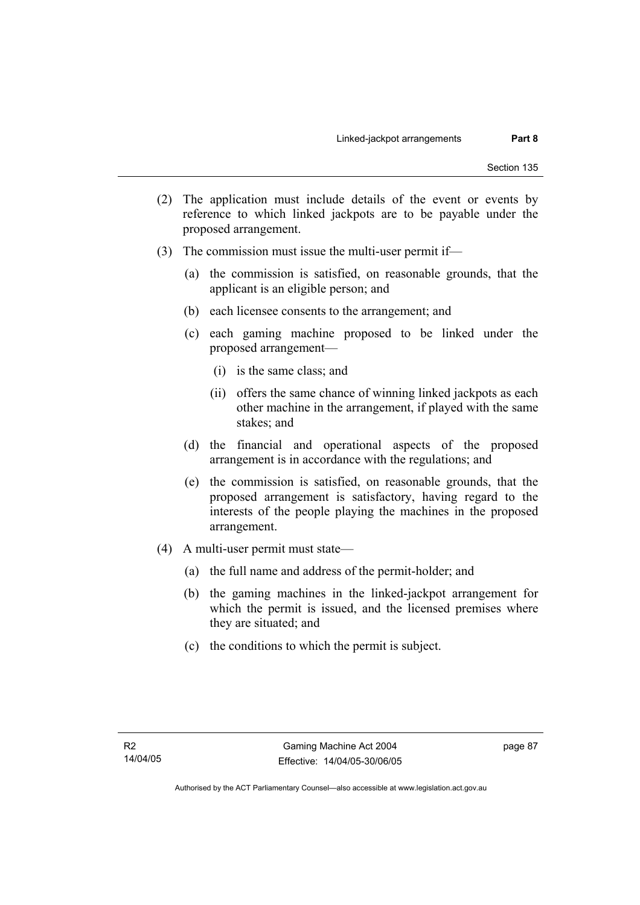- (2) The application must include details of the event or events by reference to which linked jackpots are to be payable under the proposed arrangement.
- (3) The commission must issue the multi-user permit if—
	- (a) the commission is satisfied, on reasonable grounds, that the applicant is an eligible person; and
	- (b) each licensee consents to the arrangement; and
	- (c) each gaming machine proposed to be linked under the proposed arrangement—
		- (i) is the same class; and
		- (ii) offers the same chance of winning linked jackpots as each other machine in the arrangement, if played with the same stakes; and
	- (d) the financial and operational aspects of the proposed arrangement is in accordance with the regulations; and
	- (e) the commission is satisfied, on reasonable grounds, that the proposed arrangement is satisfactory, having regard to the interests of the people playing the machines in the proposed arrangement.
- (4) A multi-user permit must state—
	- (a) the full name and address of the permit-holder; and
	- (b) the gaming machines in the linked-jackpot arrangement for which the permit is issued, and the licensed premises where they are situated; and
	- (c) the conditions to which the permit is subject.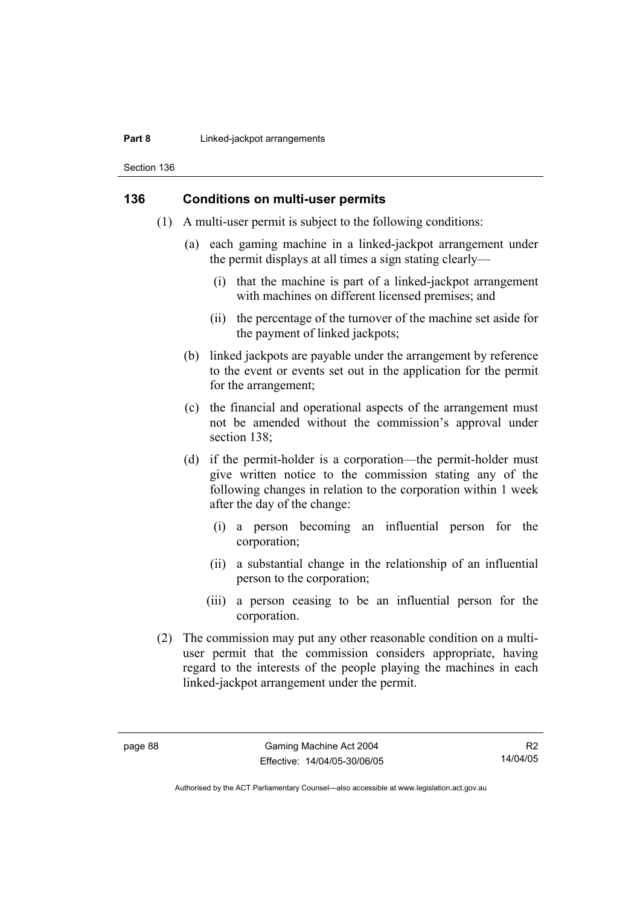#### **Part 8 Linked-jackpot arrangements**

Section 136

#### **136 Conditions on multi-user permits**

- (1) A multi-user permit is subject to the following conditions:
	- (a) each gaming machine in a linked-jackpot arrangement under the permit displays at all times a sign stating clearly—
		- (i) that the machine is part of a linked-jackpot arrangement with machines on different licensed premises; and
		- (ii) the percentage of the turnover of the machine set aside for the payment of linked jackpots;
	- (b) linked jackpots are payable under the arrangement by reference to the event or events set out in the application for the permit for the arrangement;
	- (c) the financial and operational aspects of the arrangement must not be amended without the commission's approval under section 138:
	- (d) if the permit-holder is a corporation—the permit-holder must give written notice to the commission stating any of the following changes in relation to the corporation within 1 week after the day of the change:
		- (i) a person becoming an influential person for the corporation;
		- (ii) a substantial change in the relationship of an influential person to the corporation;
		- (iii) a person ceasing to be an influential person for the corporation.
- (2) The commission may put any other reasonable condition on a multiuser permit that the commission considers appropriate, having regard to the interests of the people playing the machines in each linked-jackpot arrangement under the permit.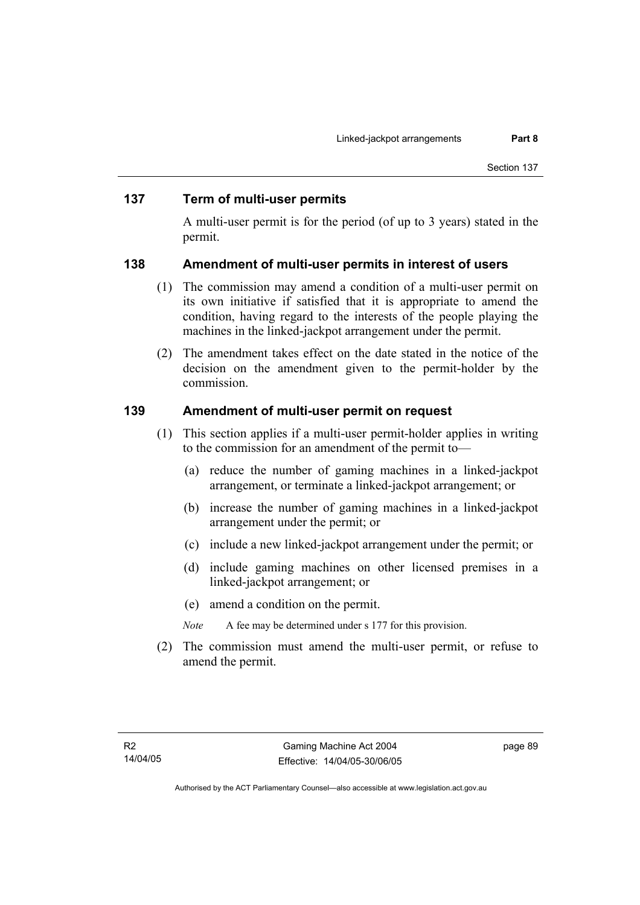#### **137 Term of multi-user permits**

A multi-user permit is for the period (of up to 3 years) stated in the permit.

#### **138 Amendment of multi-user permits in interest of users**

- (1) The commission may amend a condition of a multi-user permit on its own initiative if satisfied that it is appropriate to amend the condition, having regard to the interests of the people playing the machines in the linked-jackpot arrangement under the permit.
- (2) The amendment takes effect on the date stated in the notice of the decision on the amendment given to the permit-holder by the commission.

#### **139 Amendment of multi-user permit on request**

- (1) This section applies if a multi-user permit-holder applies in writing to the commission for an amendment of the permit to—
	- (a) reduce the number of gaming machines in a linked-jackpot arrangement, or terminate a linked-jackpot arrangement; or
	- (b) increase the number of gaming machines in a linked-jackpot arrangement under the permit; or
	- (c) include a new linked-jackpot arrangement under the permit; or
	- (d) include gaming machines on other licensed premises in a linked-jackpot arrangement; or
	- (e) amend a condition on the permit.
	- *Note* A fee may be determined under s 177 for this provision.
- (2) The commission must amend the multi-user permit, or refuse to amend the permit.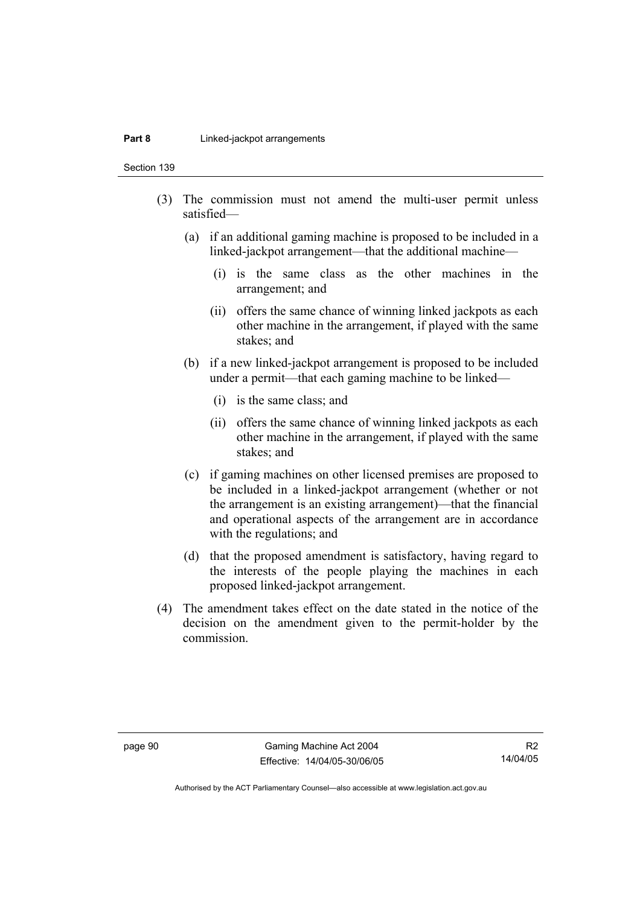#### **Part 8 Linked-jackpot arrangements**

Section 139

- (3) The commission must not amend the multi-user permit unless satisfied—
	- (a) if an additional gaming machine is proposed to be included in a linked-jackpot arrangement—that the additional machine—
		- (i) is the same class as the other machines in the arrangement; and
		- (ii) offers the same chance of winning linked jackpots as each other machine in the arrangement, if played with the same stakes; and
	- (b) if a new linked-jackpot arrangement is proposed to be included under a permit—that each gaming machine to be linked—
		- (i) is the same class; and
		- (ii) offers the same chance of winning linked jackpots as each other machine in the arrangement, if played with the same stakes; and
	- (c) if gaming machines on other licensed premises are proposed to be included in a linked-jackpot arrangement (whether or not the arrangement is an existing arrangement)—that the financial and operational aspects of the arrangement are in accordance with the regulations; and
	- (d) that the proposed amendment is satisfactory, having regard to the interests of the people playing the machines in each proposed linked-jackpot arrangement.
- (4) The amendment takes effect on the date stated in the notice of the decision on the amendment given to the permit-holder by the commission.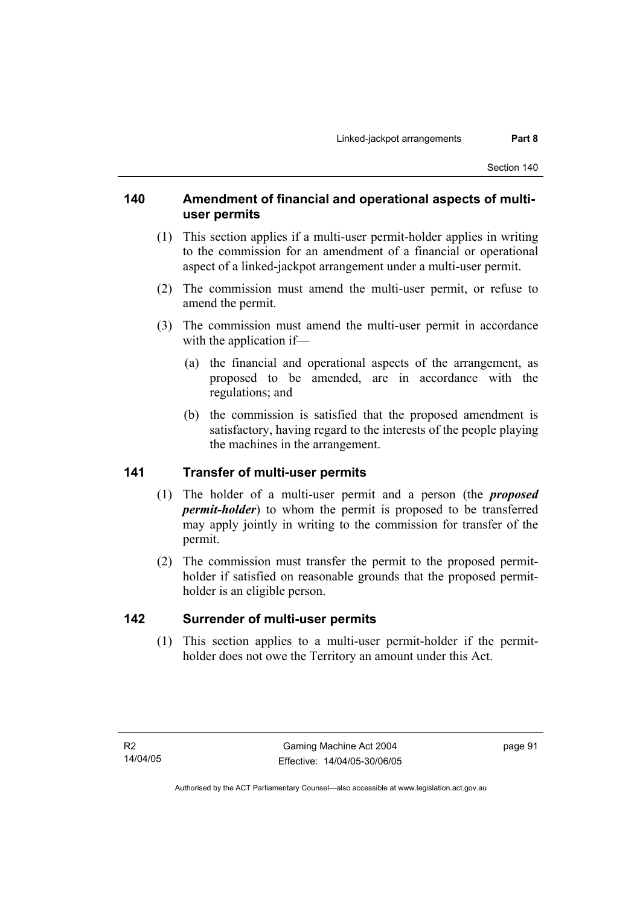# **140 Amendment of financial and operational aspects of multiuser permits**

- (1) This section applies if a multi-user permit-holder applies in writing to the commission for an amendment of a financial or operational aspect of a linked-jackpot arrangement under a multi-user permit.
- (2) The commission must amend the multi-user permit, or refuse to amend the permit.
- (3) The commission must amend the multi-user permit in accordance with the application if—
	- (a) the financial and operational aspects of the arrangement, as proposed to be amended, are in accordance with the regulations; and
	- (b) the commission is satisfied that the proposed amendment is satisfactory, having regard to the interests of the people playing the machines in the arrangement.

# **141 Transfer of multi-user permits**

- (1) The holder of a multi-user permit and a person (the *proposed permit-holder*) to whom the permit is proposed to be transferred may apply jointly in writing to the commission for transfer of the permit.
- (2) The commission must transfer the permit to the proposed permitholder if satisfied on reasonable grounds that the proposed permitholder is an eligible person.

# **142 Surrender of multi-user permits**

 (1) This section applies to a multi-user permit-holder if the permitholder does not owe the Territory an amount under this Act.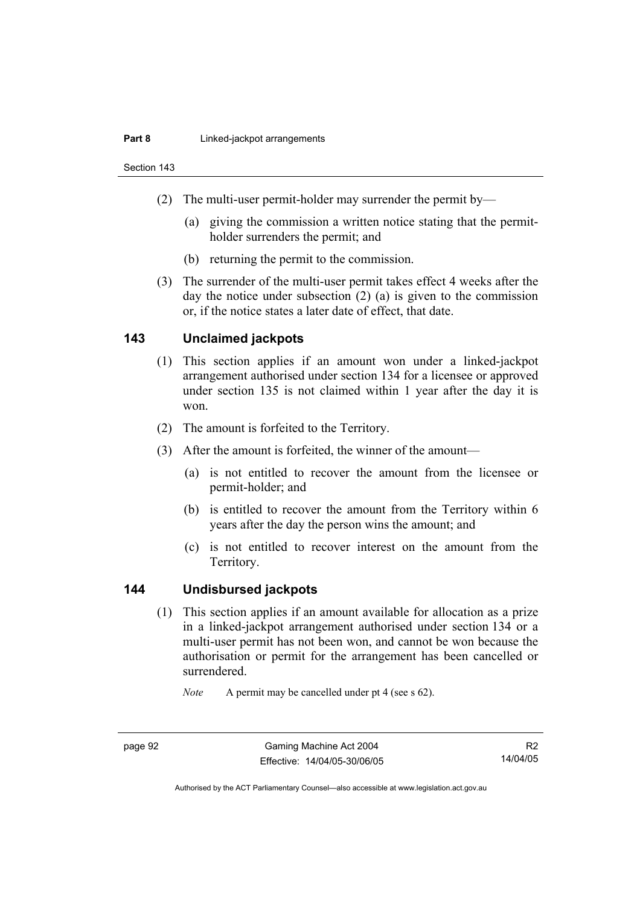#### **Part 8 Linked-jackpot arrangements**

Section 143

- (2) The multi-user permit-holder may surrender the permit by—
	- (a) giving the commission a written notice stating that the permitholder surrenders the permit; and
	- (b) returning the permit to the commission.
- (3) The surrender of the multi-user permit takes effect 4 weeks after the day the notice under subsection (2) (a) is given to the commission or, if the notice states a later date of effect, that date.

#### **143 Unclaimed jackpots**

- (1) This section applies if an amount won under a linked-jackpot arrangement authorised under section 134 for a licensee or approved under section 135 is not claimed within 1 year after the day it is won.
- (2) The amount is forfeited to the Territory.
- (3) After the amount is forfeited, the winner of the amount—
	- (a) is not entitled to recover the amount from the licensee or permit-holder; and
	- (b) is entitled to recover the amount from the Territory within 6 years after the day the person wins the amount; and
	- (c) is not entitled to recover interest on the amount from the Territory.

#### **144 Undisbursed jackpots**

 (1) This section applies if an amount available for allocation as a prize in a linked-jackpot arrangement authorised under section 134 or a multi-user permit has not been won, and cannot be won because the authorisation or permit for the arrangement has been cancelled or surrendered.

*Note* A permit may be cancelled under pt 4 (see s 62).

R2 14/04/05

Authorised by the ACT Parliamentary Counsel—also accessible at www.legislation.act.gov.au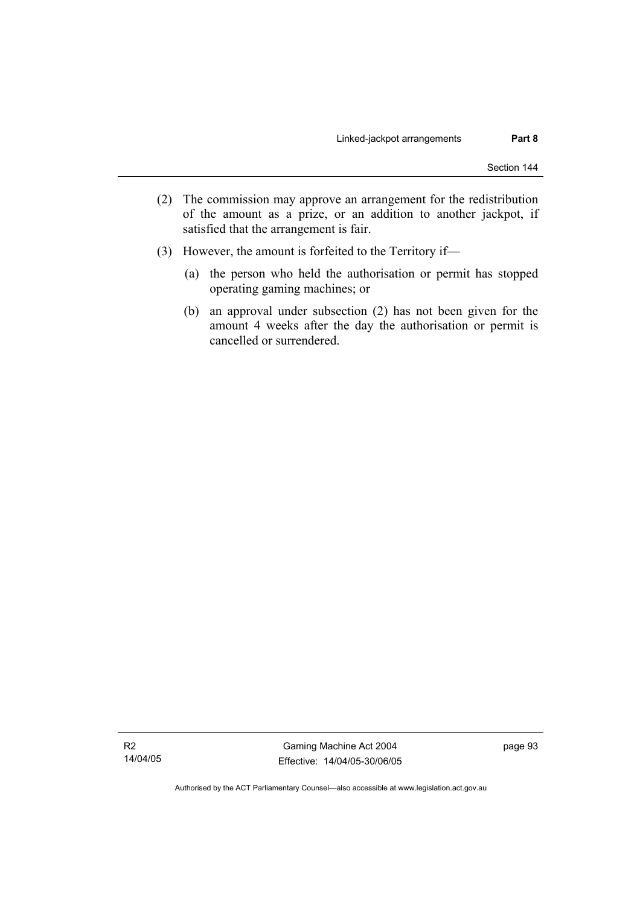- (2) The commission may approve an arrangement for the redistribution of the amount as a prize, or an addition to another jackpot, if satisfied that the arrangement is fair.
- (3) However, the amount is forfeited to the Territory if—
	- (a) the person who held the authorisation or permit has stopped operating gaming machines; or
	- (b) an approval under subsection (2) has not been given for the amount 4 weeks after the day the authorisation or permit is cancelled or surrendered.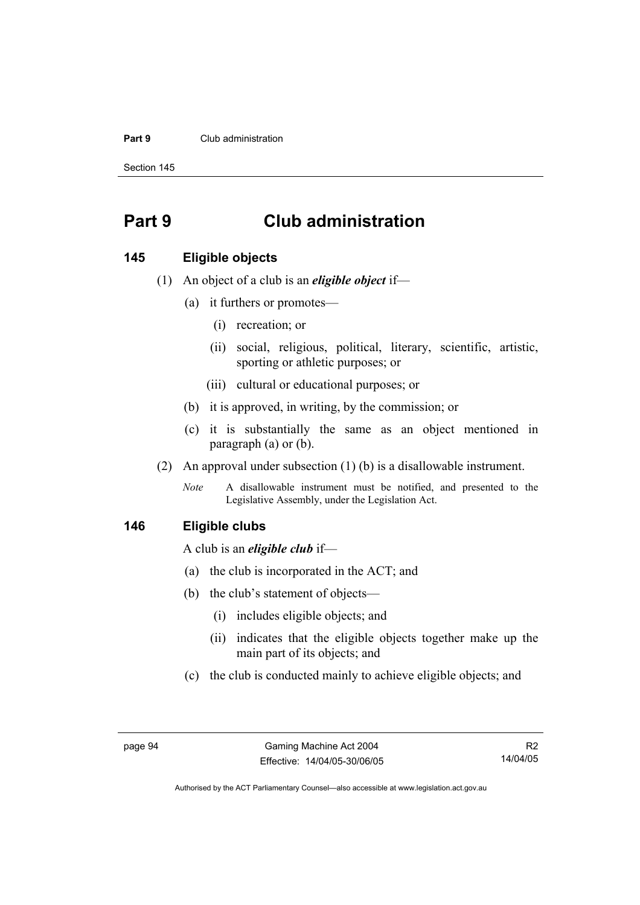#### **Part 9** Club administration

Section 145

# **Part 9 Club administration**

#### **145 Eligible objects**

- (1) An object of a club is an *eligible object* if—
	- (a) it furthers or promotes—
		- (i) recreation; or
		- (ii) social, religious, political, literary, scientific, artistic, sporting or athletic purposes; or
		- (iii) cultural or educational purposes; or
	- (b) it is approved, in writing, by the commission; or
	- (c) it is substantially the same as an object mentioned in paragraph (a) or (b).
- (2) An approval under subsection (1) (b) is a disallowable instrument.
	- *Note* A disallowable instrument must be notified, and presented to the Legislative Assembly, under the Legislation Act.

#### **146 Eligible clubs**

A club is an *eligible club* if—

- (a) the club is incorporated in the ACT; and
- (b) the club's statement of objects—
	- (i) includes eligible objects; and
	- (ii) indicates that the eligible objects together make up the main part of its objects; and
- (c) the club is conducted mainly to achieve eligible objects; and

R2 14/04/05

Authorised by the ACT Parliamentary Counsel—also accessible at www.legislation.act.gov.au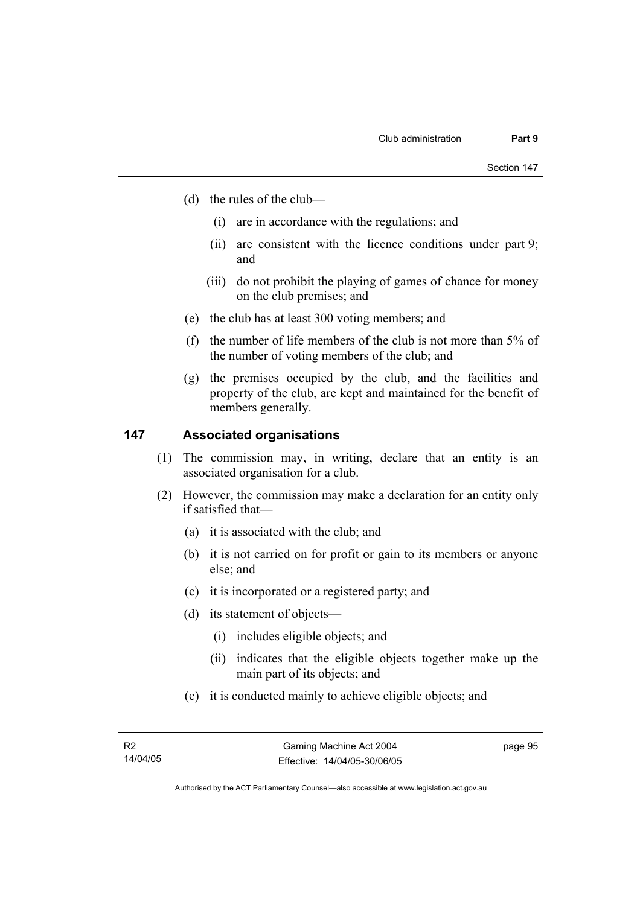- (d) the rules of the club—
	- (i) are in accordance with the regulations; and
	- (ii) are consistent with the licence conditions under part 9; and
	- (iii) do not prohibit the playing of games of chance for money on the club premises; and
- (e) the club has at least 300 voting members; and
- (f) the number of life members of the club is not more than 5% of the number of voting members of the club; and
- (g) the premises occupied by the club, and the facilities and property of the club, are kept and maintained for the benefit of members generally.

#### **147 Associated organisations**

- (1) The commission may, in writing, declare that an entity is an associated organisation for a club.
- (2) However, the commission may make a declaration for an entity only if satisfied that—
	- (a) it is associated with the club; and
	- (b) it is not carried on for profit or gain to its members or anyone else; and
	- (c) it is incorporated or a registered party; and
	- (d) its statement of objects—
		- (i) includes eligible objects; and
		- (ii) indicates that the eligible objects together make up the main part of its objects; and
	- (e) it is conducted mainly to achieve eligible objects; and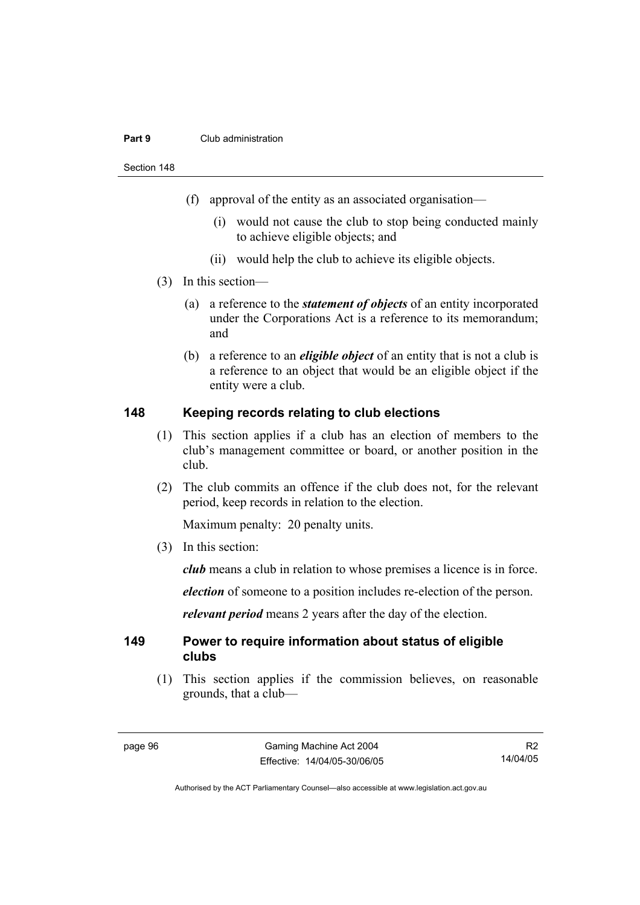#### **Part 9** Club administration

Section 148

- (f) approval of the entity as an associated organisation—
	- (i) would not cause the club to stop being conducted mainly to achieve eligible objects; and
	- (ii) would help the club to achieve its eligible objects.
- (3) In this section—
	- (a) a reference to the *statement of objects* of an entity incorporated under the Corporations Act is a reference to its memorandum; and
	- (b) a reference to an *eligible object* of an entity that is not a club is a reference to an object that would be an eligible object if the entity were a club.

#### **148 Keeping records relating to club elections**

- (1) This section applies if a club has an election of members to the club's management committee or board, or another position in the club.
- (2) The club commits an offence if the club does not, for the relevant period, keep records in relation to the election.

Maximum penalty: 20 penalty units.

(3) In this section:

*club* means a club in relation to whose premises a licence is in force.

*election* of someone to a position includes re-election of the person.

*relevant period* means 2 years after the day of the election.

#### **149 Power to require information about status of eligible clubs**

 (1) This section applies if the commission believes, on reasonable grounds, that a club—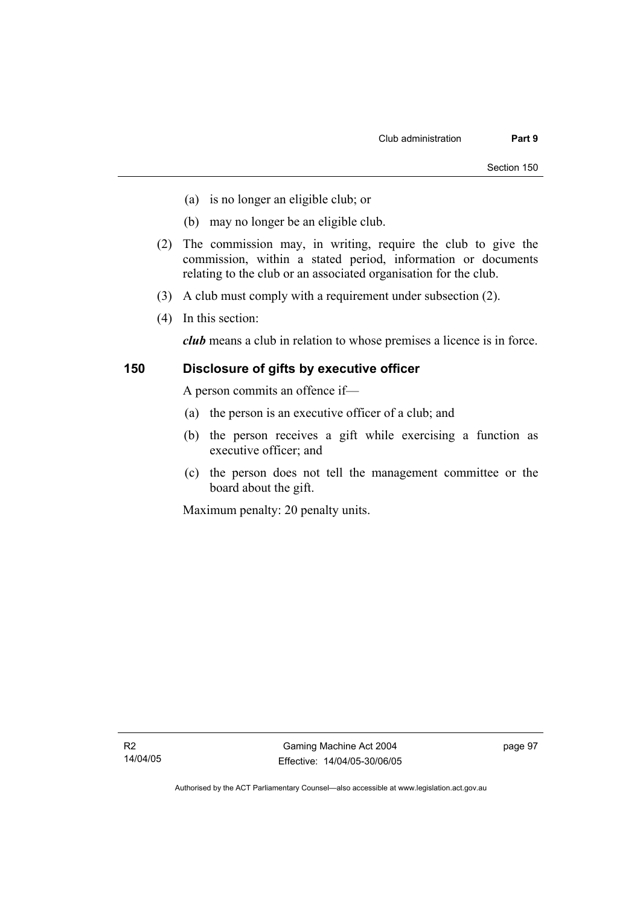- (a) is no longer an eligible club; or
- (b) may no longer be an eligible club.
- (2) The commission may, in writing, require the club to give the commission, within a stated period, information or documents relating to the club or an associated organisation for the club.
- (3) A club must comply with a requirement under subsection (2).
- (4) In this section:

*club* means a club in relation to whose premises a licence is in force.

# **150 Disclosure of gifts by executive officer**

A person commits an offence if—

- (a) the person is an executive officer of a club; and
- (b) the person receives a gift while exercising a function as executive officer; and
- (c) the person does not tell the management committee or the board about the gift.

Maximum penalty: 20 penalty units.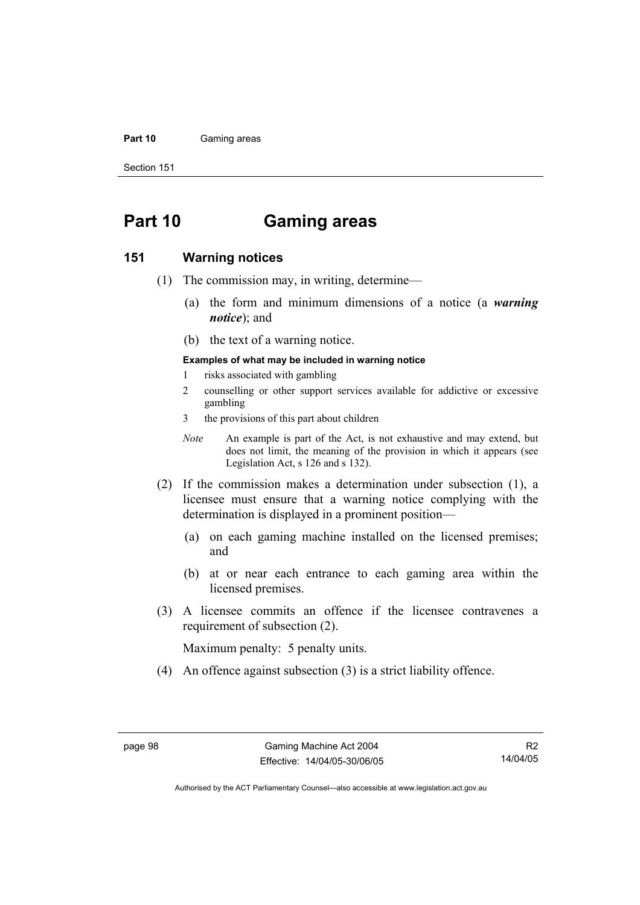#### Part 10 **Gaming areas**

Section 151

# **Part 10 Gaming areas**

### **151 Warning notices**

- (1) The commission may, in writing, determine—
	- (a) the form and minimum dimensions of a notice (a *warning notice*); and
	- (b) the text of a warning notice.

### **Examples of what may be included in warning notice**

- 1 risks associated with gambling
- 2 counselling or other support services available for addictive or excessive gambling
- 3 the provisions of this part about children
- *Note* An example is part of the Act, is not exhaustive and may extend, but does not limit, the meaning of the provision in which it appears (see Legislation Act, s 126 and s 132).
- (2) If the commission makes a determination under subsection (1), a licensee must ensure that a warning notice complying with the determination is displayed in a prominent position—
	- (a) on each gaming machine installed on the licensed premises; and
	- (b) at or near each entrance to each gaming area within the licensed premises.
- (3) A licensee commits an offence if the licensee contravenes a requirement of subsection (2).

Maximum penalty: 5 penalty units.

(4) An offence against subsection (3) is a strict liability offence.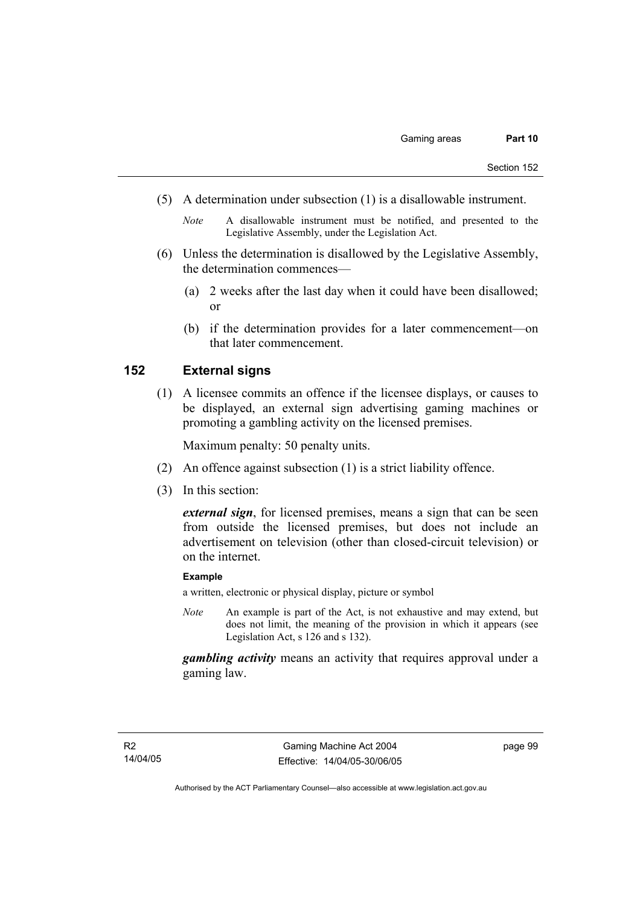- (5) A determination under subsection (1) is a disallowable instrument.
	- *Note* A disallowable instrument must be notified, and presented to the Legislative Assembly, under the Legislation Act.
- (6) Unless the determination is disallowed by the Legislative Assembly, the determination commences—
	- (a) 2 weeks after the last day when it could have been disallowed; or
	- (b) if the determination provides for a later commencement—on that later commencement.

# **152 External signs**

 (1) A licensee commits an offence if the licensee displays, or causes to be displayed, an external sign advertising gaming machines or promoting a gambling activity on the licensed premises.

Maximum penalty: 50 penalty units.

- (2) An offence against subsection (1) is a strict liability offence.
- (3) In this section:

*external sign*, for licensed premises, means a sign that can be seen from outside the licensed premises, but does not include an advertisement on television (other than closed-circuit television) or on the internet.

### **Example**

a written, electronic or physical display, picture or symbol

*Note* An example is part of the Act, is not exhaustive and may extend, but does not limit, the meaning of the provision in which it appears (see Legislation Act, s 126 and s 132).

*gambling activity* means an activity that requires approval under a gaming law.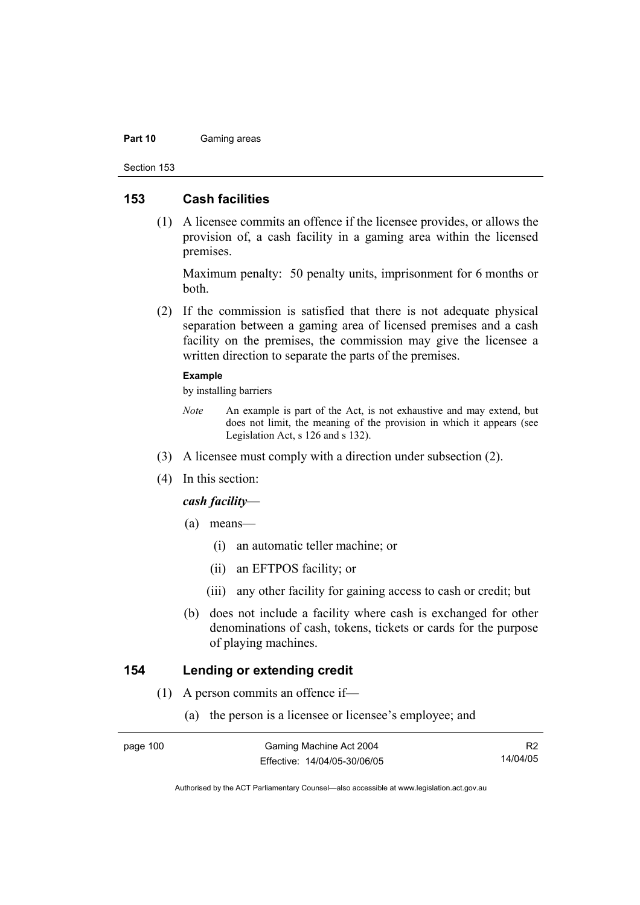#### Part 10 **Gaming areas**

Section 153

### **153 Cash facilities**

 (1) A licensee commits an offence if the licensee provides, or allows the provision of, a cash facility in a gaming area within the licensed premises.

Maximum penalty: 50 penalty units, imprisonment for 6 months or both.

 (2) If the commission is satisfied that there is not adequate physical separation between a gaming area of licensed premises and a cash facility on the premises, the commission may give the licensee a written direction to separate the parts of the premises.

### **Example**

by installing barriers

- *Note* An example is part of the Act, is not exhaustive and may extend, but does not limit, the meaning of the provision in which it appears (see Legislation Act, s 126 and s 132).
- (3) A licensee must comply with a direction under subsection (2).
- (4) In this section:

### *cash facility*—

- (a) means—
	- (i) an automatic teller machine; or
	- (ii) an EFTPOS facility; or
	- (iii) any other facility for gaining access to cash or credit; but
- (b) does not include a facility where cash is exchanged for other denominations of cash, tokens, tickets or cards for the purpose of playing machines.

### **154 Lending or extending credit**

- (1) A person commits an offence if—
	- (a) the person is a licensee or licensee's employee; and

R2 14/04/05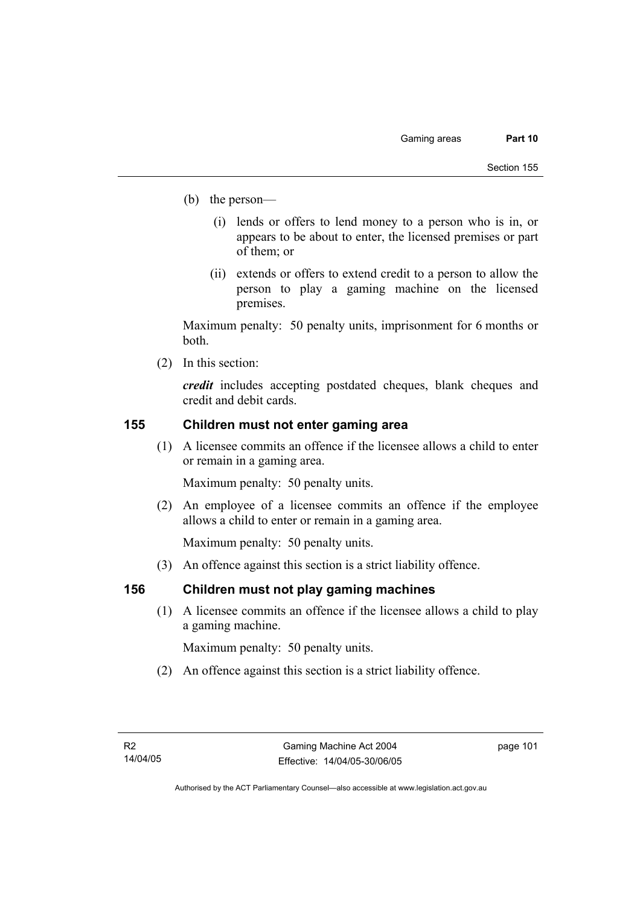- (b) the person—
	- (i) lends or offers to lend money to a person who is in, or appears to be about to enter, the licensed premises or part of them; or
	- (ii) extends or offers to extend credit to a person to allow the person to play a gaming machine on the licensed premises.

Maximum penalty: 50 penalty units, imprisonment for 6 months or both.

(2) In this section:

*credit* includes accepting postdated cheques, blank cheques and credit and debit cards.

## **155 Children must not enter gaming area**

 (1) A licensee commits an offence if the licensee allows a child to enter or remain in a gaming area.

Maximum penalty: 50 penalty units.

 (2) An employee of a licensee commits an offence if the employee allows a child to enter or remain in a gaming area.

Maximum penalty: 50 penalty units.

(3) An offence against this section is a strict liability offence.

# **156 Children must not play gaming machines**

 (1) A licensee commits an offence if the licensee allows a child to play a gaming machine.

Maximum penalty: 50 penalty units.

(2) An offence against this section is a strict liability offence.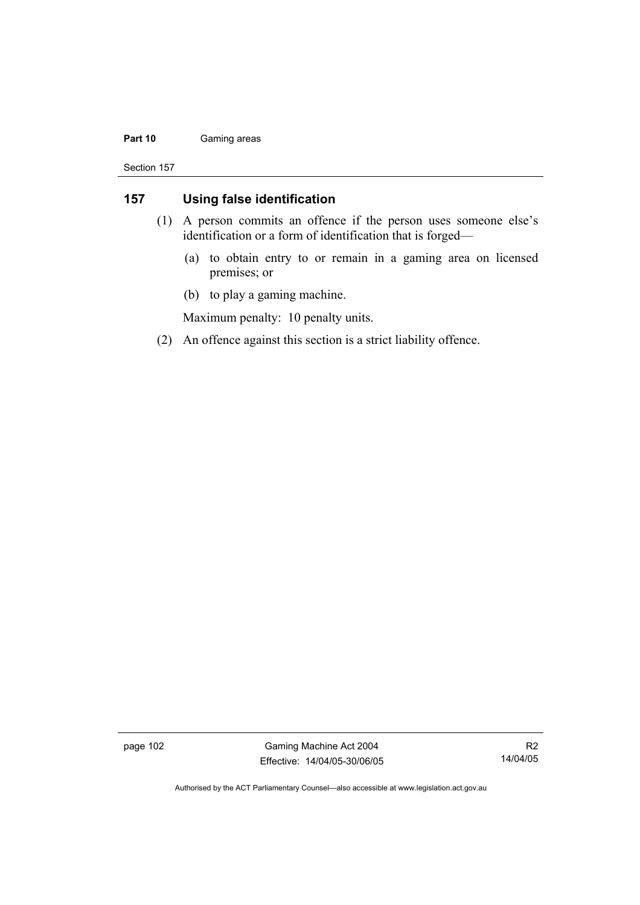### Part 10 **Gaming areas**

Section 157

# **157 Using false identification**

- (1) A person commits an offence if the person uses someone else's identification or a form of identification that is forged—
	- (a) to obtain entry to or remain in a gaming area on licensed premises; or
	- (b) to play a gaming machine.

Maximum penalty: 10 penalty units.

(2) An offence against this section is a strict liability offence.

page 102 Gaming Machine Act 2004 Effective: 14/04/05-30/06/05

R2 14/04/05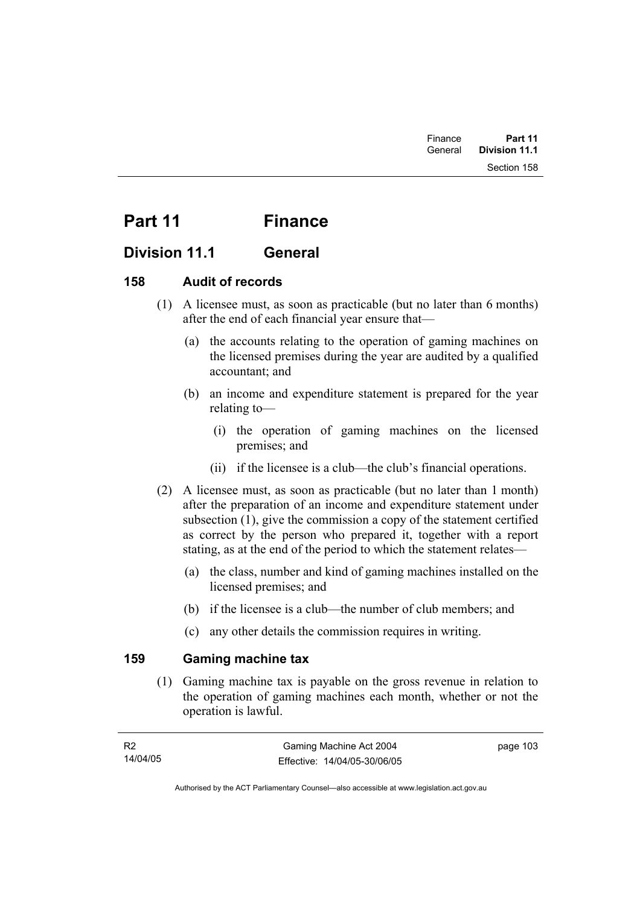# Part 11 Finance

# **Division 11.1 General**

# **158 Audit of records**

- (1) A licensee must, as soon as practicable (but no later than 6 months) after the end of each financial year ensure that—
	- (a) the accounts relating to the operation of gaming machines on the licensed premises during the year are audited by a qualified accountant; and
	- (b) an income and expenditure statement is prepared for the year relating to—
		- (i) the operation of gaming machines on the licensed premises; and
		- (ii) if the licensee is a club—the club's financial operations.
- (2) A licensee must, as soon as practicable (but no later than 1 month) after the preparation of an income and expenditure statement under subsection (1), give the commission a copy of the statement certified as correct by the person who prepared it, together with a report stating, as at the end of the period to which the statement relates—
	- (a) the class, number and kind of gaming machines installed on the licensed premises; and
	- (b) if the licensee is a club—the number of club members; and
	- (c) any other details the commission requires in writing.

# **159 Gaming machine tax**

 (1) Gaming machine tax is payable on the gross revenue in relation to the operation of gaming machines each month, whether or not the operation is lawful.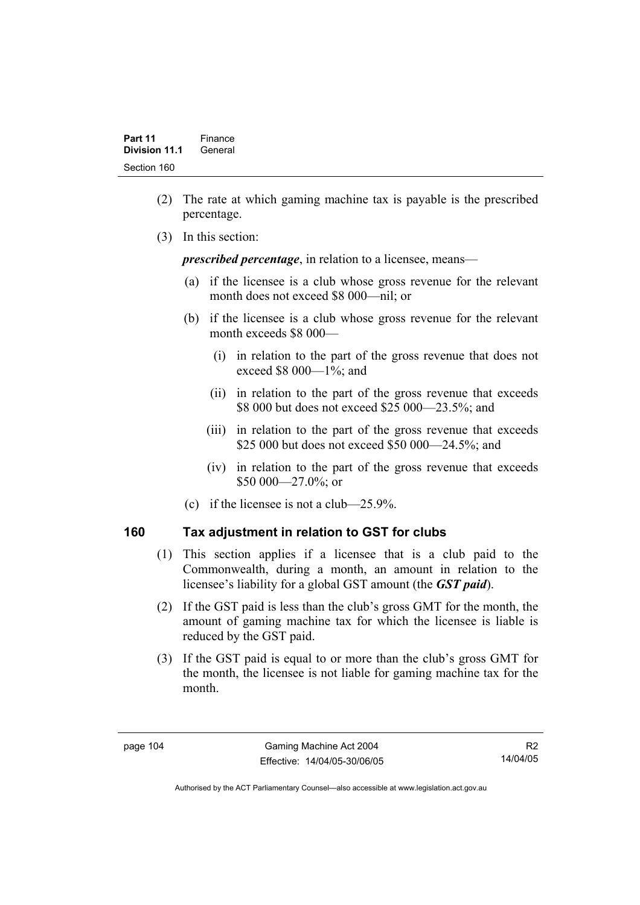- (2) The rate at which gaming machine tax is payable is the prescribed percentage.
- (3) In this section:

*prescribed percentage*, in relation to a licensee, means—

- (a) if the licensee is a club whose gross revenue for the relevant month does not exceed \$8 000—nil; or
- (b) if the licensee is a club whose gross revenue for the relevant month exceeds \$8 000—
	- (i) in relation to the part of the gross revenue that does not exceed \$8 000—1%; and
	- (ii) in relation to the part of the gross revenue that exceeds \$8 000 but does not exceed \$25 000—23.5%; and
	- (iii) in relation to the part of the gross revenue that exceeds \$25 000 but does not exceed \$50 000—24.5%; and
	- (iv) in relation to the part of the gross revenue that exceeds \$50 000 - 27.0%; or
- (c) if the licensee is not a club—25.9%.

# **160 Tax adjustment in relation to GST for clubs**

- (1) This section applies if a licensee that is a club paid to the Commonwealth, during a month, an amount in relation to the licensee's liability for a global GST amount (the *GST paid*).
- (2) If the GST paid is less than the club's gross GMT for the month, the amount of gaming machine tax for which the licensee is liable is reduced by the GST paid.
- (3) If the GST paid is equal to or more than the club's gross GMT for the month, the licensee is not liable for gaming machine tax for the month.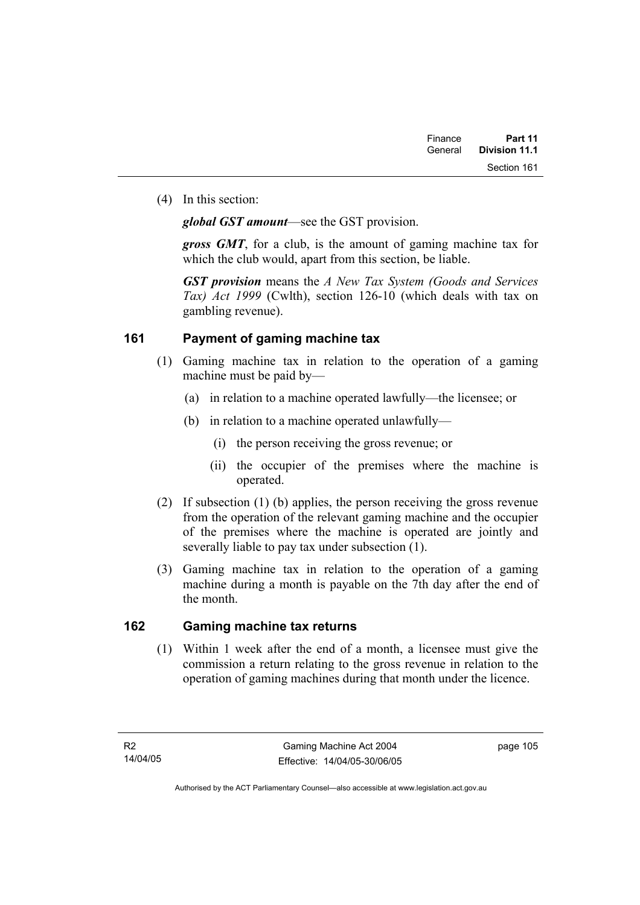(4) In this section:

*global GST amount*—see the GST provision.

*gross GMT*, for a club, is the amount of gaming machine tax for which the club would, apart from this section, be liable.

*GST provision* means the *A New Tax System (Goods and Services Tax) Act 1999* (Cwlth), section 126-10 (which deals with tax on gambling revenue).

# **161 Payment of gaming machine tax**

- (1) Gaming machine tax in relation to the operation of a gaming machine must be paid by—
	- (a) in relation to a machine operated lawfully—the licensee; or
	- (b) in relation to a machine operated unlawfully—
		- (i) the person receiving the gross revenue; or
		- (ii) the occupier of the premises where the machine is operated.
- (2) If subsection (1) (b) applies, the person receiving the gross revenue from the operation of the relevant gaming machine and the occupier of the premises where the machine is operated are jointly and severally liable to pay tax under subsection (1).
- (3) Gaming machine tax in relation to the operation of a gaming machine during a month is payable on the 7th day after the end of the month.

# **162 Gaming machine tax returns**

 (1) Within 1 week after the end of a month, a licensee must give the commission a return relating to the gross revenue in relation to the operation of gaming machines during that month under the licence.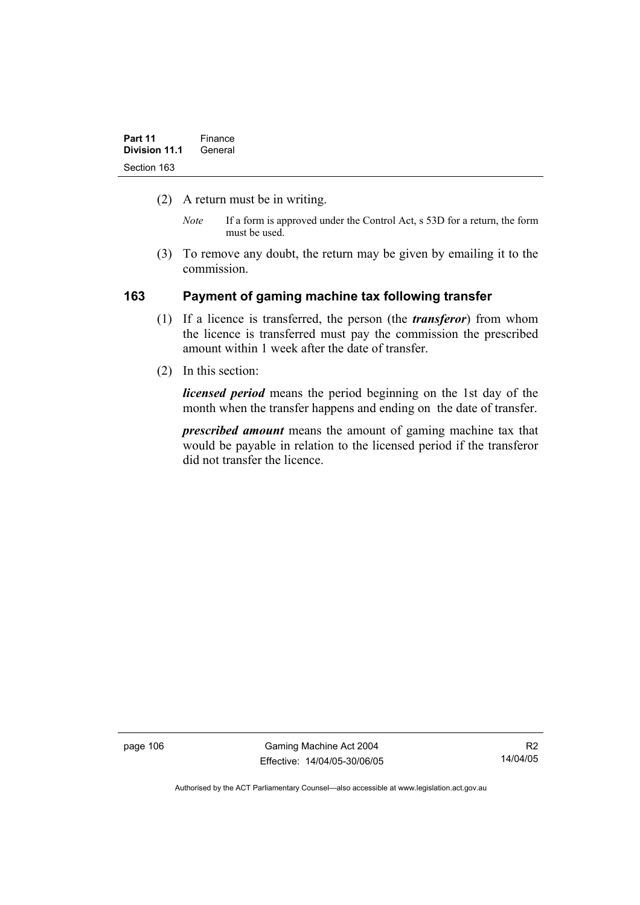- (2) A return must be in writing.
	- *Note* If a form is approved under the Control Act, s 53D for a return, the form must be used.
- (3) To remove any doubt, the return may be given by emailing it to the commission.

## **163 Payment of gaming machine tax following transfer**

- (1) If a licence is transferred, the person (the *transferor*) from whom the licence is transferred must pay the commission the prescribed amount within 1 week after the date of transfer.
- (2) In this section:

*licensed period* means the period beginning on the 1st day of the month when the transfer happens and ending on the date of transfer.

*prescribed amount* means the amount of gaming machine tax that would be payable in relation to the licensed period if the transferor did not transfer the licence.

page 106 Gaming Machine Act 2004 Effective: 14/04/05-30/06/05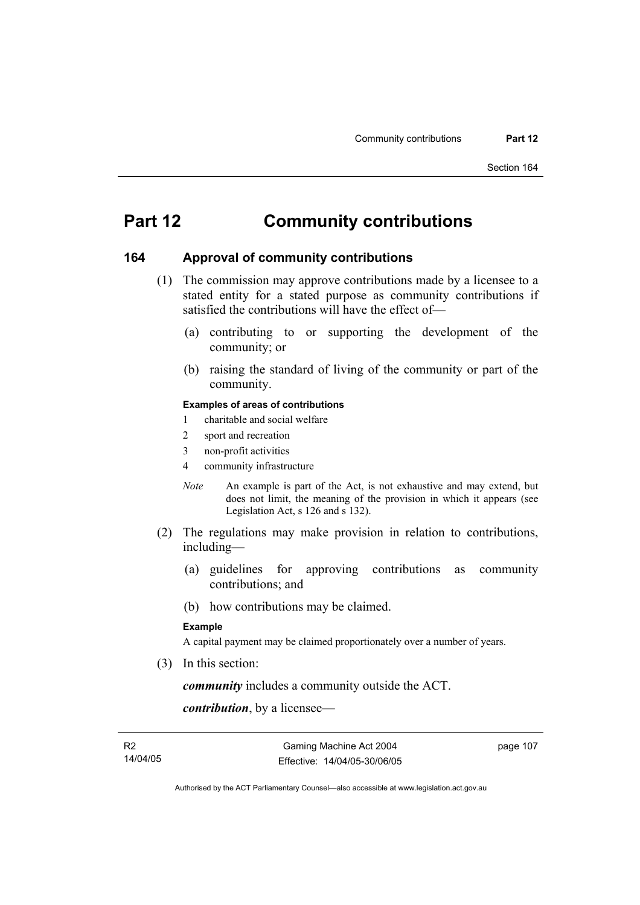# **Part 12 Community contributions**

### **164 Approval of community contributions**

- (1) The commission may approve contributions made by a licensee to a stated entity for a stated purpose as community contributions if satisfied the contributions will have the effect of—
	- (a) contributing to or supporting the development of the community; or
	- (b) raising the standard of living of the community or part of the community.

### **Examples of areas of contributions**

- 1 charitable and social welfare
- 2 sport and recreation
- 3 non-profit activities
- 4 community infrastructure
- *Note* An example is part of the Act, is not exhaustive and may extend, but does not limit, the meaning of the provision in which it appears (see Legislation Act, s 126 and s 132).
- (2) The regulations may make provision in relation to contributions, including—
	- (a) guidelines for approving contributions as community contributions; and
	- (b) how contributions may be claimed.

### **Example**

A capital payment may be claimed proportionately over a number of years.

(3) In this section:

*community* includes a community outside the ACT.

*contribution*, by a licensee—

Authorised by the ACT Parliamentary Counsel—also accessible at www.legislation.act.gov.au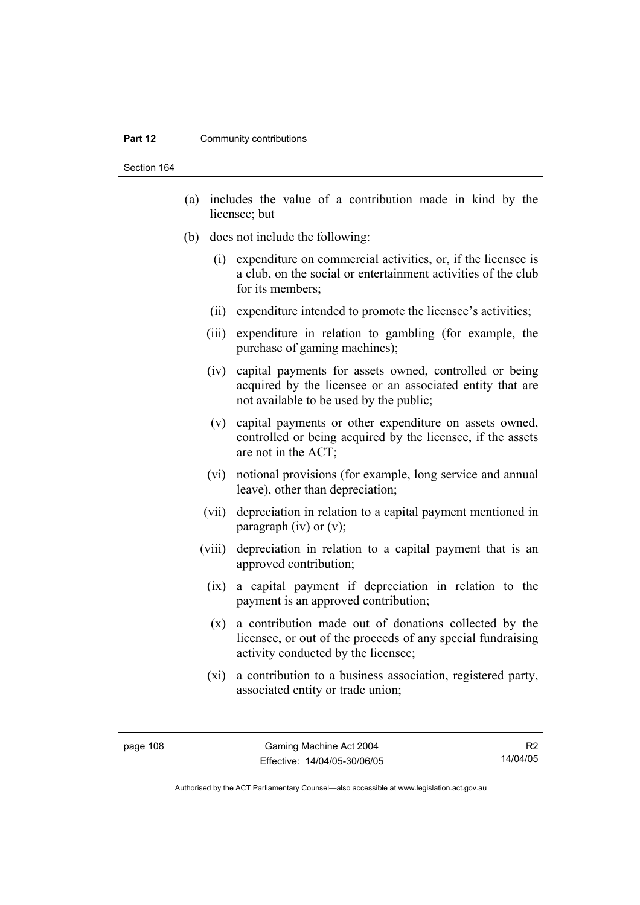#### **Part 12 Community contributions**

Section 164

- (a) includes the value of a contribution made in kind by the licensee; but
- (b) does not include the following:
	- (i) expenditure on commercial activities, or, if the licensee is a club, on the social or entertainment activities of the club for its members;
	- (ii) expenditure intended to promote the licensee's activities;
	- (iii) expenditure in relation to gambling (for example, the purchase of gaming machines);
	- (iv) capital payments for assets owned, controlled or being acquired by the licensee or an associated entity that are not available to be used by the public;
	- (v) capital payments or other expenditure on assets owned, controlled or being acquired by the licensee, if the assets are not in the ACT;
	- (vi) notional provisions (for example, long service and annual leave), other than depreciation;
	- (vii) depreciation in relation to a capital payment mentioned in paragraph (iv) or  $(v)$ ;
	- (viii) depreciation in relation to a capital payment that is an approved contribution;
		- (ix) a capital payment if depreciation in relation to the payment is an approved contribution;
		- (x) a contribution made out of donations collected by the licensee, or out of the proceeds of any special fundraising activity conducted by the licensee;
		- (xi) a contribution to a business association, registered party, associated entity or trade union;

Authorised by the ACT Parliamentary Counsel—also accessible at www.legislation.act.gov.au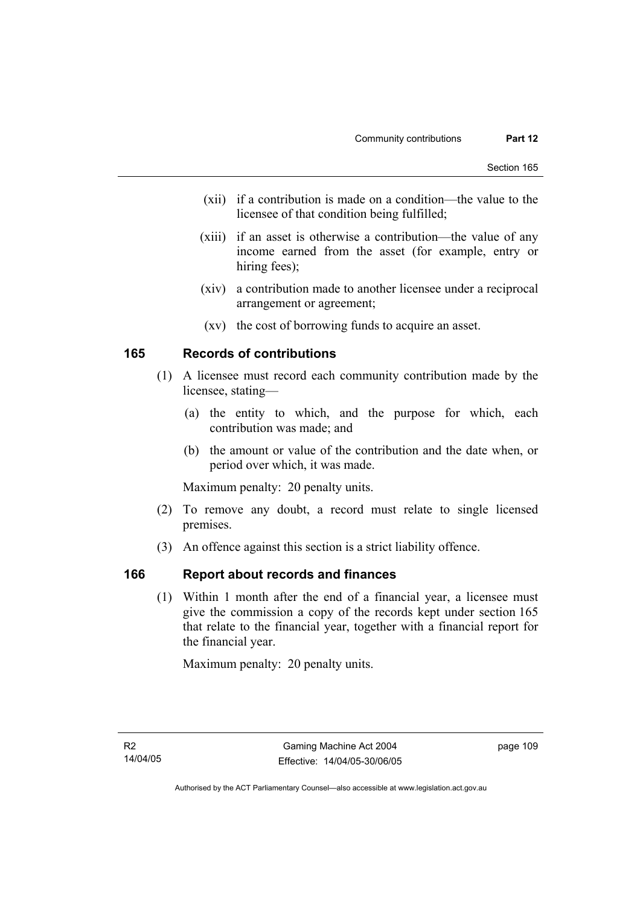- (xii) if a contribution is made on a condition—the value to the licensee of that condition being fulfilled;
- (xiii) if an asset is otherwise a contribution—the value of any income earned from the asset (for example, entry or hiring fees);
- (xiv) a contribution made to another licensee under a reciprocal arrangement or agreement;
- (xv) the cost of borrowing funds to acquire an asset.

## **165 Records of contributions**

- (1) A licensee must record each community contribution made by the licensee, stating—
	- (a) the entity to which, and the purpose for which, each contribution was made; and
	- (b) the amount or value of the contribution and the date when, or period over which, it was made.

Maximum penalty: 20 penalty units.

- (2) To remove any doubt, a record must relate to single licensed premises.
- (3) An offence against this section is a strict liability offence.

### **166 Report about records and finances**

 (1) Within 1 month after the end of a financial year, a licensee must give the commission a copy of the records kept under section 165 that relate to the financial year, together with a financial report for the financial year.

Maximum penalty: 20 penalty units.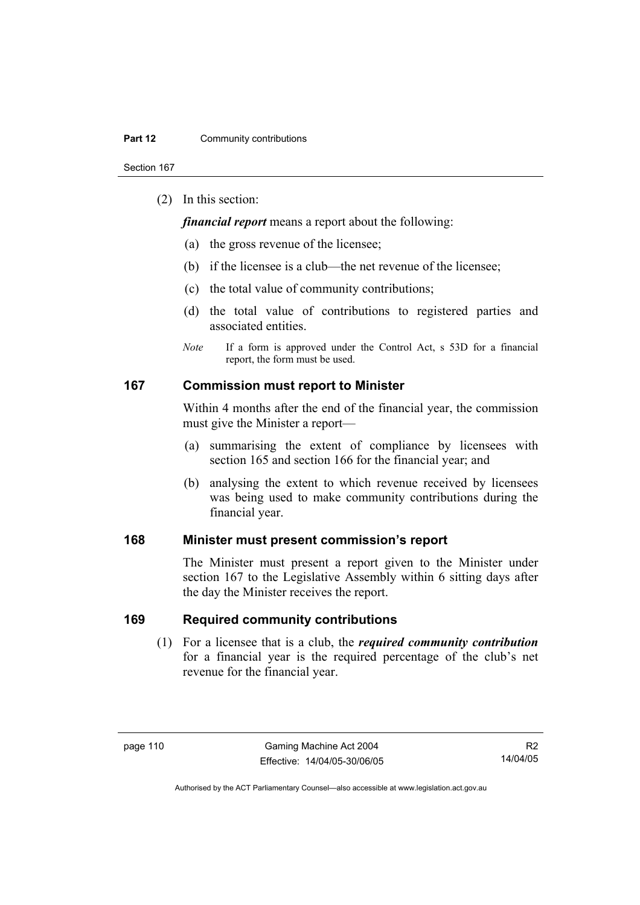Section 167

(2) In this section:

*financial report* means a report about the following:

- (a) the gross revenue of the licensee;
- (b) if the licensee is a club—the net revenue of the licensee;
- (c) the total value of community contributions;
- (d) the total value of contributions to registered parties and associated entities.
- *Note* If a form is approved under the Control Act, s 53D for a financial report, the form must be used.

### **167 Commission must report to Minister**

Within 4 months after the end of the financial year, the commission must give the Minister a report—

- (a) summarising the extent of compliance by licensees with section 165 and section 166 for the financial year; and
- (b) analysing the extent to which revenue received by licensees was being used to make community contributions during the financial year.

### **168 Minister must present commission's report**

The Minister must present a report given to the Minister under section 167 to the Legislative Assembly within 6 sitting days after the day the Minister receives the report.

### **169 Required community contributions**

 (1) For a licensee that is a club, the *required community contribution* for a financial year is the required percentage of the club's net revenue for the financial year.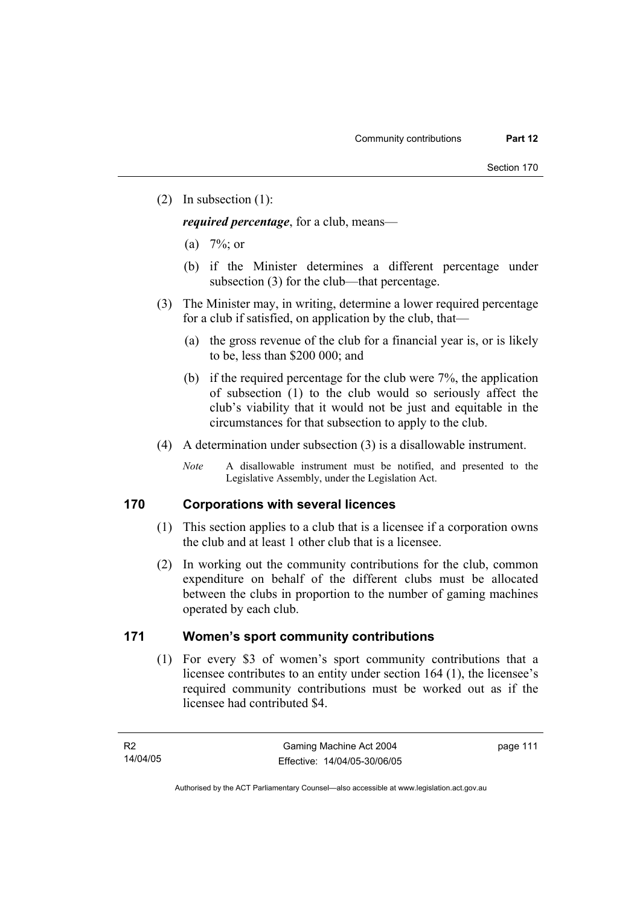(2) In subsection (1):

*required percentage*, for a club, means—

- (a)  $7\%$ ; or
- (b) if the Minister determines a different percentage under subsection (3) for the club—that percentage.
- (3) The Minister may, in writing, determine a lower required percentage for a club if satisfied, on application by the club, that—
	- (a) the gross revenue of the club for a financial year is, or is likely to be, less than \$200 000; and
	- (b) if the required percentage for the club were 7%, the application of subsection (1) to the club would so seriously affect the club's viability that it would not be just and equitable in the circumstances for that subsection to apply to the club.
- (4) A determination under subsection (3) is a disallowable instrument.
	- *Note* A disallowable instrument must be notified, and presented to the Legislative Assembly, under the Legislation Act.

### **170 Corporations with several licences**

- (1) This section applies to a club that is a licensee if a corporation owns the club and at least 1 other club that is a licensee.
- (2) In working out the community contributions for the club, common expenditure on behalf of the different clubs must be allocated between the clubs in proportion to the number of gaming machines operated by each club.

### **171 Women's sport community contributions**

 (1) For every \$3 of women's sport community contributions that a licensee contributes to an entity under section 164 (1), the licensee's required community contributions must be worked out as if the licensee had contributed \$4.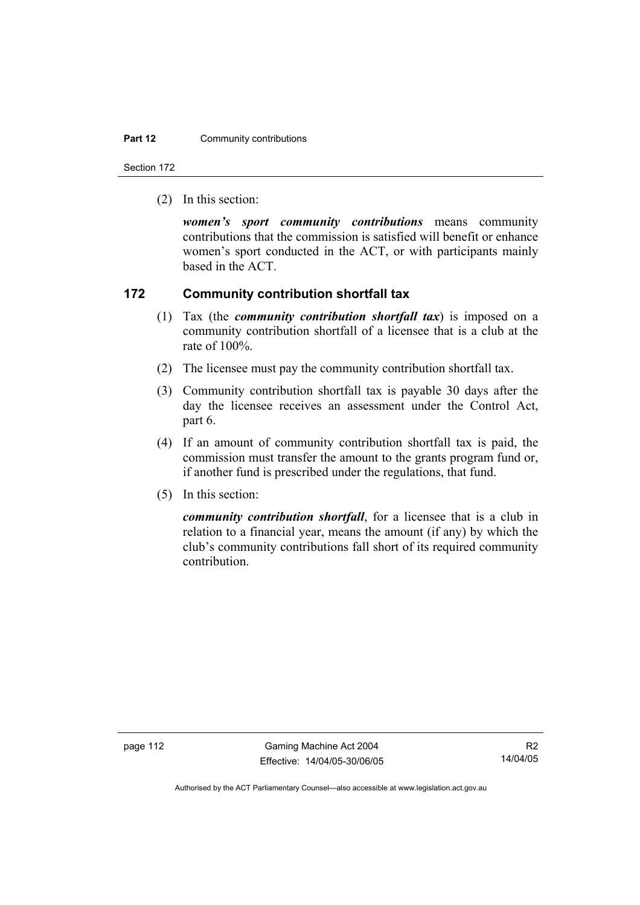### **Part 12 Community contributions**

Section 172

(2) In this section:

*women's sport community contributions* means community contributions that the commission is satisfied will benefit or enhance women's sport conducted in the ACT, or with participants mainly based in the ACT.

### **172 Community contribution shortfall tax**

- (1) Tax (the *community contribution shortfall tax*) is imposed on a community contribution shortfall of a licensee that is a club at the rate of 100%.
- (2) The licensee must pay the community contribution shortfall tax.
- (3) Community contribution shortfall tax is payable 30 days after the day the licensee receives an assessment under the Control Act, part 6.
- (4) If an amount of community contribution shortfall tax is paid, the commission must transfer the amount to the grants program fund or, if another fund is prescribed under the regulations, that fund.
- (5) In this section:

*community contribution shortfall*, for a licensee that is a club in relation to a financial year, means the amount (if any) by which the club's community contributions fall short of its required community contribution.

page 112 Gaming Machine Act 2004 Effective: 14/04/05-30/06/05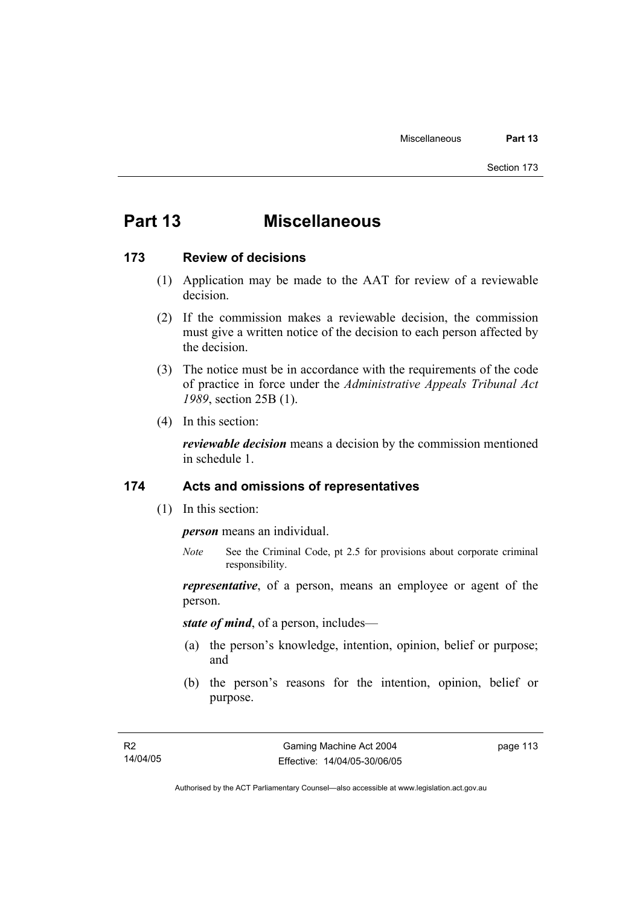# **Part 13 Miscellaneous**

### **173 Review of decisions**

- (1) Application may be made to the AAT for review of a reviewable decision.
- (2) If the commission makes a reviewable decision, the commission must give a written notice of the decision to each person affected by the decision.
- (3) The notice must be in accordance with the requirements of the code of practice in force under the *Administrative Appeals Tribunal Act 1989*, section 25B (1).
- (4) In this section:

*reviewable decision* means a decision by the commission mentioned in schedule 1.

### **174 Acts and omissions of representatives**

(1) In this section:

*person* means an individual.

*Note* See the Criminal Code, pt 2.5 for provisions about corporate criminal responsibility.

*representative*, of a person, means an employee or agent of the person.

*state of mind*, of a person, includes—

- (a) the person's knowledge, intention, opinion, belief or purpose; and
- (b) the person's reasons for the intention, opinion, belief or purpose.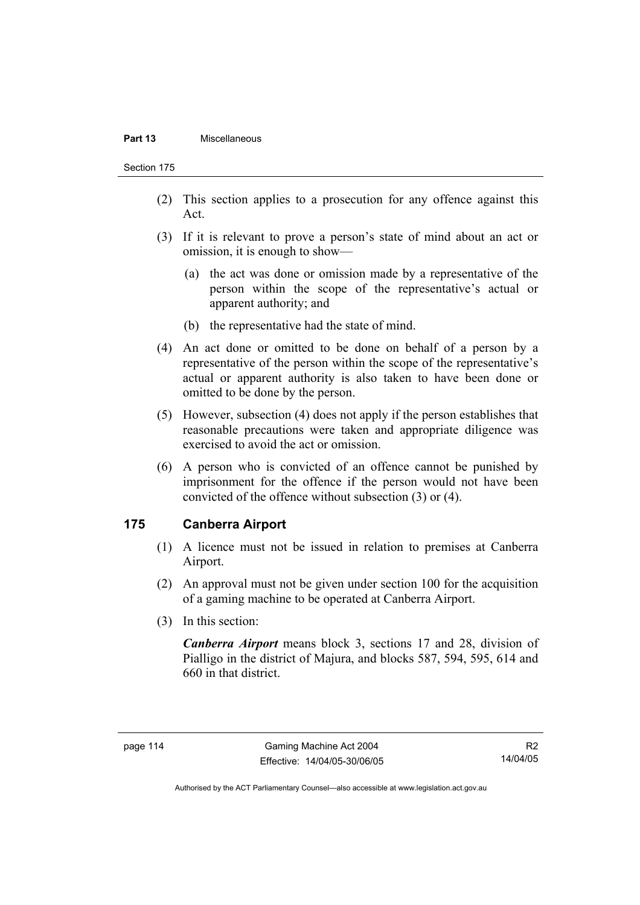#### **Part 13** Miscellaneous

Section 175

- (2) This section applies to a prosecution for any offence against this Act.
- (3) If it is relevant to prove a person's state of mind about an act or omission, it is enough to show—
	- (a) the act was done or omission made by a representative of the person within the scope of the representative's actual or apparent authority; and
	- (b) the representative had the state of mind.
- (4) An act done or omitted to be done on behalf of a person by a representative of the person within the scope of the representative's actual or apparent authority is also taken to have been done or omitted to be done by the person.
- (5) However, subsection (4) does not apply if the person establishes that reasonable precautions were taken and appropriate diligence was exercised to avoid the act or omission.
- (6) A person who is convicted of an offence cannot be punished by imprisonment for the offence if the person would not have been convicted of the offence without subsection (3) or (4).

## **175 Canberra Airport**

- (1) A licence must not be issued in relation to premises at Canberra Airport.
- (2) An approval must not be given under section 100 for the acquisition of a gaming machine to be operated at Canberra Airport.
- (3) In this section:

*Canberra Airport* means block 3, sections 17 and 28, division of Pialligo in the district of Majura, and blocks 587, 594, 595, 614 and 660 in that district.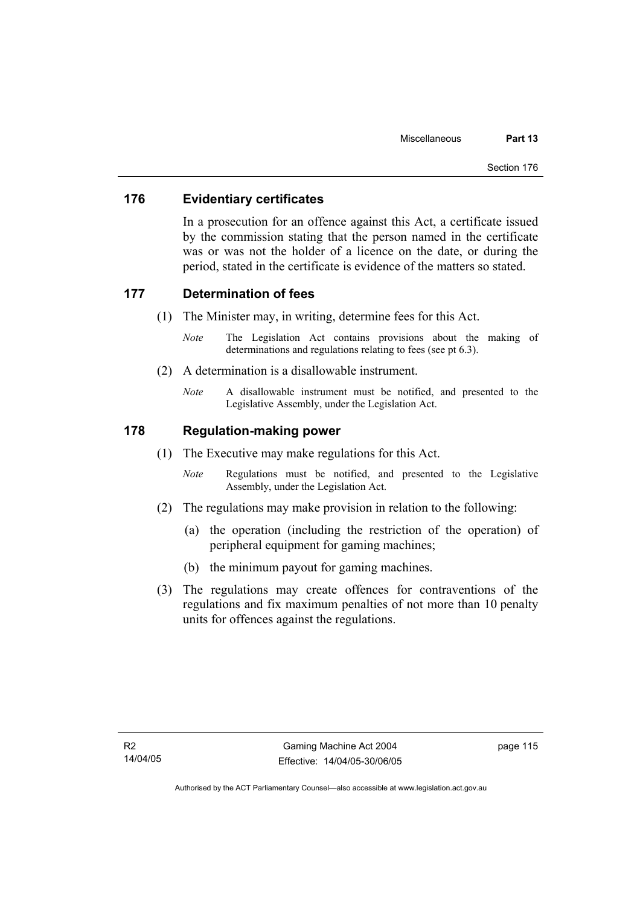## **176 Evidentiary certificates**

In a prosecution for an offence against this Act, a certificate issued by the commission stating that the person named in the certificate was or was not the holder of a licence on the date, or during the period, stated in the certificate is evidence of the matters so stated.

### **177 Determination of fees**

- (1) The Minister may, in writing, determine fees for this Act.
	- *Note* The Legislation Act contains provisions about the making of determinations and regulations relating to fees (see pt 6.3).
- (2) A determination is a disallowable instrument.
	- *Note* A disallowable instrument must be notified, and presented to the Legislative Assembly, under the Legislation Act.

### **178 Regulation-making power**

- (1) The Executive may make regulations for this Act.
	- *Note* Regulations must be notified, and presented to the Legislative Assembly, under the Legislation Act.
- (2) The regulations may make provision in relation to the following:
	- (a) the operation (including the restriction of the operation) of peripheral equipment for gaming machines;
	- (b) the minimum payout for gaming machines.
- (3) The regulations may create offences for contraventions of the regulations and fix maximum penalties of not more than 10 penalty units for offences against the regulations.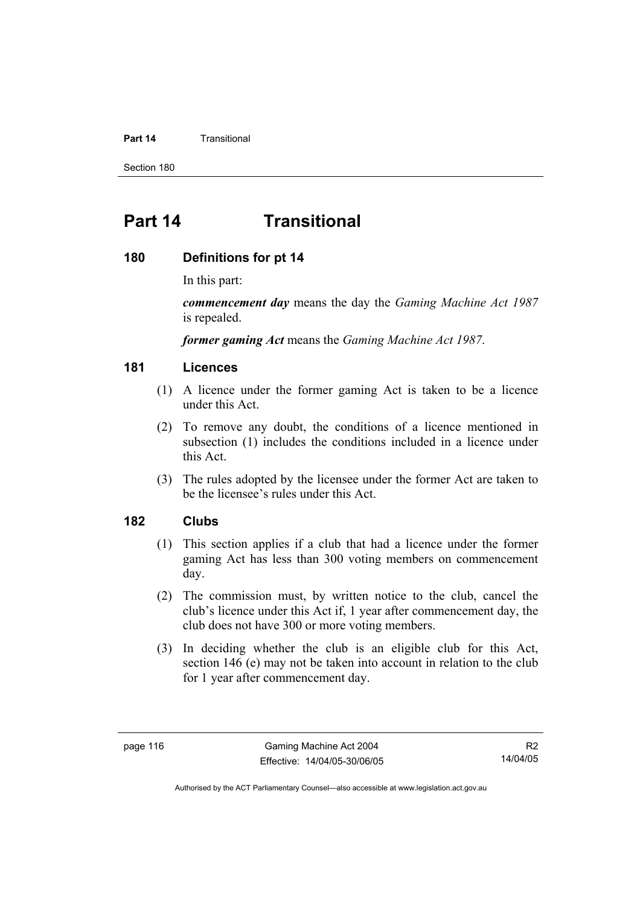### **Part 14** Transitional

Section 180

# **Part 14 Transitional**

### **180 Definitions for pt 14**

In this part:

*commencement day* means the day the *Gaming Machine Act 1987* is repealed.

*former gaming Act* means the *Gaming Machine Act 1987*.

### **181 Licences**

- (1) A licence under the former gaming Act is taken to be a licence under this Act.
- (2) To remove any doubt, the conditions of a licence mentioned in subsection (1) includes the conditions included in a licence under this Act.
- (3) The rules adopted by the licensee under the former Act are taken to be the licensee's rules under this Act.

### **182 Clubs**

- (1) This section applies if a club that had a licence under the former gaming Act has less than 300 voting members on commencement day.
- (2) The commission must, by written notice to the club, cancel the club's licence under this Act if, 1 year after commencement day, the club does not have 300 or more voting members.
- (3) In deciding whether the club is an eligible club for this Act, section 146 (e) may not be taken into account in relation to the club for 1 year after commencement day.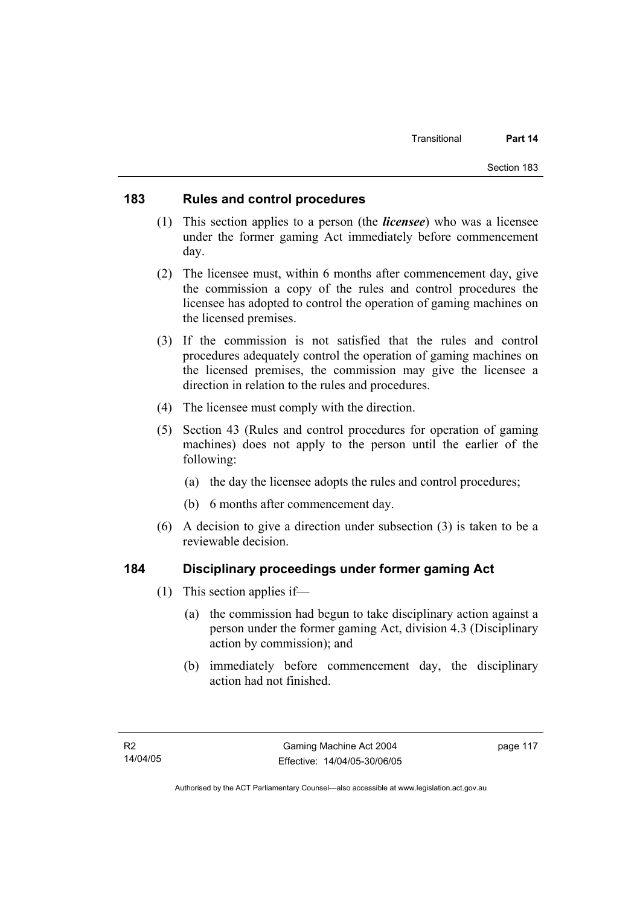### **183 Rules and control procedures**

- (1) This section applies to a person (the *licensee*) who was a licensee under the former gaming Act immediately before commencement day.
- (2) The licensee must, within 6 months after commencement day, give the commission a copy of the rules and control procedures the licensee has adopted to control the operation of gaming machines on the licensed premises.
- (3) If the commission is not satisfied that the rules and control procedures adequately control the operation of gaming machines on the licensed premises, the commission may give the licensee a direction in relation to the rules and procedures.
- (4) The licensee must comply with the direction.
- (5) Section 43 (Rules and control procedures for operation of gaming machines) does not apply to the person until the earlier of the following:
	- (a) the day the licensee adopts the rules and control procedures;
	- (b) 6 months after commencement day.
- (6) A decision to give a direction under subsection (3) is taken to be a reviewable decision.

# **184 Disciplinary proceedings under former gaming Act**

- (1) This section applies if—
	- (a) the commission had begun to take disciplinary action against a person under the former gaming Act, division 4.3 (Disciplinary action by commission); and
	- (b) immediately before commencement day, the disciplinary action had not finished.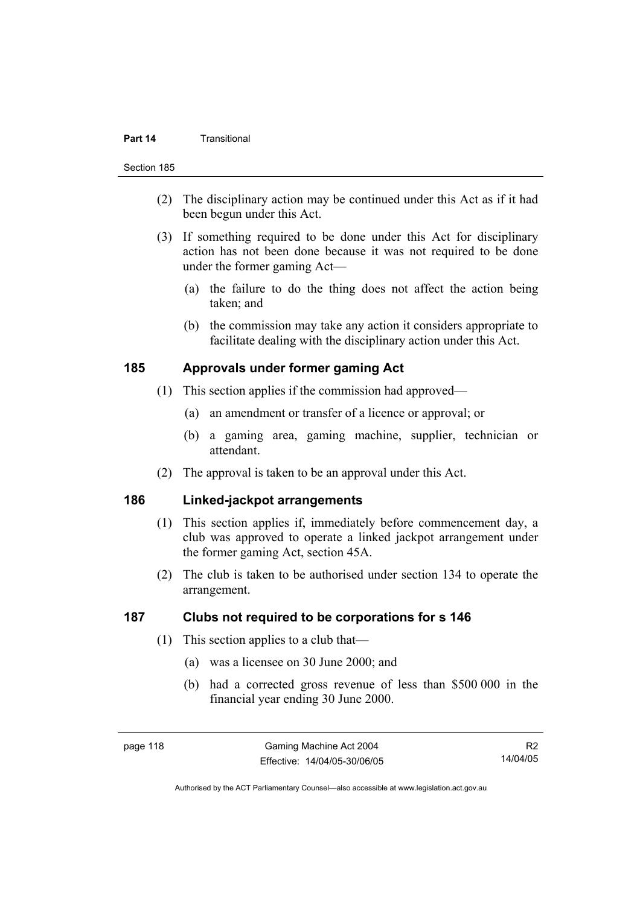### **Part 14** Transitional

#### Section 185

- (2) The disciplinary action may be continued under this Act as if it had been begun under this Act.
- (3) If something required to be done under this Act for disciplinary action has not been done because it was not required to be done under the former gaming Act—
	- (a) the failure to do the thing does not affect the action being taken; and
	- (b) the commission may take any action it considers appropriate to facilitate dealing with the disciplinary action under this Act.

### **185 Approvals under former gaming Act**

- (1) This section applies if the commission had approved—
	- (a) an amendment or transfer of a licence or approval; or
	- (b) a gaming area, gaming machine, supplier, technician or attendant.
- (2) The approval is taken to be an approval under this Act.

# **186 Linked-jackpot arrangements**

- (1) This section applies if, immediately before commencement day, a club was approved to operate a linked jackpot arrangement under the former gaming Act, section 45A.
- (2) The club is taken to be authorised under section 134 to operate the arrangement.

### **187 Clubs not required to be corporations for s 146**

- (1) This section applies to a club that—
	- (a) was a licensee on 30 June 2000; and
	- (b) had a corrected gross revenue of less than \$500 000 in the financial year ending 30 June 2000.

R2 14/04/05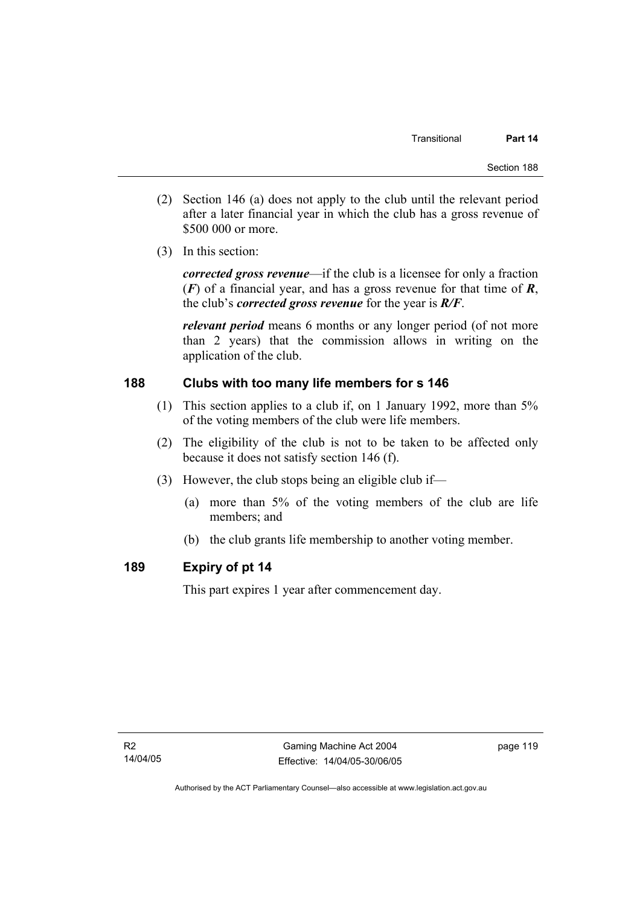- (2) Section 146 (a) does not apply to the club until the relevant period after a later financial year in which the club has a gross revenue of \$500 000 or more.
- (3) In this section:

*corrected gross revenue*—if the club is a licensee for only a fraction (*F*) of a financial year, and has a gross revenue for that time of *R*, the club's *corrected gross revenue* for the year is *R/F*.

*relevant period* means 6 months or any longer period (of not more than 2 years) that the commission allows in writing on the application of the club.

## **188 Clubs with too many life members for s 146**

- (1) This section applies to a club if, on 1 January 1992, more than 5% of the voting members of the club were life members.
- (2) The eligibility of the club is not to be taken to be affected only because it does not satisfy section 146 (f).
- (3) However, the club stops being an eligible club if—
	- (a) more than 5% of the voting members of the club are life members; and
	- (b) the club grants life membership to another voting member.

# **189 Expiry of pt 14**

This part expires 1 year after commencement day.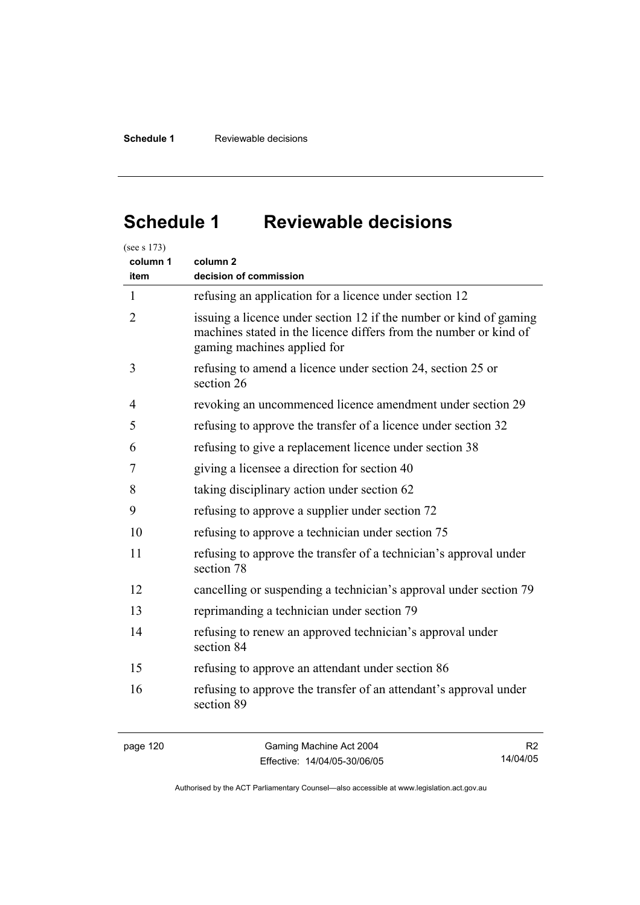# **Schedule 1 Reviewable decisions**

| column 1<br>item | column <sub>2</sub><br>decision of commission                                                                                                                          |
|------------------|------------------------------------------------------------------------------------------------------------------------------------------------------------------------|
| 1                | refusing an application for a licence under section 12                                                                                                                 |
| 2                | issuing a licence under section 12 if the number or kind of gaming<br>machines stated in the licence differs from the number or kind of<br>gaming machines applied for |
| 3                | refusing to amend a licence under section 24, section 25 or<br>section 26                                                                                              |
| 4                | revoking an uncommenced licence amendment under section 29                                                                                                             |
| 5                | refusing to approve the transfer of a licence under section 32                                                                                                         |
| 6                | refusing to give a replacement licence under section 38                                                                                                                |
| 7                | giving a licensee a direction for section 40                                                                                                                           |
| 8                | taking disciplinary action under section 62                                                                                                                            |
| 9                | refusing to approve a supplier under section 72                                                                                                                        |
| 10               | refusing to approve a technician under section 75                                                                                                                      |
| 11               | refusing to approve the transfer of a technician's approval under<br>section 78                                                                                        |
| 12               | cancelling or suspending a technician's approval under section 79                                                                                                      |
| 13               | reprimanding a technician under section 79                                                                                                                             |
| 14               | refusing to renew an approved technician's approval under<br>section 84                                                                                                |
| 15               | refusing to approve an attendant under section 86                                                                                                                      |
| 16               | refusing to approve the transfer of an attendant's approval under<br>section 89                                                                                        |

page 120 Gaming Machine Act 2004 Effective: 14/04/05-30/06/05

R2 14/04/05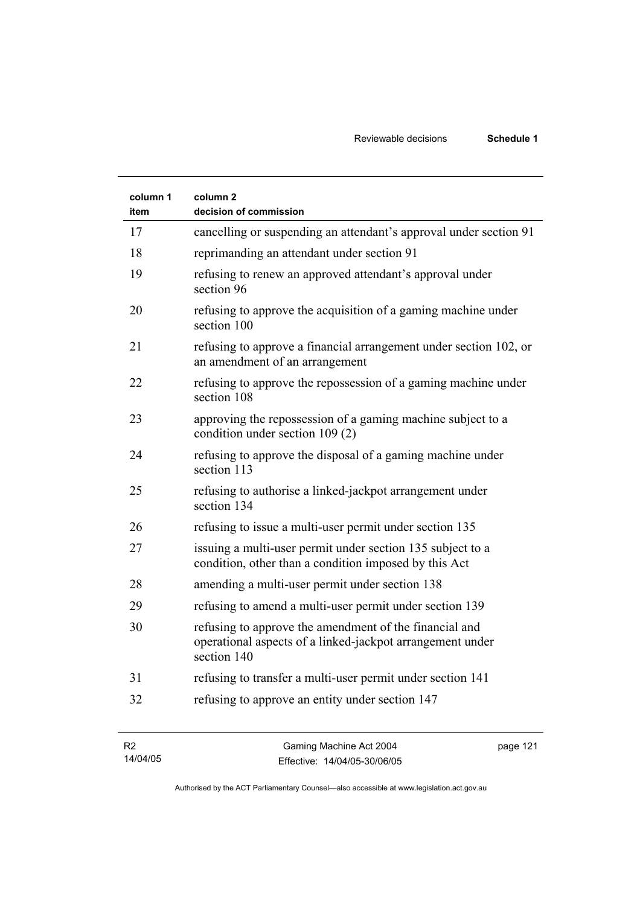| column 1<br>item | column 2<br>decision of commission                                                                                                 |
|------------------|------------------------------------------------------------------------------------------------------------------------------------|
| 17               | cancelling or suspending an attendant's approval under section 91                                                                  |
| 18               | reprimanding an attendant under section 91                                                                                         |
| 19               | refusing to renew an approved attendant's approval under<br>section 96                                                             |
| 20               | refusing to approve the acquisition of a gaming machine under<br>section 100                                                       |
| 21               | refusing to approve a financial arrangement under section 102, or<br>an amendment of an arrangement                                |
| 22               | refusing to approve the repossession of a gaming machine under<br>section 108                                                      |
| 23               | approving the repossession of a gaming machine subject to a<br>condition under section 109 (2)                                     |
| 24               | refusing to approve the disposal of a gaming machine under<br>section 113                                                          |
| 25               | refusing to authorise a linked-jackpot arrangement under<br>section 134                                                            |
| 26               | refusing to issue a multi-user permit under section 135                                                                            |
| 27               | issuing a multi-user permit under section 135 subject to a<br>condition, other than a condition imposed by this Act                |
| 28               | amending a multi-user permit under section 138                                                                                     |
| 29               | refusing to amend a multi-user permit under section 139                                                                            |
| 30               | refusing to approve the amendment of the financial and<br>operational aspects of a linked-jackpot arrangement under<br>section 140 |
| 31               | refusing to transfer a multi-user permit under section 141                                                                         |
| 32               | refusing to approve an entity under section 147                                                                                    |

| - R2     | Gaming Machine Act 2004      | page 121 |
|----------|------------------------------|----------|
| 14/04/05 | Effective: 14/04/05-30/06/05 |          |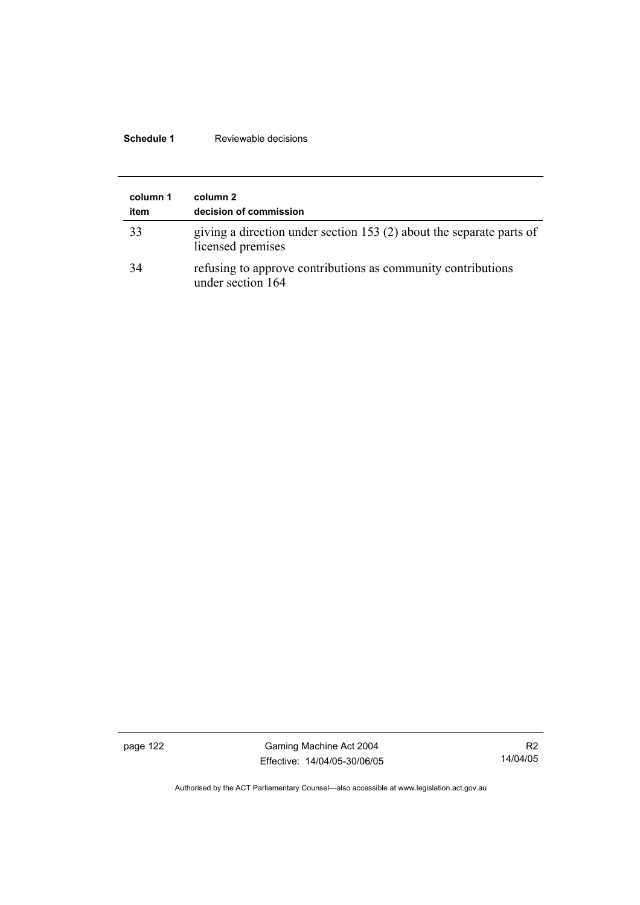## **Schedule 1** Reviewable decisions

| column 1<br>item | column 2<br>decision of commission                                                        |
|------------------|-------------------------------------------------------------------------------------------|
| 33               | giving a direction under section 153 (2) about the separate parts of<br>licensed premises |
| 34               | refusing to approve contributions as community contributions<br>under section 164         |

page 122 Gaming Machine Act 2004 Effective: 14/04/05-30/06/05

R2 14/04/05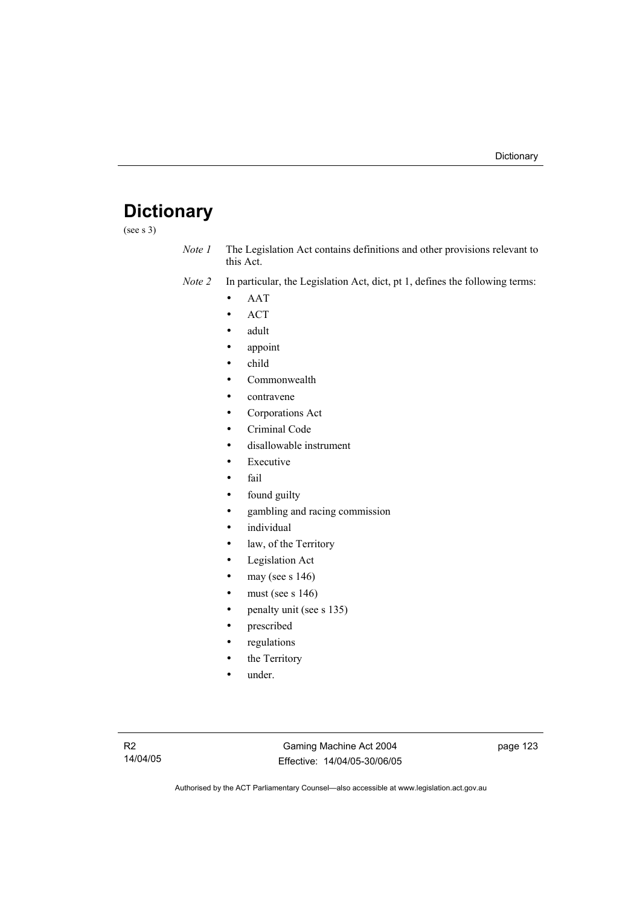# **Dictionary**

(see s 3)

*Note 1* The Legislation Act contains definitions and other provisions relevant to this Act.

*Note 2* In particular, the Legislation Act, dict, pt 1, defines the following terms:

- AAT
- ACT
- adult
- appoint
- child
- Commonwealth
- contravene
- Corporations Act
- Criminal Code
- disallowable instrument
- **Executive**
- fail
- found guilty
- gambling and racing commission
- *individual*
- law, of the Territory
- Legislation Act
- may (see s  $146$ )
- must (see s  $146$ )
- penalty unit (see s 135)
- prescribed
- regulations
- the Territory
- under.

Gaming Machine Act 2004 Effective: 14/04/05-30/06/05 page 123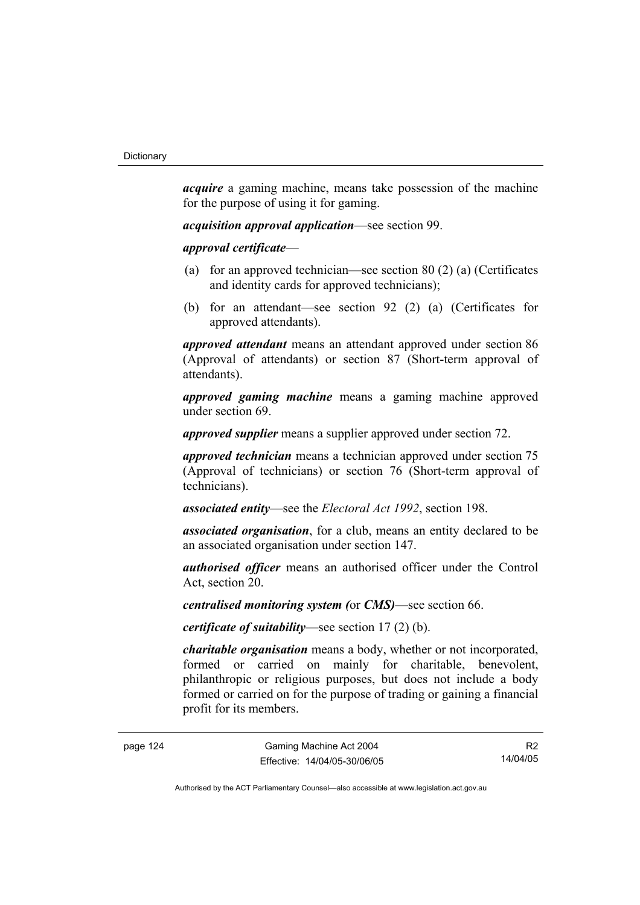*acquire* a gaming machine, means take possession of the machine for the purpose of using it for gaming.

*acquisition approval application*—see section 99.

*approval certificate*—

- (a) for an approved technician—see section 80 (2) (a) (Certificates and identity cards for approved technicians);
- (b) for an attendant—see section 92 (2) (a) (Certificates for approved attendants).

*approved attendant* means an attendant approved under section 86 (Approval of attendants) or section 87 (Short-term approval of attendants).

*approved gaming machine* means a gaming machine approved under section 69.

*approved supplier* means a supplier approved under section 72.

*approved technician* means a technician approved under section 75 (Approval of technicians) or section 76 (Short-term approval of technicians).

*associated entity*—see the *Electoral Act 1992*, section 198.

*associated organisation*, for a club, means an entity declared to be an associated organisation under section 147.

*authorised officer* means an authorised officer under the Control Act, section 20.

*centralised monitoring system (*or *CMS)*—see section 66.

*certificate of suitability*—see section 17 (2) (b).

*charitable organisation* means a body, whether or not incorporated, formed or carried on mainly for charitable, benevolent, philanthropic or religious purposes, but does not include a body formed or carried on for the purpose of trading or gaining a financial profit for its members.

R2 14/04/05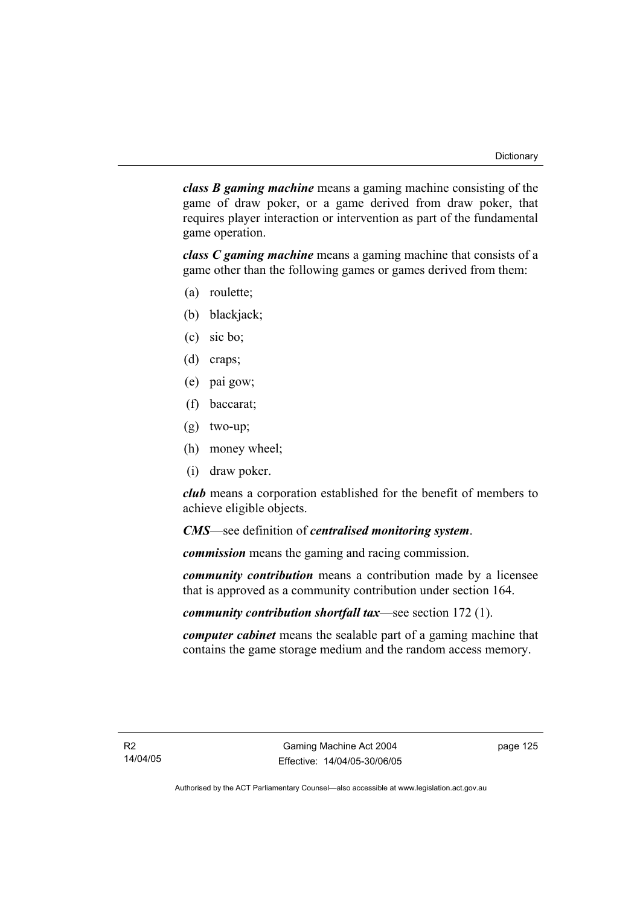*class B gaming machine* means a gaming machine consisting of the game of draw poker, or a game derived from draw poker, that requires player interaction or intervention as part of the fundamental game operation.

*class C gaming machine* means a gaming machine that consists of a game other than the following games or games derived from them:

- (a) roulette;
- (b) blackjack;
- (c) sic bo;
- (d) craps;
- (e) pai gow;
- (f) baccarat;
- (g) two-up;
- (h) money wheel;
- (i) draw poker.

*club* means a corporation established for the benefit of members to achieve eligible objects.

*CMS*—see definition of *centralised monitoring system*.

*commission* means the gaming and racing commission.

*community contribution* means a contribution made by a licensee that is approved as a community contribution under section 164.

*community contribution shortfall tax*—see section 172 (1).

*computer cabinet* means the sealable part of a gaming machine that contains the game storage medium and the random access memory.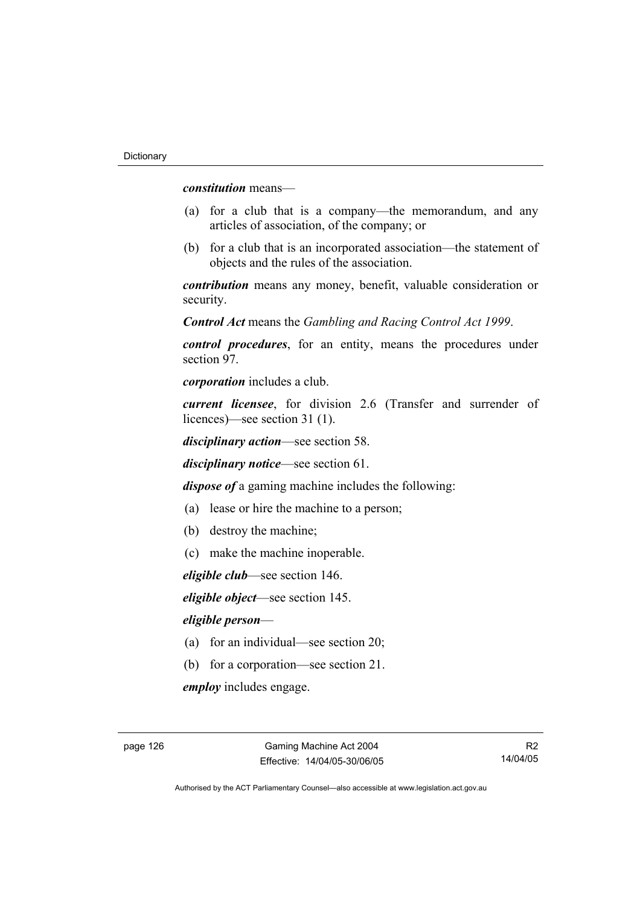*constitution* means—

- (a) for a club that is a company—the memorandum, and any articles of association, of the company; or
- (b) for a club that is an incorporated association—the statement of objects and the rules of the association.

*contribution* means any money, benefit, valuable consideration or security.

*Control Act* means the *Gambling and Racing Control Act 1999*.

*control procedures*, for an entity, means the procedures under section 97.

*corporation* includes a club.

*current licensee*, for division 2.6 (Transfer and surrender of licences)—see section 31 (1).

*disciplinary action*—see section 58.

*disciplinary notice*—see section 61.

*dispose of* a gaming machine includes the following:

- (a) lease or hire the machine to a person;
- (b) destroy the machine;
- (c) make the machine inoperable.

*eligible club*—see section 146.

*eligible object*—see section 145.

### *eligible person*—

- (a) for an individual—see section 20;
- (b) for a corporation—see section 21.

*employ* includes engage.

R2 14/04/05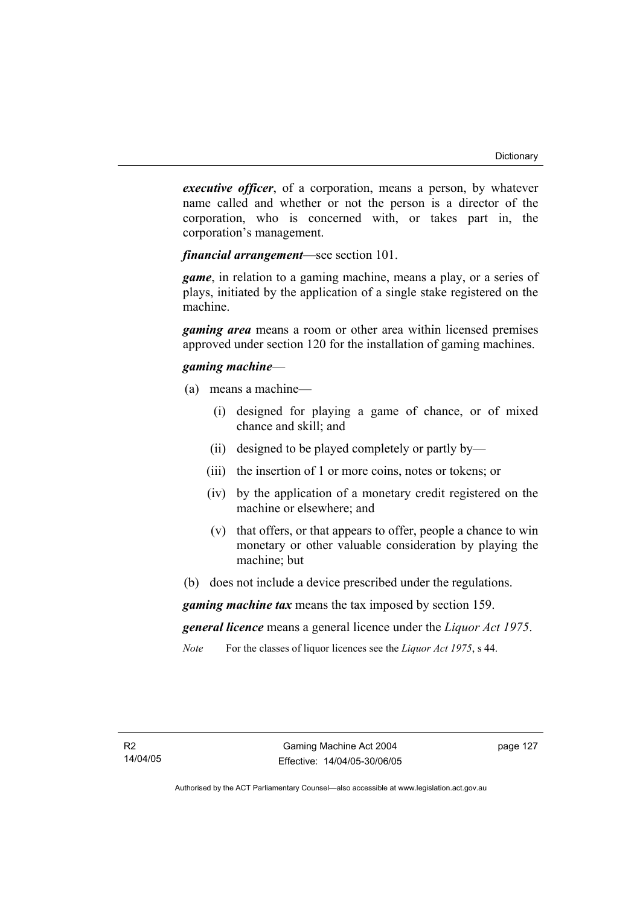*executive officer*, of a corporation, means a person, by whatever name called and whether or not the person is a director of the corporation, who is concerned with, or takes part in, the corporation's management.

*financial arrangement*—see section 101.

*game*, in relation to a gaming machine, means a play, or a series of plays, initiated by the application of a single stake registered on the machine.

*gaming area* means a room or other area within licensed premises approved under section 120 for the installation of gaming machines.

### *gaming machine*—

- (a) means a machine—
	- (i) designed for playing a game of chance, or of mixed chance and skill; and
	- (ii) designed to be played completely or partly by—
	- (iii) the insertion of 1 or more coins, notes or tokens; or
	- (iv) by the application of a monetary credit registered on the machine or elsewhere; and
	- (v) that offers, or that appears to offer, people a chance to win monetary or other valuable consideration by playing the machine; but
- (b) does not include a device prescribed under the regulations.

*gaming machine tax* means the tax imposed by section 159.

*general licence* means a general licence under the *Liquor Act 1975*.

*Note* For the classes of liquor licences see the *Liquor Act 1975*, s 44.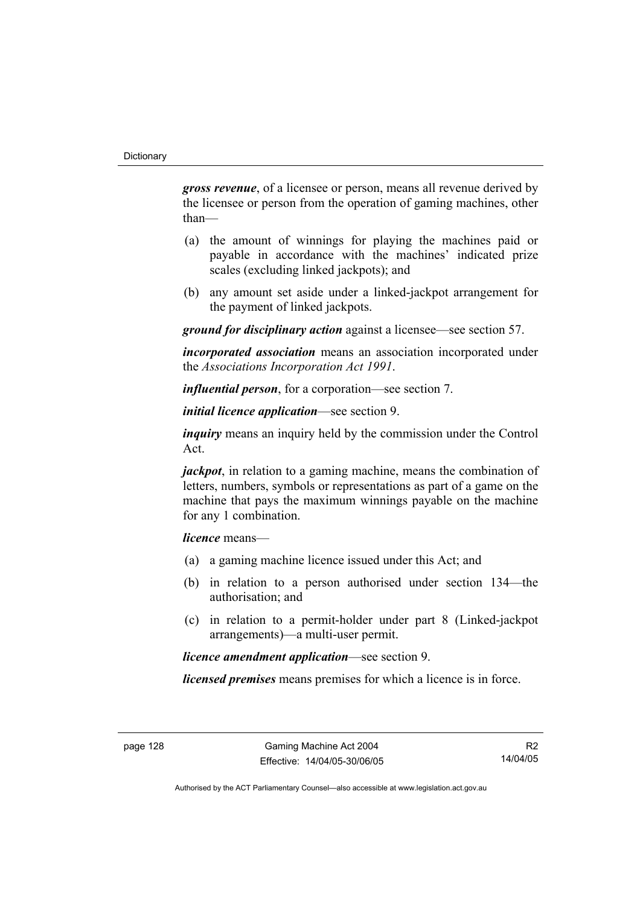*gross revenue*, of a licensee or person, means all revenue derived by the licensee or person from the operation of gaming machines, other than—

- (a) the amount of winnings for playing the machines paid or payable in accordance with the machines' indicated prize scales (excluding linked jackpots); and
- (b) any amount set aside under a linked-jackpot arrangement for the payment of linked jackpots.

*ground for disciplinary action* against a licensee—see section 57.

*incorporated association* means an association incorporated under the *Associations Incorporation Act 1991*.

*influential person*, for a corporation—see section 7.

*initial licence application*—see section 9.

*inquiry* means an inquiry held by the commission under the Control Act.

*jackpot*, in relation to a gaming machine, means the combination of letters, numbers, symbols or representations as part of a game on the machine that pays the maximum winnings payable on the machine for any 1 combination.

*licence* means—

- (a) a gaming machine licence issued under this Act; and
- (b) in relation to a person authorised under section 134—the authorisation; and
- (c) in relation to a permit-holder under part 8 (Linked-jackpot arrangements)—a multi-user permit.

*licence amendment application*—see section 9.

*licensed premises* means premises for which a licence is in force.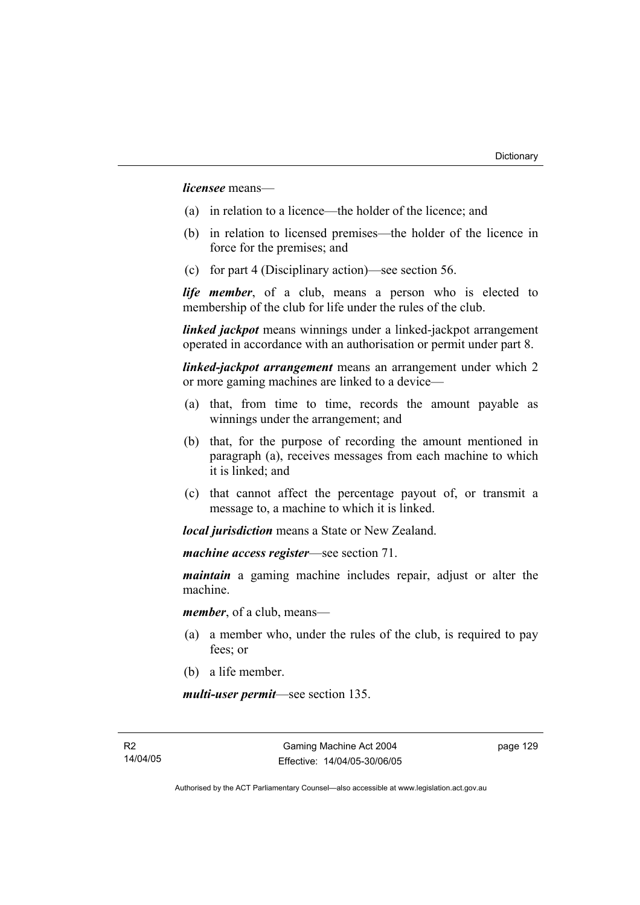*licensee* means—

- (a) in relation to a licence—the holder of the licence; and
- (b) in relation to licensed premises—the holder of the licence in force for the premises; and
- (c) for part 4 (Disciplinary action)—see section 56.

*life member*, of a club, means a person who is elected to membership of the club for life under the rules of the club.

*linked jackpot* means winnings under a linked-jackpot arrangement operated in accordance with an authorisation or permit under part 8.

*linked-jackpot arrangement* means an arrangement under which 2 or more gaming machines are linked to a device—

- (a) that, from time to time, records the amount payable as winnings under the arrangement; and
- (b) that, for the purpose of recording the amount mentioned in paragraph (a), receives messages from each machine to which it is linked; and
- (c) that cannot affect the percentage payout of, or transmit a message to, a machine to which it is linked.

*local jurisdiction* means a State or New Zealand.

*machine access register*—see section 71.

*maintain* a gaming machine includes repair, adjust or alter the machine.

*member*, of a club, means—

- (a) a member who, under the rules of the club, is required to pay fees; or
- (b) a life member.

*multi-user permit*—see section 135.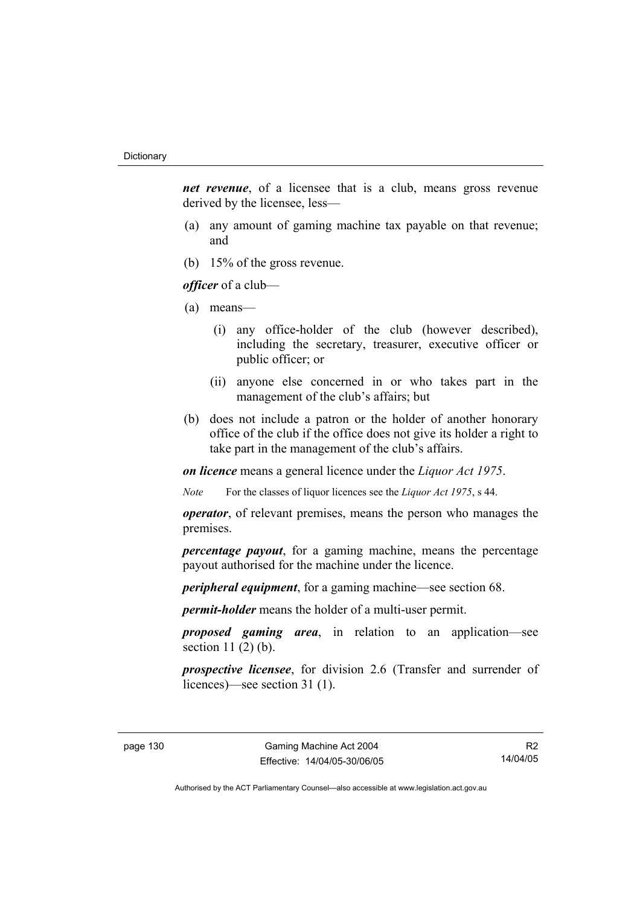*net revenue*, of a licensee that is a club, means gross revenue derived by the licensee, less—

- (a) any amount of gaming machine tax payable on that revenue; and
- (b) 15% of the gross revenue.

*officer* of a club—

- (a) means—
	- (i) any office-holder of the club (however described), including the secretary, treasurer, executive officer or public officer; or
	- (ii) anyone else concerned in or who takes part in the management of the club's affairs; but
- (b) does not include a patron or the holder of another honorary office of the club if the office does not give its holder a right to take part in the management of the club's affairs.

*on licence* means a general licence under the *Liquor Act 1975*.

*Note* For the classes of liquor licences see the *Liquor Act 1975*, s 44.

*operator*, of relevant premises, means the person who manages the premises.

*percentage payout*, for a gaming machine, means the percentage payout authorised for the machine under the licence.

*peripheral equipment*, for a gaming machine—see section 68.

*permit-holder* means the holder of a multi-user permit.

*proposed gaming area*, in relation to an application—see section  $11(2)(b)$ .

*prospective licensee*, for division 2.6 (Transfer and surrender of licences)—see section 31 (1).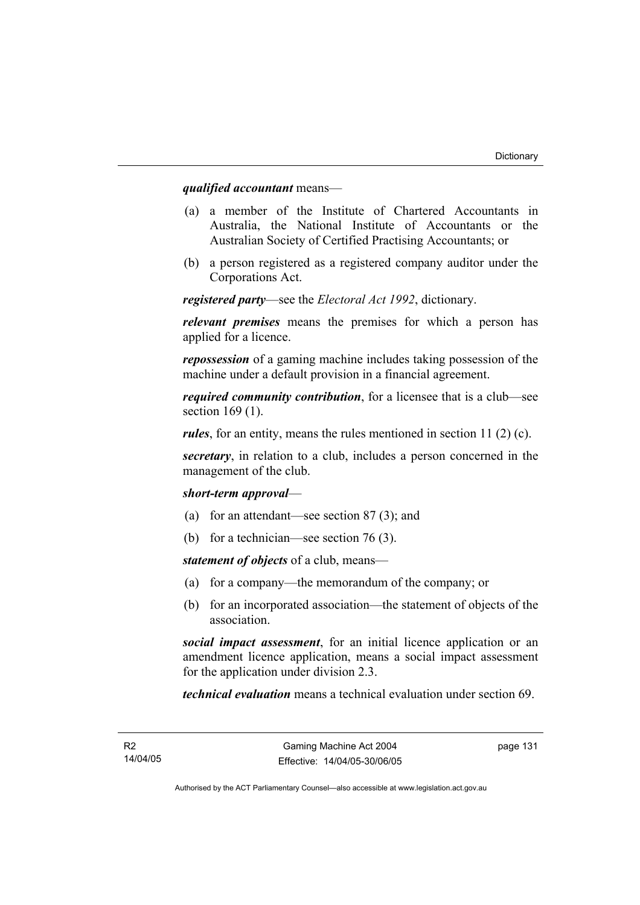### *qualified accountant* means—

- (a) a member of the Institute of Chartered Accountants in Australia, the National Institute of Accountants or the Australian Society of Certified Practising Accountants; or
- (b) a person registered as a registered company auditor under the Corporations Act.

*registered party*—see the *Electoral Act 1992*, dictionary.

*relevant premises* means the premises for which a person has applied for a licence.

*repossession* of a gaming machine includes taking possession of the machine under a default provision in a financial agreement.

*required community contribution*, for a licensee that is a club—see section 169 (1).

*rules*, for an entity, means the rules mentioned in section 11 (2) (c).

*secretary*, in relation to a club, includes a person concerned in the management of the club.

### *short-term approval*—

- (a) for an attendant—see section 87 (3); and
- (b) for a technician—see section 76 (3).

*statement of objects* of a club, means—

- (a) for a company—the memorandum of the company; or
- (b) for an incorporated association—the statement of objects of the association.

*social impact assessment*, for an initial licence application or an amendment licence application, means a social impact assessment for the application under division 2.3.

*technical evaluation* means a technical evaluation under section 69.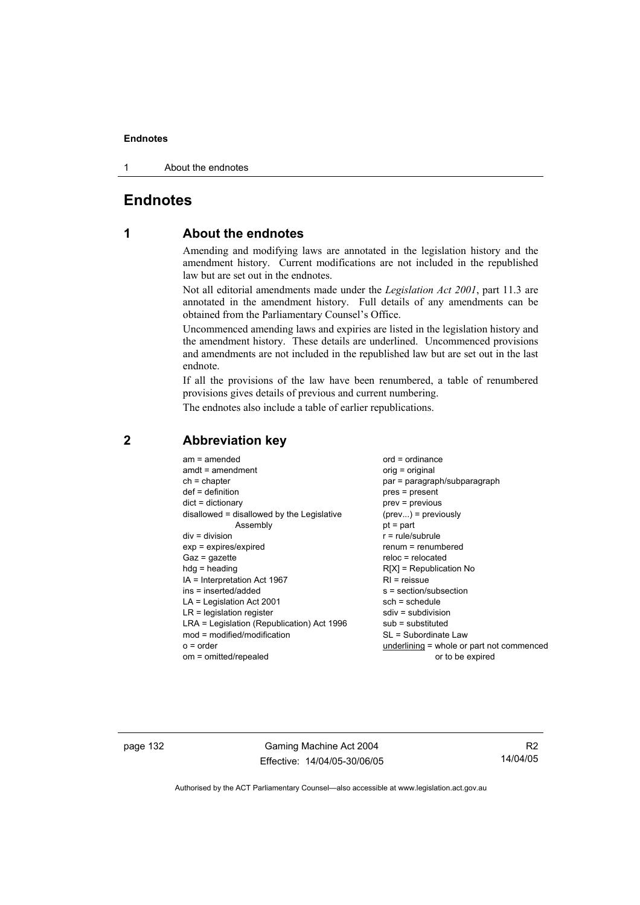### **Endnotes**

1 About the endnotes

# **Endnotes**

# **1 About the endnotes**

Amending and modifying laws are annotated in the legislation history and the amendment history. Current modifications are not included in the republished law but are set out in the endnotes.

Not all editorial amendments made under the *Legislation Act 2001*, part 11.3 are annotated in the amendment history. Full details of any amendments can be obtained from the Parliamentary Counsel's Office.

Uncommenced amending laws and expiries are listed in the legislation history and the amendment history. These details are underlined. Uncommenced provisions and amendments are not included in the republished law but are set out in the last endnote.

If all the provisions of the law have been renumbered, a table of renumbered provisions gives details of previous and current numbering.

The endnotes also include a table of earlier republications.

| $am = amended$<br>$amdt = amendment$<br>$ch = chapter$<br>$def = definition$<br>$dict = dictionary$<br>disallowed = disallowed by the Legislative<br>Assembly<br>$div = division$<br>$exp = expires/expired$<br>$Gaz = gazette$<br>$hdg = heading$<br>$IA = Interpretation Act 1967$<br>ins = inserted/added<br>$LA =$ Legislation Act 2001<br>$LR =$ legislation register<br>LRA = Legislation (Republication) Act 1996<br>$mod = modified/modification$<br>$o = order$ | $ord = ordinance$<br>$orig = original$<br>par = paragraph/subparagraph<br>$pres = present$<br>$prev = previous$<br>$(\text{prev}) = \text{previously}$<br>$pt = part$<br>$r = rule/subrule$<br>renum = renumbered<br>$reloc = relocated$<br>$R[X]$ = Republication No<br>$RI =$ reissue<br>s = section/subsection<br>$sch = schedule$<br>$sdiv = subdivision$<br>$sub =$ substituted<br>SL = Subordinate Law |
|--------------------------------------------------------------------------------------------------------------------------------------------------------------------------------------------------------------------------------------------------------------------------------------------------------------------------------------------------------------------------------------------------------------------------------------------------------------------------|--------------------------------------------------------------------------------------------------------------------------------------------------------------------------------------------------------------------------------------------------------------------------------------------------------------------------------------------------------------------------------------------------------------|
| om = omitted/repealed                                                                                                                                                                                                                                                                                                                                                                                                                                                    | underlining = whole or part not commenced<br>or to be expired                                                                                                                                                                                                                                                                                                                                                |
|                                                                                                                                                                                                                                                                                                                                                                                                                                                                          |                                                                                                                                                                                                                                                                                                                                                                                                              |

### **2 Abbreviation key**

page 132 Gaming Machine Act 2004 Effective: 14/04/05-30/06/05

R2 14/04/05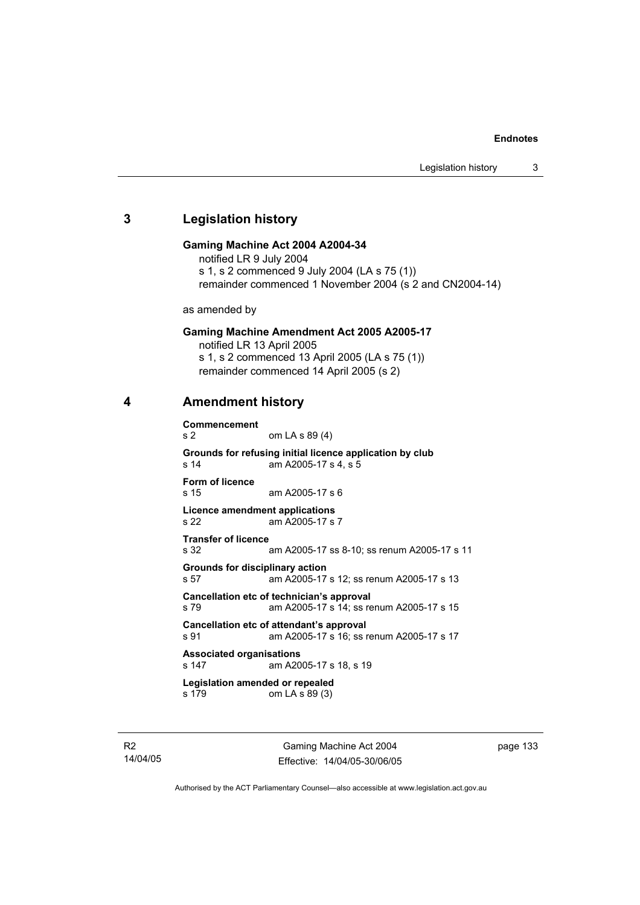#### **Endnotes**

# **3 Legislation history**

### **Gaming Machine Act 2004 A2004-34**

notified LR 9 July 2004 s 1, s 2 commenced 9 July 2004 (LA s 75 (1)) remainder commenced 1 November 2004 (s 2 and CN2004-14)

as amended by

#### **Gaming Machine Amendment Act 2005 A2005-17**

notified LR 13 April 2005 s 1, s 2 commenced 13 April 2005 (LA s 75 (1)) remainder commenced 14 April 2005 (s 2)

### **4 Amendment history**

**Commencement**  s 2 om LA s 89 (4) **Grounds for refusing initial licence application by club**  s 14 am A2005-17 s 4, s 5 **Form of licence**  s 15 am A2005-17 s 6 **Licence amendment applications**  s 22 am A2005-17 s 7 **Transfer of licence**  s 32 am A2005-17 ss 8-10; ss renum A2005-17 s 11 **Grounds for disciplinary action**  s 57 am A2005-17 s 12; ss renum A2005-17 s 13 **Cancellation etc of technician's approval**  s 79 am A2005-17 s 14; ss renum A2005-17 s 15 **Cancellation etc of attendant's approval**  s 91 am A2005-17 s 16; ss renum A2005-17 s 17 **Associated organisations**  s 147 am A2005-17 s 18, s 19 **Legislation amended or repealed**  s 179 om LA s 89 (3)

R2 14/04/05

Gaming Machine Act 2004 Effective: 14/04/05-30/06/05 page 133

Authorised by the ACT Parliamentary Counsel—also accessible at www.legislation.act.gov.au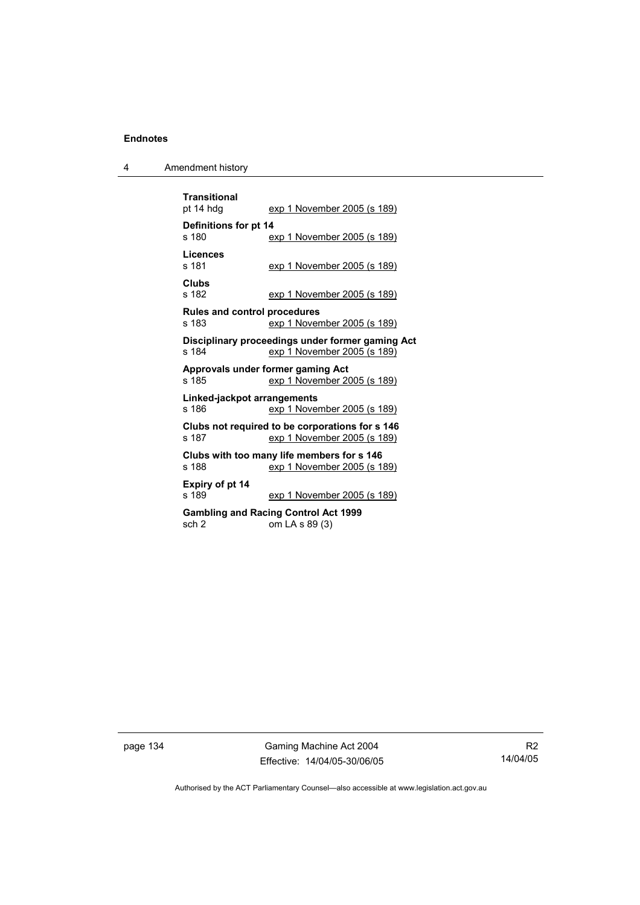# **Endnotes**

| 4 | Amendment history |
|---|-------------------|
|---|-------------------|

| <b>Transitional</b><br>pt 14 hdg                                                         | exp 1 November 2005 (s 189)                                                    |  |  |
|------------------------------------------------------------------------------------------|--------------------------------------------------------------------------------|--|--|
| Definitions for pt 14<br>s 180                                                           | <u>exp 1 November 2005 (s 189)</u>                                             |  |  |
| Licences<br>s 181                                                                        | <u>exp 1 November 2005 (s 189)</u>                                             |  |  |
| Clubs<br>s 182                                                                           | exp 1 November 2005 (s 189)                                                    |  |  |
| <b>Rules and control procedures</b><br>s 183                                             | exp 1 November 2005 (s 189)                                                    |  |  |
| Disciplinary proceedings under former gaming Act<br>exp 1 November 2005 (s 189)<br>s 184 |                                                                                |  |  |
|                                                                                          |                                                                                |  |  |
| s 185                                                                                    | Approvals under former gaming Act<br>exp 1 November 2005 (s 189)               |  |  |
| Linked-jackpot arrangements<br>s 186                                                     | exp 1 November 2005 (s 189)                                                    |  |  |
| s 187                                                                                    | Clubs not required to be corporations for s 146<br>exp 1 November 2005 (s 189) |  |  |
| s 188                                                                                    | Clubs with too many life members for s 146<br>exp 1 November 2005 (s 189)      |  |  |
| Expiry of pt 14<br>s 189                                                                 | exp 1 November 2005 (s 189)                                                    |  |  |

page 134 Gaming Machine Act 2004 Effective: 14/04/05-30/06/05

R2 14/04/05

Authorised by the ACT Parliamentary Counsel—also accessible at www.legislation.act.gov.au